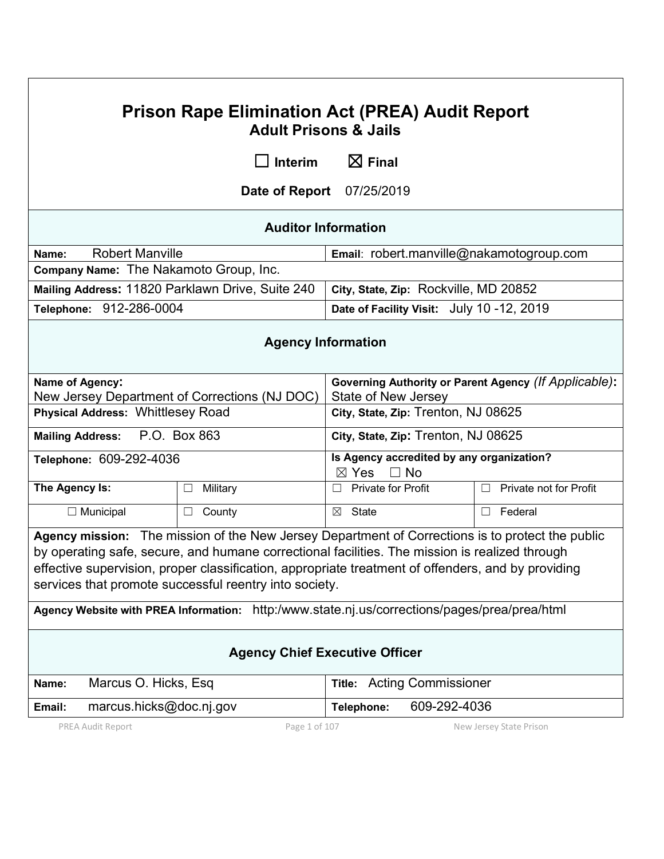| <b>Prison Rape Elimination Act (PREA) Audit Report</b><br><b>Adult Prisons &amp; Jails</b>                                                                                                                                                                                                                                                                         |                                               |                                                                              |                             |  |  |
|--------------------------------------------------------------------------------------------------------------------------------------------------------------------------------------------------------------------------------------------------------------------------------------------------------------------------------------------------------------------|-----------------------------------------------|------------------------------------------------------------------------------|-----------------------------|--|--|
|                                                                                                                                                                                                                                                                                                                                                                    | Interim<br>- 1                                | $\boxtimes$ Final                                                            |                             |  |  |
|                                                                                                                                                                                                                                                                                                                                                                    | Date of Report<br>07/25/2019                  |                                                                              |                             |  |  |
|                                                                                                                                                                                                                                                                                                                                                                    |                                               | <b>Auditor Information</b>                                                   |                             |  |  |
| <b>Robert Manville</b><br>Name:                                                                                                                                                                                                                                                                                                                                    |                                               | Email: robert.manville@nakamotogroup.com                                     |                             |  |  |
| Company Name: The Nakamoto Group, Inc.                                                                                                                                                                                                                                                                                                                             |                                               |                                                                              |                             |  |  |
| Mailing Address: 11820 Parklawn Drive, Suite 240                                                                                                                                                                                                                                                                                                                   |                                               | City, State, Zip: Rockville, MD 20852                                        |                             |  |  |
| Telephone: 912-286-0004                                                                                                                                                                                                                                                                                                                                            |                                               | Date of Facility Visit: July 10 -12, 2019                                    |                             |  |  |
| <b>Agency Information</b>                                                                                                                                                                                                                                                                                                                                          |                                               |                                                                              |                             |  |  |
| Name of Agency:                                                                                                                                                                                                                                                                                                                                                    | New Jersey Department of Corrections (NJ DOC) | Governing Authority or Parent Agency (If Applicable):<br>State of New Jersey |                             |  |  |
| <b>Physical Address: Whittlesey Road</b>                                                                                                                                                                                                                                                                                                                           |                                               | City, State, Zip: Trenton, NJ 08625                                          |                             |  |  |
| P.O. Box 863<br><b>Mailing Address:</b>                                                                                                                                                                                                                                                                                                                            |                                               | City, State, Zip: Trenton, NJ 08625                                          |                             |  |  |
| Telephone: 609-292-4036                                                                                                                                                                                                                                                                                                                                            |                                               | Is Agency accredited by any organization?<br>$\boxtimes$ Yes<br>$\Box$ No    |                             |  |  |
| The Agency Is:                                                                                                                                                                                                                                                                                                                                                     | Military<br>Ш                                 | <b>Private for Profit</b>                                                    | Private not for Profit<br>П |  |  |
| $\Box$ Municipal                                                                                                                                                                                                                                                                                                                                                   | County<br>□                                   | State<br>$\boxtimes$                                                         | Federal<br>$\Box$           |  |  |
| Agency mission: The mission of the New Jersey Department of Corrections is to protect the public<br>by operating safe, secure, and humane correctional facilities. The mission is realized through<br>effective supervision, proper classification, appropriate treatment of offenders, and by providing<br>services that promote successful reentry into society. |                                               |                                                                              |                             |  |  |
| Agency Website with PREA Information: http:/www.state.nj.us/corrections/pages/prea/prea/html                                                                                                                                                                                                                                                                       |                                               |                                                                              |                             |  |  |
| <b>Agency Chief Executive Officer</b>                                                                                                                                                                                                                                                                                                                              |                                               |                                                                              |                             |  |  |
| Marcus O. Hicks, Esq<br>Name:                                                                                                                                                                                                                                                                                                                                      |                                               | <b>Title: Acting Commissioner</b>                                            |                             |  |  |
| 609-292-4036<br>marcus.hicks@doc.nj.gov<br>Email:<br>Telephone:                                                                                                                                                                                                                                                                                                    |                                               |                                                                              |                             |  |  |
| Page 1 of 107<br>PREA Audit Report<br>New Jersey State Prison                                                                                                                                                                                                                                                                                                      |                                               |                                                                              |                             |  |  |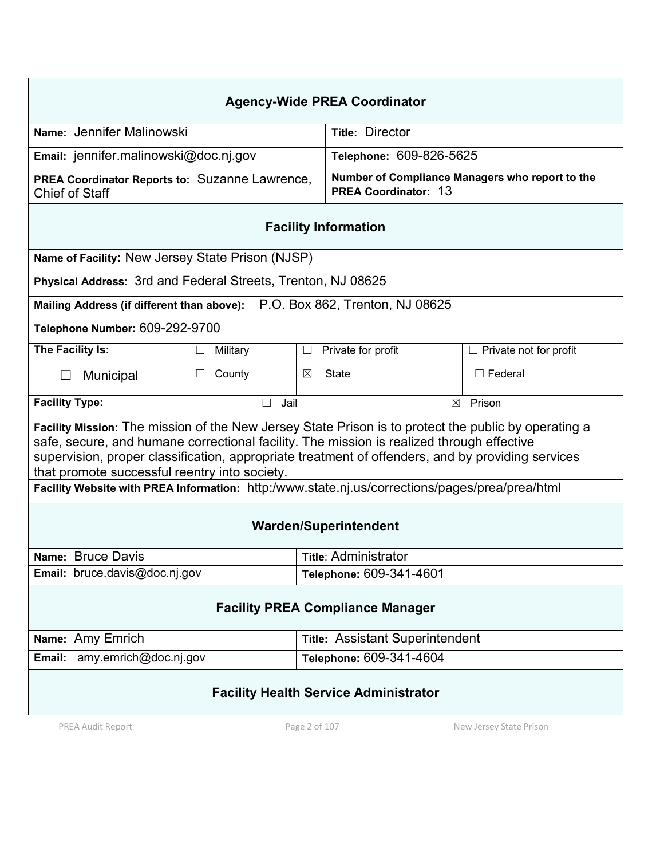| <b>Agency-Wide PREA Coordinator</b>                                                                                                                                                                                                                                                                                                                     |                                                  |                                                                                |                                        |  |                               |
|---------------------------------------------------------------------------------------------------------------------------------------------------------------------------------------------------------------------------------------------------------------------------------------------------------------------------------------------------------|--------------------------------------------------|--------------------------------------------------------------------------------|----------------------------------------|--|-------------------------------|
| Name: Jennifer Malinowski                                                                                                                                                                                                                                                                                                                               |                                                  | <b>Title: Director</b>                                                         |                                        |  |                               |
| Email: jennifer.malinowski@doc.nj.gov                                                                                                                                                                                                                                                                                                                   |                                                  | Telephone: 609-826-5625                                                        |                                        |  |                               |
| PREA Coordinator Reports to: Suzanne Lawrence,<br><b>Chief of Staff</b>                                                                                                                                                                                                                                                                                 |                                                  | Number of Compliance Managers who report to the<br><b>PREA Coordinator: 13</b> |                                        |  |                               |
| <b>Facility Information</b>                                                                                                                                                                                                                                                                                                                             |                                                  |                                                                                |                                        |  |                               |
| Name of Facility: New Jersey State Prison (NJSP)                                                                                                                                                                                                                                                                                                        |                                                  |                                                                                |                                        |  |                               |
| Physical Address: 3rd and Federal Streets, Trenton, NJ 08625                                                                                                                                                                                                                                                                                            |                                                  |                                                                                |                                        |  |                               |
| Mailing Address (if different than above): P.O. Box 862, Trenton, NJ 08625                                                                                                                                                                                                                                                                              |                                                  |                                                                                |                                        |  |                               |
| Telephone Number: 609-292-9700                                                                                                                                                                                                                                                                                                                          |                                                  |                                                                                |                                        |  |                               |
| The Facility Is:                                                                                                                                                                                                                                                                                                                                        | Military                                         | ப                                                                              | Private for profit                     |  | $\Box$ Private not for profit |
| Municipal<br>$\Box$                                                                                                                                                                                                                                                                                                                                     | County<br>П                                      | ⊠                                                                              | <b>State</b>                           |  | $\Box$ Federal                |
| <b>Facility Type:</b>                                                                                                                                                                                                                                                                                                                                   | Jail                                             | Prison<br>$\boxtimes$                                                          |                                        |  |                               |
| Facility Mission: The mission of the New Jersey State Prison is to protect the public by operating a<br>safe, secure, and humane correctional facility. The mission is realized through effective<br>supervision, proper classification, appropriate treatment of offenders, and by providing services<br>that promote successful reentry into society. |                                                  |                                                                                |                                        |  |                               |
| Facility Website with PREA Information: http:/www.state.nj.us/corrections/pages/prea/prea/html                                                                                                                                                                                                                                                          |                                                  |                                                                                |                                        |  |                               |
| <b>Warden/Superintendent</b>                                                                                                                                                                                                                                                                                                                            |                                                  |                                                                                |                                        |  |                               |
| Name: Bruce Davis                                                                                                                                                                                                                                                                                                                                       |                                                  |                                                                                | <b>Title: Administrator</b>            |  |                               |
| Email: bruce.davis@doc.nj.gov                                                                                                                                                                                                                                                                                                                           |                                                  |                                                                                | Telephone: 609-341-4601                |  |                               |
| <b>Facility PREA Compliance Manager</b>                                                                                                                                                                                                                                                                                                                 |                                                  |                                                                                |                                        |  |                               |
| Name: Amy Emrich                                                                                                                                                                                                                                                                                                                                        |                                                  |                                                                                | <b>Title: Assistant Superintendent</b> |  |                               |
| Email:                                                                                                                                                                                                                                                                                                                                                  | amy.emrich@doc.nj.gov<br>Telephone: 609-341-4604 |                                                                                |                                        |  |                               |
| <b>Facility Health Service Administrator</b>                                                                                                                                                                                                                                                                                                            |                                                  |                                                                                |                                        |  |                               |
| PREA Audit Report                                                                                                                                                                                                                                                                                                                                       |                                                  | Page 2 of 107                                                                  |                                        |  | New Jersey State Prison       |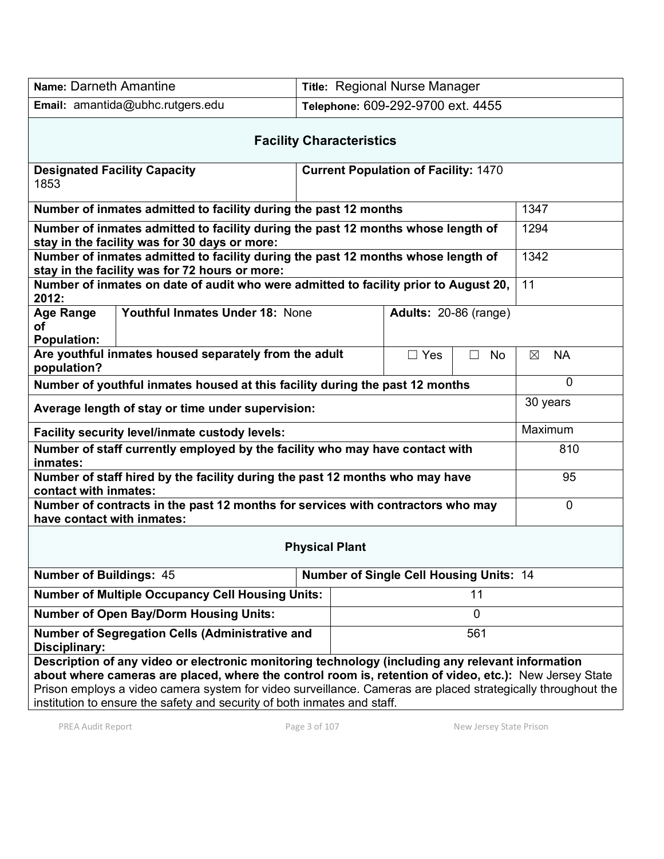| Name: Darneth Amantine                                                                                                                                                                                                                                                                                                                                                                                 |                                                          | Title: Regional Nurse Manager     |  |                |                |
|--------------------------------------------------------------------------------------------------------------------------------------------------------------------------------------------------------------------------------------------------------------------------------------------------------------------------------------------------------------------------------------------------------|----------------------------------------------------------|-----------------------------------|--|----------------|----------------|
| Email: amantida@ubhc.rutgers.edu                                                                                                                                                                                                                                                                                                                                                                       |                                                          | Telephone: 609-292-9700 ext. 4455 |  |                |                |
| <b>Facility Characteristics</b>                                                                                                                                                                                                                                                                                                                                                                        |                                                          |                                   |  |                |                |
| <b>Current Population of Facility: 1470</b><br><b>Designated Facility Capacity</b><br>1853                                                                                                                                                                                                                                                                                                             |                                                          |                                   |  |                |                |
| Number of inmates admitted to facility during the past 12 months                                                                                                                                                                                                                                                                                                                                       |                                                          |                                   |  |                | 1347           |
| Number of inmates admitted to facility during the past 12 months whose length of<br>stay in the facility was for 30 days or more:                                                                                                                                                                                                                                                                      |                                                          |                                   |  |                | 1294           |
| Number of inmates admitted to facility during the past 12 months whose length of<br>stay in the facility was for 72 hours or more:                                                                                                                                                                                                                                                                     |                                                          |                                   |  |                | 1342           |
| Number of inmates on date of audit who were admitted to facility prior to August 20,<br>2012:                                                                                                                                                                                                                                                                                                          |                                                          |                                   |  |                | 11             |
| <b>Age Range</b><br>οf<br><b>Population:</b>                                                                                                                                                                                                                                                                                                                                                           | Youthful Inmates Under 18: None<br>Adults: 20-86 (range) |                                   |  |                |                |
| Are youthful inmates housed separately from the adult<br>$\Box$ Yes<br>$\Box$<br><b>No</b><br>population?                                                                                                                                                                                                                                                                                              |                                                          |                                   |  | <b>NA</b><br>⊠ |                |
| Number of youthful inmates housed at this facility during the past 12 months                                                                                                                                                                                                                                                                                                                           |                                                          |                                   |  |                | $\overline{0}$ |
| Average length of stay or time under supervision:                                                                                                                                                                                                                                                                                                                                                      |                                                          |                                   |  |                | 30 years       |
| Facility security level/inmate custody levels:                                                                                                                                                                                                                                                                                                                                                         |                                                          |                                   |  |                | Maximum        |
| Number of staff currently employed by the facility who may have contact with<br>inmates:                                                                                                                                                                                                                                                                                                               |                                                          |                                   |  |                | 810            |
| Number of staff hired by the facility during the past 12 months who may have<br>contact with inmates:                                                                                                                                                                                                                                                                                                  |                                                          |                                   |  |                | 95             |
| Number of contracts in the past 12 months for services with contractors who may<br>have contact with inmates:                                                                                                                                                                                                                                                                                          |                                                          |                                   |  |                | $\mathbf 0$    |
| <b>Physical Plant</b>                                                                                                                                                                                                                                                                                                                                                                                  |                                                          |                                   |  |                |                |
| <b>Number of Buildings: 45</b><br><b>Number of Single Cell Housing Units: 14</b>                                                                                                                                                                                                                                                                                                                       |                                                          |                                   |  |                |                |
| <b>Number of Multiple Occupancy Cell Housing Units:</b><br>11                                                                                                                                                                                                                                                                                                                                          |                                                          |                                   |  |                |                |
| <b>Number of Open Bay/Dorm Housing Units:</b><br>$\overline{0}$                                                                                                                                                                                                                                                                                                                                        |                                                          |                                   |  |                |                |
| <b>Number of Segregation Cells (Administrative and</b><br>561<br>Disciplinary:                                                                                                                                                                                                                                                                                                                         |                                                          |                                   |  |                |                |
| Description of any video or electronic monitoring technology (including any relevant information<br>about where cameras are placed, where the control room is, retention of video, etc.): New Jersey State<br>Prison employs a video camera system for video surveillance. Cameras are placed strategically throughout the<br>institution to ensure the safety and security of both inmates and staff. |                                                          |                                   |  |                |                |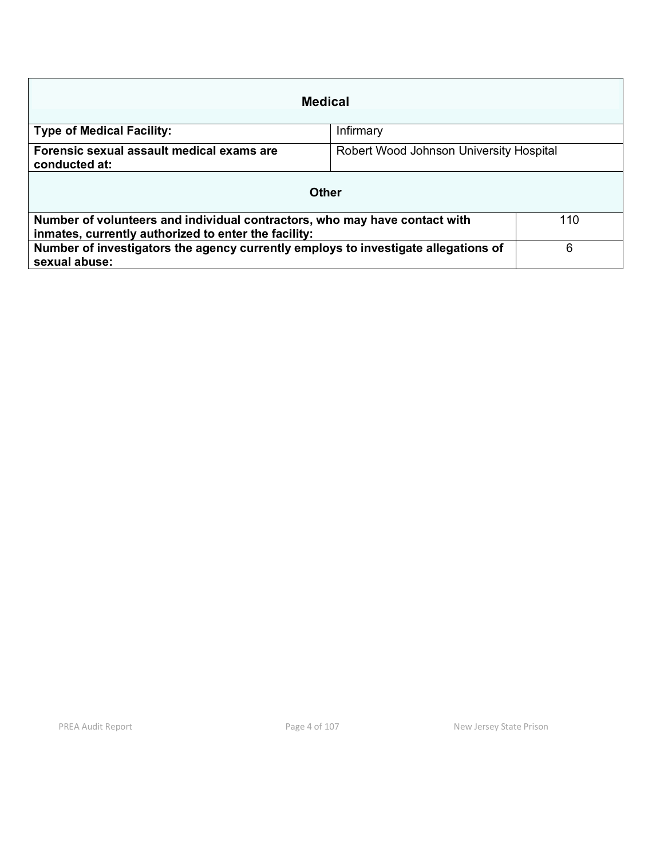| Medical                                                                                                                            |                                         |  |  |  |
|------------------------------------------------------------------------------------------------------------------------------------|-----------------------------------------|--|--|--|
| <b>Type of Medical Facility:</b>                                                                                                   | Infirmary                               |  |  |  |
| Forensic sexual assault medical exams are<br>conducted at:                                                                         | Robert Wood Johnson University Hospital |  |  |  |
| Other                                                                                                                              |                                         |  |  |  |
| Number of volunteers and individual contractors, who may have contact with<br>inmates, currently authorized to enter the facility: | 110                                     |  |  |  |
| Number of investigators the agency currently employs to investigate allegations of<br>sexual abuse:                                | 6                                       |  |  |  |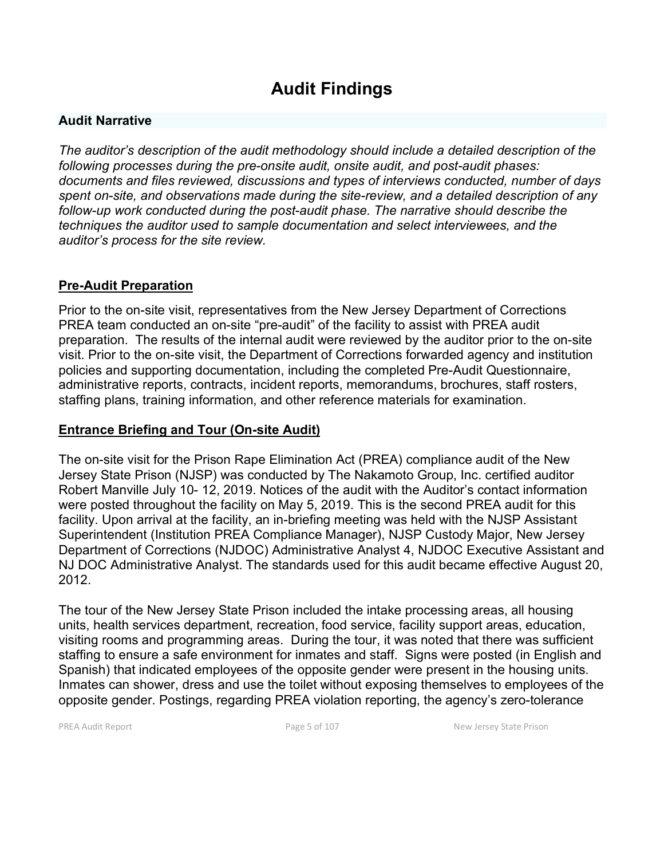# **Audit Findings**

#### **Audit Narrative**

*The auditor's description of the audit methodology should include a detailed description of the following processes during the pre-onsite audit, onsite audit, and post-audit phases: documents and files reviewed, discussions and types of interviews conducted, number of days spent on-site, and observations made during the site-review, and a detailed description of any follow-up work conducted during the post-audit phase. The narrative should describe the techniques the auditor used to sample documentation and select interviewees, and the auditor's process for the site review.*

#### **Pre-Audit Preparation**

Prior to the on-site visit, representatives from the New Jersey Department of Corrections PREA team conducted an on-site "pre-audit" of the facility to assist with PREA audit preparation. The results of the internal audit were reviewed by the auditor prior to the on-site visit. Prior to the on-site visit, the Department of Corrections forwarded agency and institution policies and supporting documentation, including the completed Pre-Audit Questionnaire, administrative reports, contracts, incident reports, memorandums, brochures, staff rosters, staffing plans, training information, and other reference materials for examination.

#### **Entrance Briefing and Tour (On-site Audit)**

The on-site visit for the Prison Rape Elimination Act (PREA) compliance audit of the New Jersey State Prison (NJSP) was conducted by The Nakamoto Group, Inc. certified auditor Robert Manville July 10- 12, 2019. Notices of the audit with the Auditor's contact information were posted throughout the facility on May 5, 2019. This is the second PREA audit for this facility. Upon arrival at the facility, an in-briefing meeting was held with the NJSP Assistant Superintendent (Institution PREA Compliance Manager), NJSP Custody Major, New Jersey Department of Corrections (NJDOC) Administrative Analyst 4, NJDOC Executive Assistant and NJ DOC Administrative Analyst. The standards used for this audit became effective August 20, 2012.

The tour of the New Jersey State Prison included the intake processing areas, all housing units, health services department, recreation, food service, facility support areas, education, visiting rooms and programming areas. During the tour, it was noted that there was sufficient staffing to ensure a safe environment for inmates and staff. Signs were posted (in English and Spanish) that indicated employees of the opposite gender were present in the housing units. Inmates can shower, dress and use the toilet without exposing themselves to employees of the opposite gender. Postings, regarding PREA violation reporting, the agency's zero-tolerance

PREA Audit Report **Page 5 of 107** Page 5 of 107 New Jersey State Prison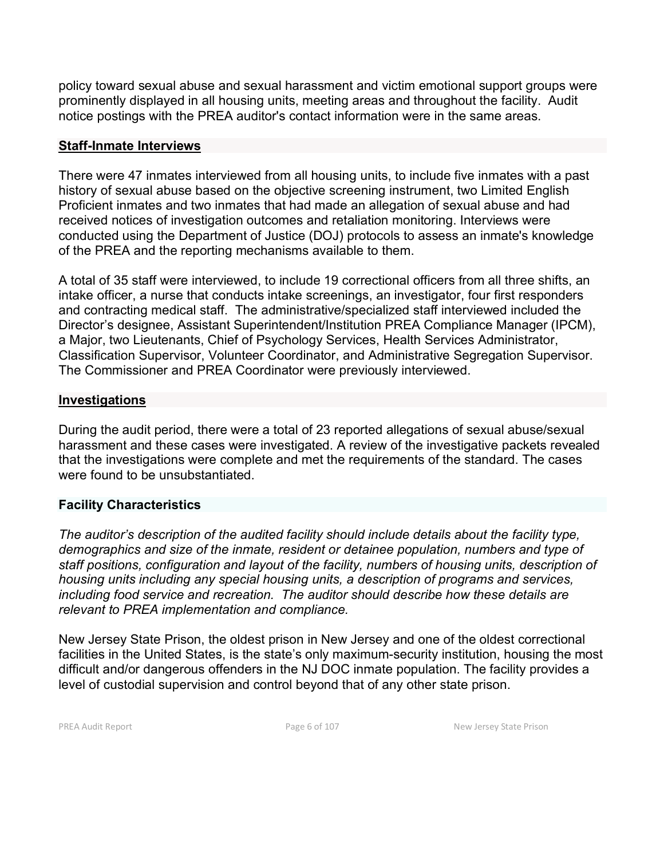policy toward sexual abuse and sexual harassment and victim emotional support groups were prominently displayed in all housing units, meeting areas and throughout the facility. Audit notice postings with the PREA auditor's contact information were in the same areas.

#### **Staff-Inmate Interviews**

There were 47 inmates interviewed from all housing units, to include five inmates with a past history of sexual abuse based on the objective screening instrument, two Limited English Proficient inmates and two inmates that had made an allegation of sexual abuse and had received notices of investigation outcomes and retaliation monitoring. Interviews were conducted using the Department of Justice (DOJ) protocols to assess an inmate's knowledge of the PREA and the reporting mechanisms available to them.

A total of 35 staff were interviewed, to include 19 correctional officers from all three shifts, an intake officer, a nurse that conducts intake screenings, an investigator, four first responders and contracting medical staff. The administrative/specialized staff interviewed included the Director's designee, Assistant Superintendent/Institution PREA Compliance Manager (IPCM), a Major, two Lieutenants, Chief of Psychology Services, Health Services Administrator, Classification Supervisor, Volunteer Coordinator, and Administrative Segregation Supervisor. The Commissioner and PREA Coordinator were previously interviewed.

#### **Investigations**

During the audit period, there were a total of 23 reported allegations of sexual abuse/sexual harassment and these cases were investigated. A review of the investigative packets revealed that the investigations were complete and met the requirements of the standard. The cases were found to be unsubstantiated.

#### **Facility Characteristics**

*The auditor's description of the audited facility should include details about the facility type, demographics and size of the inmate, resident or detainee population, numbers and type of staff positions, configuration and layout of the facility, numbers of housing units, description of housing units including any special housing units, a description of programs and services, including food service and recreation. The auditor should describe how these details are relevant to PREA implementation and compliance.*

New Jersey State Prison, the oldest prison in New Jersey and one of the oldest correctional facilities in the United States, is the state's only maximum-security institution, housing the most difficult and/or dangerous offenders in the NJ DOC inmate population. The facility provides a level of custodial supervision and control beyond that of any other state prison.

PREA Audit Report **Page 6 of 107** Page 6 of 107 New Jersey State Prison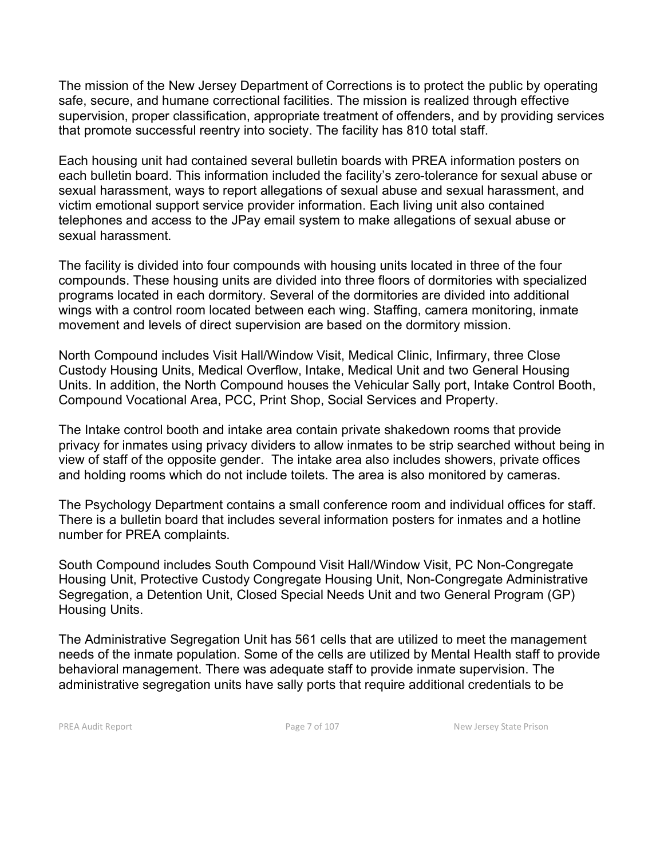The mission of the New Jersey Department of Corrections is to protect the public by operating safe, secure, and humane correctional facilities. The mission is realized through effective supervision, proper classification, appropriate treatment of offenders, and by providing services that promote successful reentry into society. The facility has 810 total staff.

Each housing unit had contained several bulletin boards with PREA information posters on each bulletin board. This information included the facility's zero-tolerance for sexual abuse or sexual harassment, ways to report allegations of sexual abuse and sexual harassment, and victim emotional support service provider information. Each living unit also contained telephones and access to the JPay email system to make allegations of sexual abuse or sexual harassment.

The facility is divided into four compounds with housing units located in three of the four compounds. These housing units are divided into three floors of dormitories with specialized programs located in each dormitory. Several of the dormitories are divided into additional wings with a control room located between each wing. Staffing, camera monitoring, inmate movement and levels of direct supervision are based on the dormitory mission.

North Compound includes Visit Hall/Window Visit, Medical Clinic, Infirmary, three Close Custody Housing Units, Medical Overflow, Intake, Medical Unit and two General Housing Units. In addition, the North Compound houses the Vehicular Sally port, Intake Control Booth, Compound Vocational Area, PCC, Print Shop, Social Services and Property.

The Intake control booth and intake area contain private shakedown rooms that provide privacy for inmates using privacy dividers to allow inmates to be strip searched without being in view of staff of the opposite gender. The intake area also includes showers, private offices and holding rooms which do not include toilets. The area is also monitored by cameras.

The Psychology Department contains a small conference room and individual offices for staff. There is a bulletin board that includes several information posters for inmates and a hotline number for PREA complaints.

South Compound includes South Compound Visit Hall/Window Visit, PC Non-Congregate Housing Unit, Protective Custody Congregate Housing Unit, Non-Congregate Administrative Segregation, a Detention Unit, Closed Special Needs Unit and two General Program (GP) Housing Units.

The Administrative Segregation Unit has 561 cells that are utilized to meet the management needs of the inmate population. Some of the cells are utilized by Mental Health staff to provide behavioral management. There was adequate staff to provide inmate supervision. The administrative segregation units have sally ports that require additional credentials to be

PREA Audit Report **Page 7 of 107** Page 7 of 107 New Jersey State Prison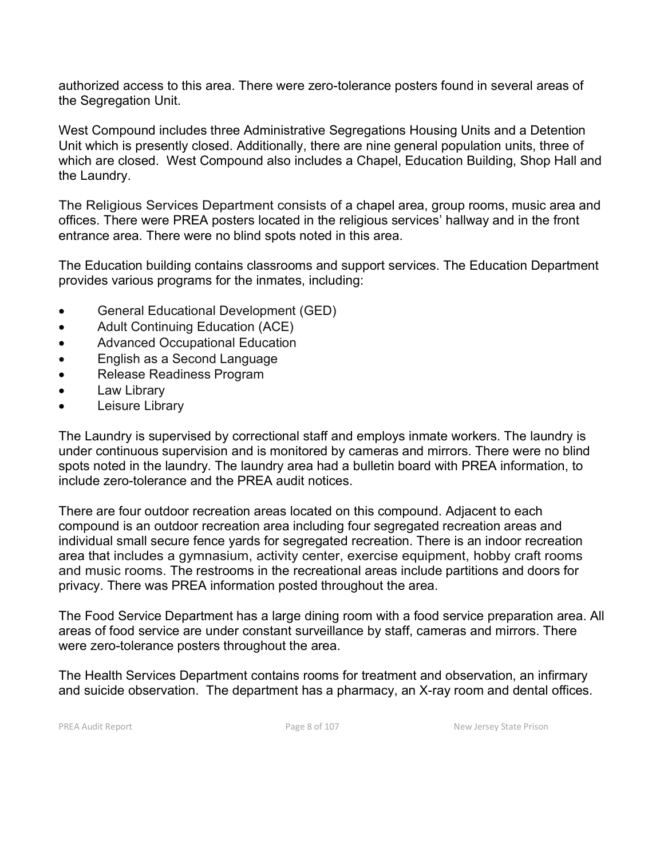authorized access to this area. There were zero-tolerance posters found in several areas of the Segregation Unit.

West Compound includes three Administrative Segregations Housing Units and a Detention Unit which is presently closed. Additionally, there are nine general population units, three of which are closed. West Compound also includes a Chapel, Education Building, Shop Hall and the Laundry.

The Religious Services Department consists of a chapel area, group rooms, music area and offices. There were PREA posters located in the religious services' hallway and in the front entrance area. There were no blind spots noted in this area.

The Education building contains classrooms and support services. The Education Department provides various programs for the inmates, including:

- General Educational Development (GED)
- Adult Continuing Education (ACE)
- Advanced Occupational Education
- English as a Second Language
- Release Readiness Program
- Law Library
- Leisure Library

The Laundry is supervised by correctional staff and employs inmate workers. The laundry is under continuous supervision and is monitored by cameras and mirrors. There were no blind spots noted in the laundry. The laundry area had a bulletin board with PREA information, to include zero-tolerance and the PREA audit notices.

There are four outdoor recreation areas located on this compound. Adjacent to each compound is an outdoor recreation area including four segregated recreation areas and individual small secure fence yards for segregated recreation. There is an indoor recreation area that includes a gymnasium, activity center, exercise equipment, hobby craft rooms and music rooms. The restrooms in the recreational areas include partitions and doors for privacy. There was PREA information posted throughout the area.

The Food Service Department has a large dining room with a food service preparation area. All areas of food service are under constant surveillance by staff, cameras and mirrors. There were zero-tolerance posters throughout the area.

The Health Services Department contains rooms for treatment and observation, an infirmary and suicide observation. The department has a pharmacy, an X-ray room and dental offices.

PREA Audit Report **Page 8 of 107** Page 8 of 107 New Jersey State Prison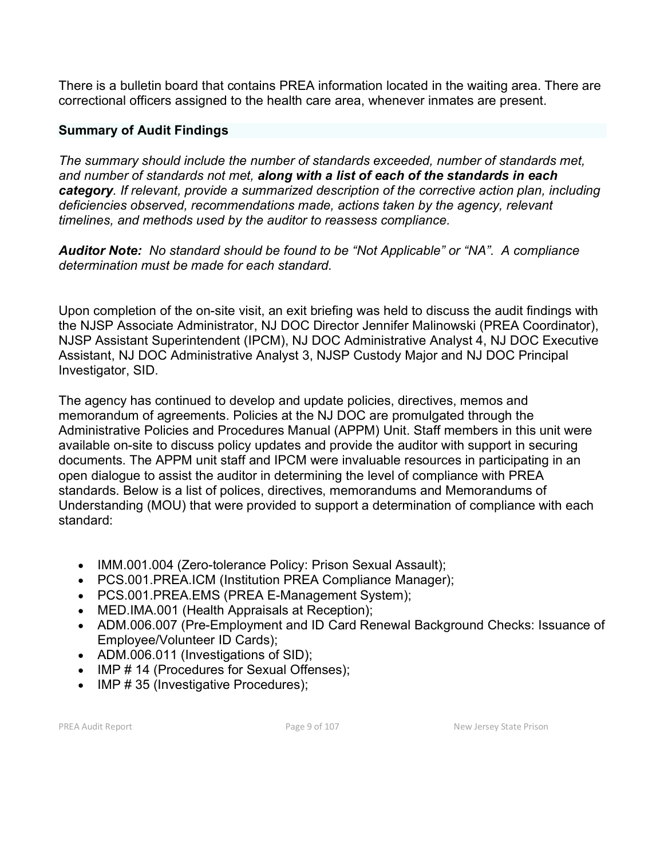There is a bulletin board that contains PREA information located in the waiting area. There are correctional officers assigned to the health care area, whenever inmates are present.

#### **Summary of Audit Findings**

*The summary should include the number of standards exceeded, number of standards met, and number of standards not met, along with a list of each of the standards in each category. If relevant, provide a summarized description of the corrective action plan, including deficiencies observed, recommendations made, actions taken by the agency, relevant timelines, and methods used by the auditor to reassess compliance.*

*Auditor Note: No standard should be found to be "Not Applicable" or "NA". A compliance determination must be made for each standard.* 

Upon completion of the on-site visit, an exit briefing was held to discuss the audit findings with the NJSP Associate Administrator, NJ DOC Director Jennifer Malinowski (PREA Coordinator), NJSP Assistant Superintendent (IPCM), NJ DOC Administrative Analyst 4, NJ DOC Executive Assistant, NJ DOC Administrative Analyst 3, NJSP Custody Major and NJ DOC Principal Investigator, SID.

The agency has continued to develop and update policies, directives, memos and memorandum of agreements. Policies at the NJ DOC are promulgated through the Administrative Policies and Procedures Manual (APPM) Unit. Staff members in this unit were available on-site to discuss policy updates and provide the auditor with support in securing documents. The APPM unit staff and IPCM were invaluable resources in participating in an open dialogue to assist the auditor in determining the level of compliance with PREA standards. Below is a list of polices, directives, memorandums and Memorandums of Understanding (MOU) that were provided to support a determination of compliance with each standard:

- IMM.001.004 (Zero-tolerance Policy: Prison Sexual Assault);
- PCS.001.PREA.ICM (Institution PREA Compliance Manager);
- PCS.001.PREA.EMS (PREA E-Management System);
- MED.IMA.001 (Health Appraisals at Reception);
- ADM.006.007 (Pre-Employment and ID Card Renewal Background Checks: Issuance of Employee/Volunteer ID Cards);
- ADM.006.011 (Investigations of SID);
- IMP # 14 (Procedures for Sexual Offenses):
- IMP # 35 (Investigative Procedures);

PREA Audit Report **Page 9 of 107** Page 9 of 107 New Jersey State Prison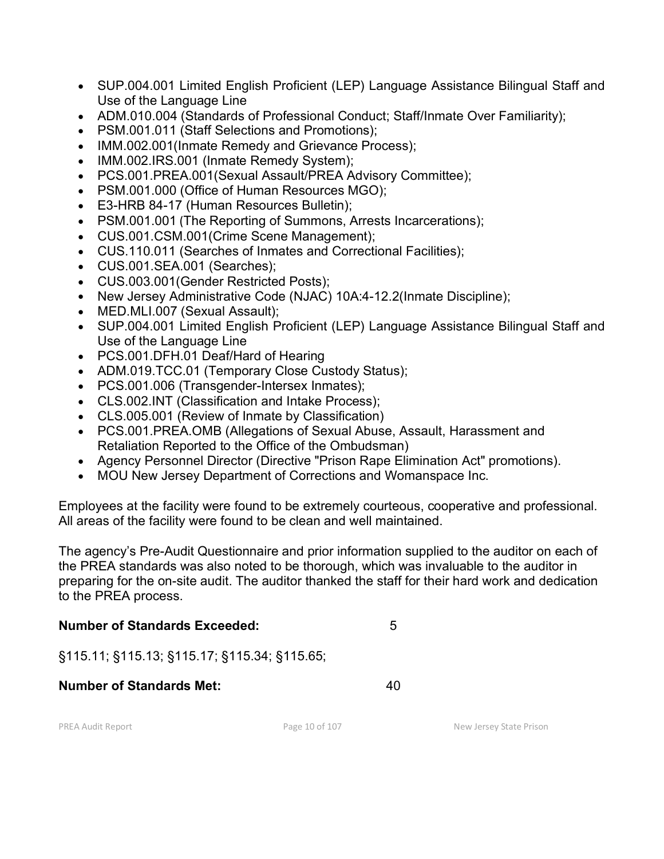- SUP.004.001 Limited English Proficient (LEP) Language Assistance Bilingual Staff and Use of the Language Line
- ADM.010.004 (Standards of Professional Conduct; Staff/Inmate Over Familiarity);
- PSM.001.011 (Staff Selections and Promotions);
- IMM.002.001(Inmate Remedy and Grievance Process);
- IMM.002.IRS.001 (Inmate Remedy System);
- PCS.001.PREA.001(Sexual Assault/PREA Advisory Committee);
- PSM.001.000 (Office of Human Resources MGO);
- E3-HRB 84-17 (Human Resources Bulletin);
- PSM.001.001 (The Reporting of Summons, Arrests Incarcerations);
- CUS.001.CSM.001(Crime Scene Management);
- CUS.110.011 (Searches of Inmates and Correctional Facilities);
- CUS.001.SEA.001 (Searches);
- CUS.003.001(Gender Restricted Posts);
- New Jersey Administrative Code (NJAC) 10A:4-12.2(Inmate Discipline);
- MED.MLI.007 (Sexual Assault);
- SUP.004.001 Limited English Proficient (LEP) Language Assistance Bilingual Staff and Use of the Language Line
- PCS.001.DFH.01 Deaf/Hard of Hearing
- ADM.019.TCC.01 (Temporary Close Custody Status);
- PCS.001.006 (Transgender-Intersex Inmates);
- CLS.002.INT (Classification and Intake Process);
- CLS.005.001 (Review of Inmate by Classification)
- PCS.001.PREA.OMB (Allegations of Sexual Abuse, Assault, Harassment and Retaliation Reported to the Office of the Ombudsman)
- Agency Personnel Director (Directive "Prison Rape Elimination Act" promotions).
- MOU New Jersey Department of Corrections and Womanspace Inc.

Employees at the facility were found to be extremely courteous, cooperative and professional. All areas of the facility were found to be clean and well maintained.

The agency's Pre-Audit Questionnaire and prior information supplied to the auditor on each of the PREA standards was also noted to be thorough, which was invaluable to the auditor in preparing for the on-site audit. The auditor thanked the staff for their hard work and dedication to the PREA process.

## **Number of Standards Exceeded:** 5

§115.11; §115.13; §115.17; §115.34; §115.65;

#### **Number of Standards Met:** 40

PREA Audit Report **Page 10 of 107** Page 10 of 107 New Jersey State Prison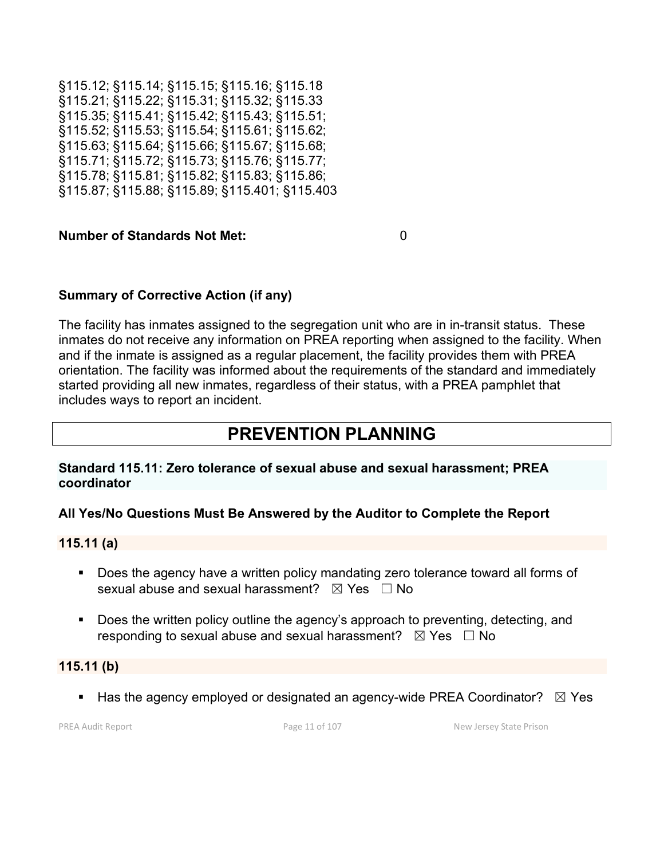§115.12; §115.14; §115.15; §115.16; §115.18 §115.21; §115.22; §115.31; §115.32; §115.33 §115.35; §115.41; §115.42; §115.43; §115.51; §115.52; §115.53; §115.54; §115.61; §115.62; §115.63; §115.64; §115.66; §115.67; §115.68; §115.71; §115.72; §115.73; §115.76; §115.77; §115.78; §115.81; §115.82; §115.83; §115.86; §115.87; §115.88; §115.89; §115.401; §115.403

#### **Number of Standards Not Met:** 0

## **Summary of Corrective Action (if any)**

The facility has inmates assigned to the segregation unit who are in in-transit status. These inmates do not receive any information on PREA reporting when assigned to the facility. When and if the inmate is assigned as a regular placement, the facility provides them with PREA orientation. The facility was informed about the requirements of the standard and immediately started providing all new inmates, regardless of their status, with a PREA pamphlet that includes ways to report an incident.

# **PREVENTION PLANNING**

#### **Standard 115.11: Zero tolerance of sexual abuse and sexual harassment; PREA coordinator**

#### **All Yes/No Questions Must Be Answered by the Auditor to Complete the Report**

#### **115.11 (a)**

- Does the agency have a written policy mandating zero tolerance toward all forms of sexual abuse and sexual harassment?  $\boxtimes$  Yes  $\Box$  No
- **Does the written policy outline the agency's approach to preventing, detecting, and** responding to sexual abuse and sexual harassment?  $\boxtimes$  Yes  $\Box$  No

#### **115.11 (b)**

Has the agency employed or designated an agency-wide PREA Coordinator?  $\boxtimes$  Yes

PREA Audit Report **Page 11 of 107** Page 11 of 107 New Jersey State Prison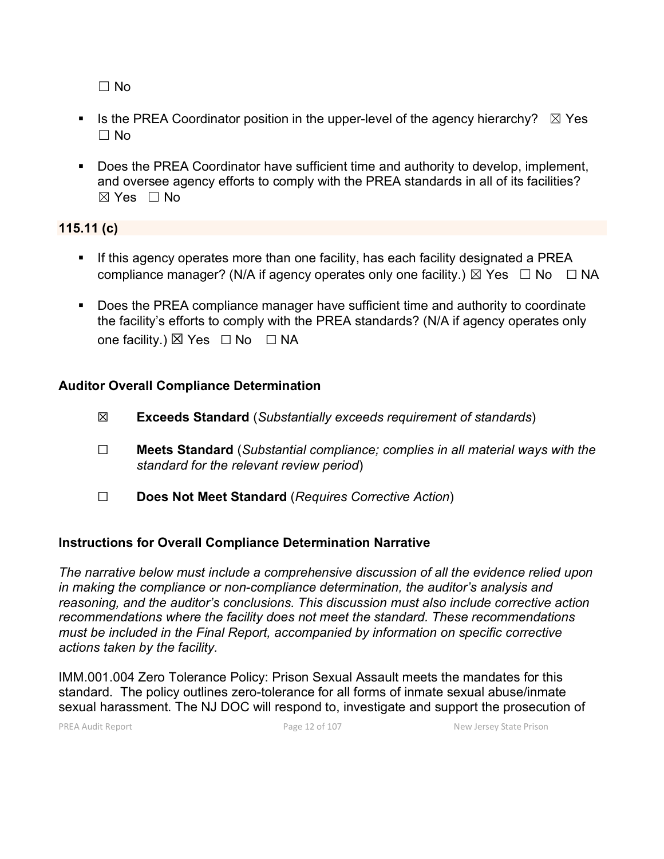☐ No

- Is the PREA Coordinator position in the upper-level of the agency hierarchy?  $\boxtimes$  Yes  $\Box$  No
- Does the PREA Coordinator have sufficient time and authority to develop, implement, and oversee agency efforts to comply with the PREA standards in all of its facilities?  $\boxtimes$  Yes  $\Box$  No

#### **115.11 (c)**

- **If this agency operates more than one facility, has each facility designated a PREA** compliance manager? (N/A if agency operates only one facility.)  $\boxtimes$  Yes  $\Box$  No  $\Box$  NA
- Does the PREA compliance manager have sufficient time and authority to coordinate the facility's efforts to comply with the PREA standards? (N/A if agency operates only one facility.) ⊠ Yes □ No □ NA

#### **Auditor Overall Compliance Determination**

- ☒ **Exceeds Standard** (*Substantially exceeds requirement of standards*)
- ☐ **Meets Standard** (*Substantial compliance; complies in all material ways with the standard for the relevant review period*)
- ☐ **Does Not Meet Standard** (*Requires Corrective Action*)

## **Instructions for Overall Compliance Determination Narrative**

*The narrative below must include a comprehensive discussion of all the evidence relied upon in making the compliance or non-compliance determination, the auditor's analysis and reasoning, and the auditor's conclusions. This discussion must also include corrective action recommendations where the facility does not meet the standard. These recommendations must be included in the Final Report, accompanied by information on specific corrective actions taken by the facility.*

IMM.001.004 Zero Tolerance Policy: Prison Sexual Assault meets the mandates for this standard. The policy outlines zero-tolerance for all forms of inmate sexual abuse/inmate sexual harassment. The NJ DOC will respond to, investigate and support the prosecution of

PREA Audit Report **Page 12 of 107** Page 12 of 107 New Jersey State Prison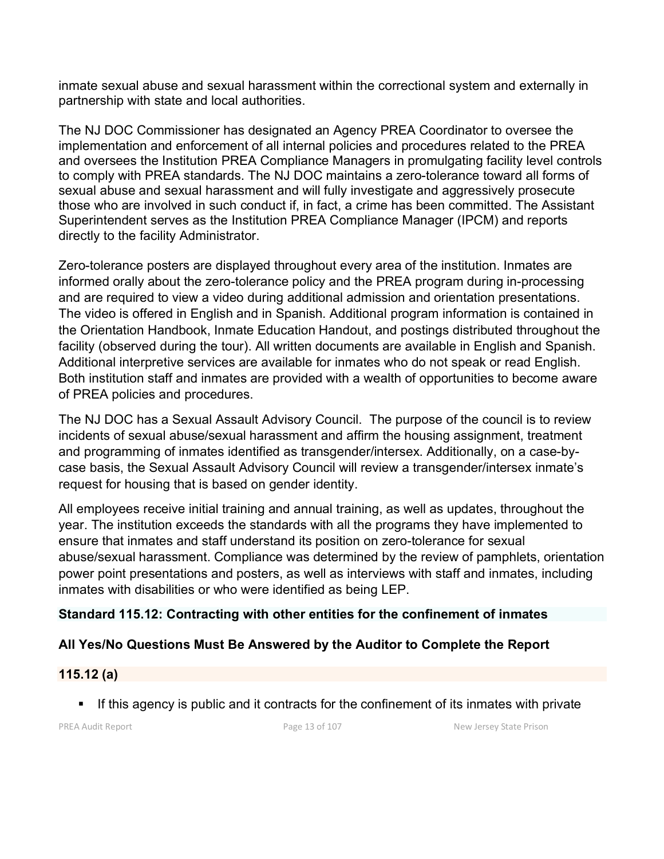inmate sexual abuse and sexual harassment within the correctional system and externally in partnership with state and local authorities.

The NJ DOC Commissioner has designated an Agency PREA Coordinator to oversee the implementation and enforcement of all internal policies and procedures related to the PREA and oversees the Institution PREA Compliance Managers in promulgating facility level controls to comply with PREA standards. The NJ DOC maintains a zero-tolerance toward all forms of sexual abuse and sexual harassment and will fully investigate and aggressively prosecute those who are involved in such conduct if, in fact, a crime has been committed. The Assistant Superintendent serves as the Institution PREA Compliance Manager (IPCM) and reports directly to the facility Administrator.

Zero-tolerance posters are displayed throughout every area of the institution. Inmates are informed orally about the zero-tolerance policy and the PREA program during in-processing and are required to view a video during additional admission and orientation presentations. The video is offered in English and in Spanish. Additional program information is contained in the Orientation Handbook, Inmate Education Handout, and postings distributed throughout the facility (observed during the tour). All written documents are available in English and Spanish. Additional interpretive services are available for inmates who do not speak or read English. Both institution staff and inmates are provided with a wealth of opportunities to become aware of PREA policies and procedures.

The NJ DOC has a Sexual Assault Advisory Council. The purpose of the council is to review incidents of sexual abuse/sexual harassment and affirm the housing assignment, treatment and programming of inmates identified as transgender/intersex. Additionally, on a case-bycase basis, the Sexual Assault Advisory Council will review a transgender/intersex inmate's request for housing that is based on gender identity.

All employees receive initial training and annual training, as well as updates, throughout the year. The institution exceeds the standards with all the programs they have implemented to ensure that inmates and staff understand its position on zero-tolerance for sexual abuse/sexual harassment. Compliance was determined by the review of pamphlets, orientation power point presentations and posters, as well as interviews with staff and inmates, including inmates with disabilities or who were identified as being LEP.

## **Standard 115.12: Contracting with other entities for the confinement of inmates**

# **All Yes/No Questions Must Be Answered by the Auditor to Complete the Report**

## **115.12 (a)**

If this agency is public and it contracts for the confinement of its inmates with private

PREA Audit Report **Page 13 of 107** Page 13 of 107 New Jersey State Prison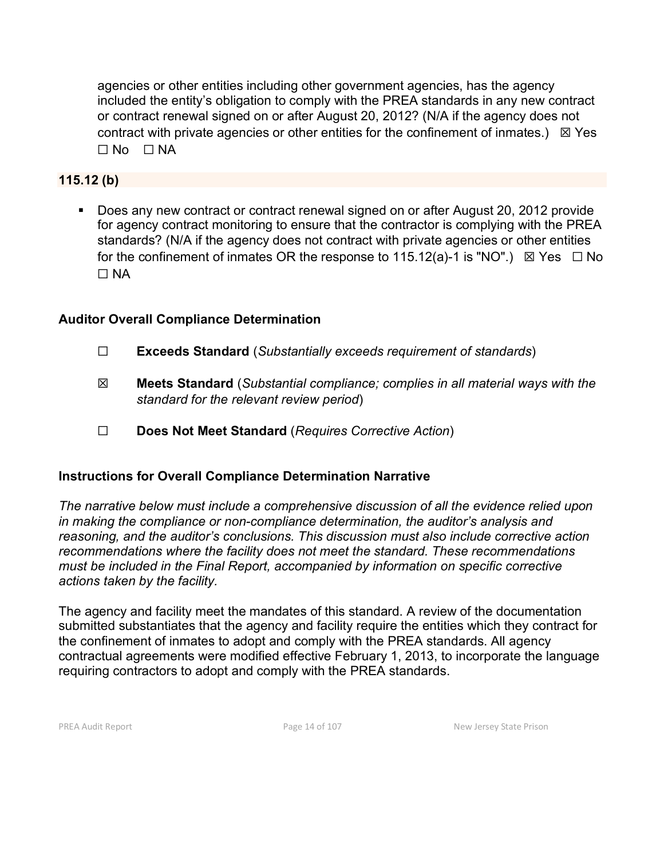agencies or other entities including other government agencies, has the agency included the entity's obligation to comply with the PREA standards in any new contract or contract renewal signed on or after August 20, 2012? (N/A if the agency does not contract with private agencies or other entities for the confinement of inmates.)  $\boxtimes$  Yes  $\Box$  No  $\Box$  NA

## **115.12 (b)**

Does any new contract or contract renewal signed on or after August 20, 2012 provide for agency contract monitoring to ensure that the contractor is complying with the PREA standards? (N/A if the agency does not contract with private agencies or other entities for the confinement of inmates OR the response to 115.12(a)-1 is "NO".)  $\boxtimes$  Yes  $\Box$  No  $\Box$  NA

## **Auditor Overall Compliance Determination**

- ☐ **Exceeds Standard** (*Substantially exceeds requirement of standards*)
- ☒ **Meets Standard** (*Substantial compliance; complies in all material ways with the standard for the relevant review period*)
- ☐ **Does Not Meet Standard** (*Requires Corrective Action*)

#### **Instructions for Overall Compliance Determination Narrative**

*The narrative below must include a comprehensive discussion of all the evidence relied upon in making the compliance or non-compliance determination, the auditor's analysis and reasoning, and the auditor's conclusions. This discussion must also include corrective action recommendations where the facility does not meet the standard. These recommendations must be included in the Final Report, accompanied by information on specific corrective actions taken by the facility.*

The agency and facility meet the mandates of this standard. A review of the documentation submitted substantiates that the agency and facility require the entities which they contract for the confinement of inmates to adopt and comply with the PREA standards. All agency contractual agreements were modified effective February 1, 2013, to incorporate the language requiring contractors to adopt and comply with the PREA standards.

PREA Audit Report **Page 14 of 107** Page 14 of 107 New Jersey State Prison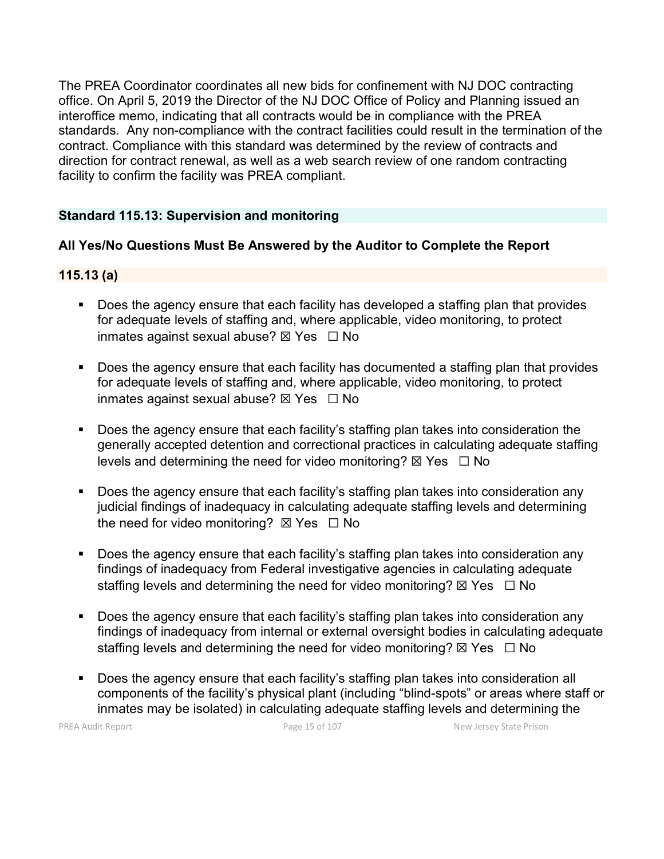The PREA Coordinator coordinates all new bids for confinement with NJ DOC contracting office. On April 5, 2019 the Director of the NJ DOC Office of Policy and Planning issued an interoffice memo, indicating that all contracts would be in compliance with the PREA standards. Any non-compliance with the contract facilities could result in the termination of the contract. Compliance with this standard was determined by the review of contracts and direction for contract renewal, as well as a web search review of one random contracting facility to confirm the facility was PREA compliant.

## **Standard 115.13: Supervision and monitoring**

## **All Yes/No Questions Must Be Answered by the Auditor to Complete the Report**

#### **115.13 (a)**

- Does the agency ensure that each facility has developed a staffing plan that provides for adequate levels of staffing and, where applicable, video monitoring, to protect inmates against sexual abuse?  $\boxtimes$  Yes  $\Box$  No
- Does the agency ensure that each facility has documented a staffing plan that provides for adequate levels of staffing and, where applicable, video monitoring, to protect inmates against sexual abuse?  $\boxtimes$  Yes  $\Box$  No
- Does the agency ensure that each facility's staffing plan takes into consideration the generally accepted detention and correctional practices in calculating adequate staffing levels and determining the need for video monitoring?  $\boxtimes$  Yes  $\Box$  No
- Does the agency ensure that each facility's staffing plan takes into consideration any judicial findings of inadequacy in calculating adequate staffing levels and determining the need for video monitoring?  $\boxtimes$  Yes  $\Box$  No
- **Does the agency ensure that each facility's staffing plan takes into consideration any** findings of inadequacy from Federal investigative agencies in calculating adequate staffing levels and determining the need for video monitoring?  $\boxtimes$  Yes  $\Box$  No
- Does the agency ensure that each facility's staffing plan takes into consideration any findings of inadequacy from internal or external oversight bodies in calculating adequate staffing levels and determining the need for video monitoring?  $\boxtimes$  Yes  $\Box$  No
- Does the agency ensure that each facility's staffing plan takes into consideration all components of the facility's physical plant (including "blind-spots" or areas where staff or inmates may be isolated) in calculating adequate staffing levels and determining the

PREA Audit Report **Page 15 of 107** Page 15 of 107 New Jersey State Prison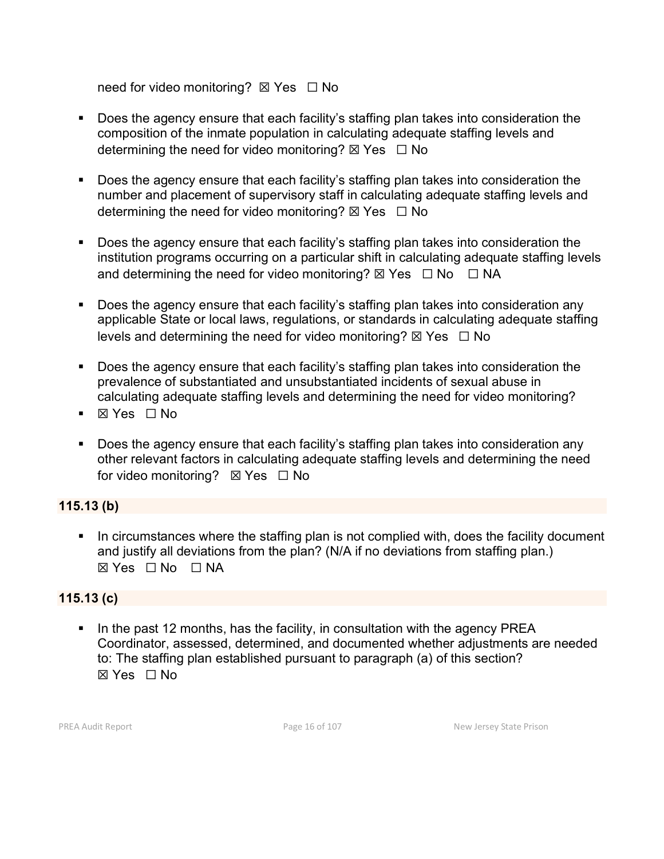need for video monitoring? ⊠ Yes □ No

- Does the agency ensure that each facility's staffing plan takes into consideration the composition of the inmate population in calculating adequate staffing levels and determining the need for video monitoring?  $\boxtimes$  Yes  $\Box$  No
- Does the agency ensure that each facility's staffing plan takes into consideration the number and placement of supervisory staff in calculating adequate staffing levels and determining the need for video monitoring?  $\boxtimes$  Yes  $\Box$  No
- Does the agency ensure that each facility's staffing plan takes into consideration the institution programs occurring on a particular shift in calculating adequate staffing levels and determining the need for video monitoring?  $\boxtimes$  Yes  $\Box$  No  $\Box$  NA
- Does the agency ensure that each facility's staffing plan takes into consideration any applicable State or local laws, regulations, or standards in calculating adequate staffing levels and determining the need for video monitoring?  $\boxtimes$  Yes  $\Box$  No
- Does the agency ensure that each facility's staffing plan takes into consideration the prevalence of substantiated and unsubstantiated incidents of sexual abuse in calculating adequate staffing levels and determining the need for video monitoring?
- ⊠ Yes □ No
- **Does the agency ensure that each facility's staffing plan takes into consideration any** other relevant factors in calculating adequate staffing levels and determining the need for video monitoring? ⊠ Yes □ No

## **115.13 (b)**

In circumstances where the staffing plan is not complied with, does the facility document and justify all deviations from the plan? (N/A if no deviations from staffing plan.) ☒ Yes ☐ No ☐ NA

## **115.13 (c)**

In the past 12 months, has the facility, in consultation with the agency PREA Coordinator, assessed, determined, and documented whether adjustments are needed to: The staffing plan established pursuant to paragraph (a) of this section? ☒ Yes ☐ No

PREA Audit Report **Page 16 of 107** Page 16 of 107 New Jersey State Prison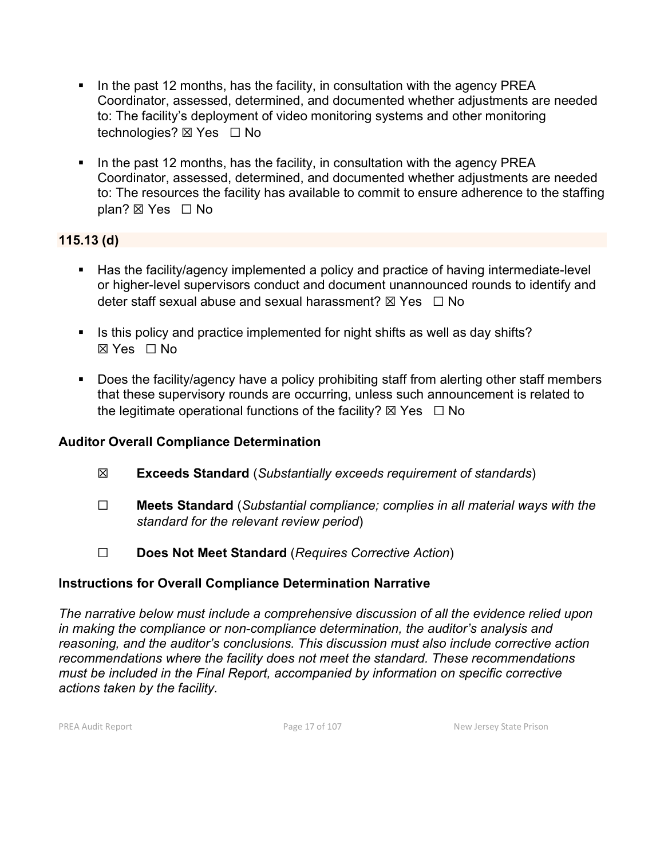- In the past 12 months, has the facility, in consultation with the agency PREA Coordinator, assessed, determined, and documented whether adjustments are needed to: The facility's deployment of video monitoring systems and other monitoring technologies? **⊠ Yes** □ No
- In the past 12 months, has the facility, in consultation with the agency PREA Coordinator, assessed, determined, and documented whether adjustments are needed to: The resources the facility has available to commit to ensure adherence to the staffing plan? ⊠ Yes □ No

## **115.13 (d)**

- Has the facility/agency implemented a policy and practice of having intermediate-level or higher-level supervisors conduct and document unannounced rounds to identify and deter staff sexual abuse and sexual harassment?  $\boxtimes$  Yes  $\Box$  No
- Is this policy and practice implemented for night shifts as well as day shifts? ☒ Yes ☐ No
- Does the facility/agency have a policy prohibiting staff from alerting other staff members that these supervisory rounds are occurring, unless such announcement is related to the legitimate operational functions of the facility?  $\boxtimes$  Yes  $\Box$  No

## **Auditor Overall Compliance Determination**

- ☒ **Exceeds Standard** (*Substantially exceeds requirement of standards*)
- ☐ **Meets Standard** (*Substantial compliance; complies in all material ways with the standard for the relevant review period*)
- ☐ **Does Not Meet Standard** (*Requires Corrective Action*)

## **Instructions for Overall Compliance Determination Narrative**

*The narrative below must include a comprehensive discussion of all the evidence relied upon in making the compliance or non-compliance determination, the auditor's analysis and reasoning, and the auditor's conclusions. This discussion must also include corrective action recommendations where the facility does not meet the standard. These recommendations must be included in the Final Report, accompanied by information on specific corrective actions taken by the facility.*

PREA Audit Report **Page 17 of 107** Page 17 of 107 New Jersey State Prison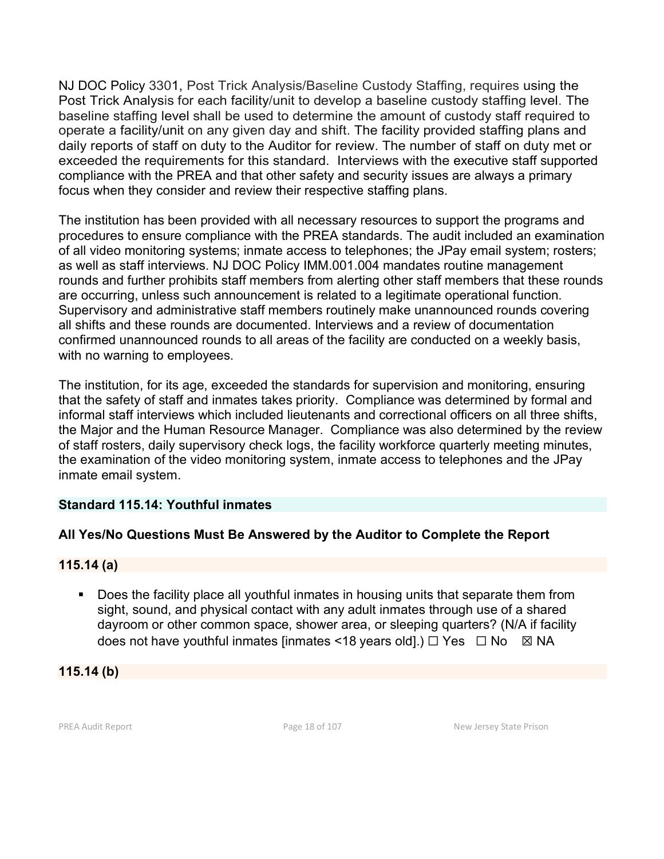NJ DOC Policy 3301, Post Trick Analysis/Baseline Custody Staffing, requires using the Post Trick Analysis for each facility/unit to develop a baseline custody staffing level. The baseline staffing level shall be used to determine the amount of custody staff required to operate a facility/unit on any given day and shift. The facility provided staffing plans and daily reports of staff on duty to the Auditor for review. The number of staff on duty met or exceeded the requirements for this standard. Interviews with the executive staff supported compliance with the PREA and that other safety and security issues are always a primary focus when they consider and review their respective staffing plans.

The institution has been provided with all necessary resources to support the programs and procedures to ensure compliance with the PREA standards. The audit included an examination of all video monitoring systems; inmate access to telephones; the JPay email system; rosters; as well as staff interviews. NJ DOC Policy IMM.001.004 mandates routine management rounds and further prohibits staff members from alerting other staff members that these rounds are occurring, unless such announcement is related to a legitimate operational function. Supervisory and administrative staff members routinely make unannounced rounds covering all shifts and these rounds are documented. Interviews and a review of documentation confirmed unannounced rounds to all areas of the facility are conducted on a weekly basis, with no warning to employees.

The institution, for its age, exceeded the standards for supervision and monitoring, ensuring that the safety of staff and inmates takes priority. Compliance was determined by formal and informal staff interviews which included lieutenants and correctional officers on all three shifts, the Major and the Human Resource Manager. Compliance was also determined by the review of staff rosters, daily supervisory check logs, the facility workforce quarterly meeting minutes, the examination of the video monitoring system, inmate access to telephones and the JPay inmate email system.

#### **Standard 115.14: Youthful inmates**

## **All Yes/No Questions Must Be Answered by the Auditor to Complete the Report**

#### **115.14 (a)**

**Does the facility place all youthful inmates in housing units that separate them from** sight, sound, and physical contact with any adult inmates through use of a shared dayroom or other common space, shower area, or sleeping quarters? (N/A if facility does not have youthful inmates [inmates <18 years old].)  $\Box$  Yes  $\Box$  No  $\boxtimes$  NA

**115.14 (b)**

PREA Audit Report **Page 18 of 107** Page 18 of 107 New Jersey State Prison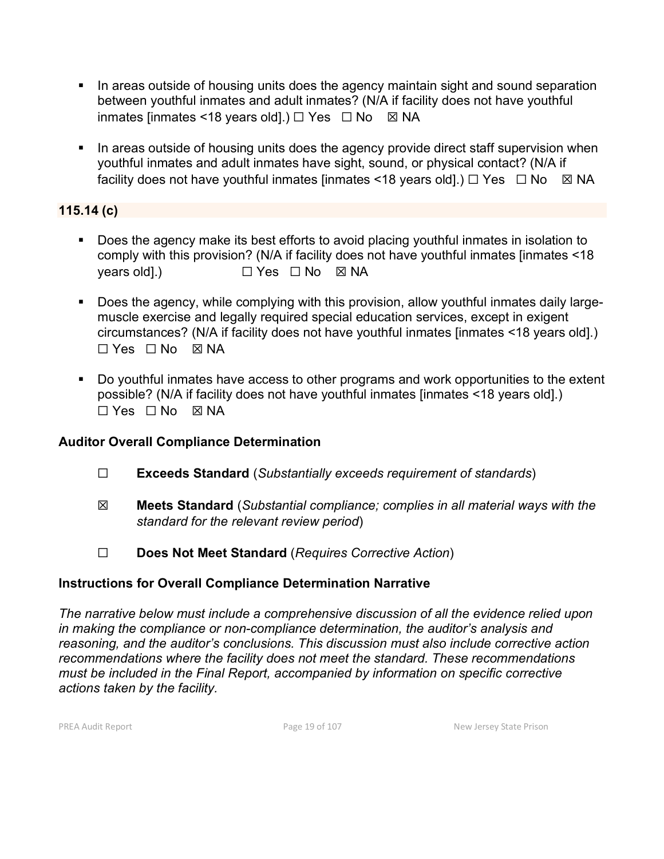- In areas outside of housing units does the agency maintain sight and sound separation between youthful inmates and adult inmates? (N/A if facility does not have youthful inmates [inmates <18 years old].)  $\Box$  Yes  $\Box$  No  $\boxtimes$  NA
- In areas outside of housing units does the agency provide direct staff supervision when youthful inmates and adult inmates have sight, sound, or physical contact? (N/A if facility does not have youthful inmates [inmates <18 years old].)  $\Box$  Yes  $\Box$  No  $\boxtimes$  NA

#### **115.14 (c)**

- Does the agency make its best efforts to avoid placing youthful inmates in isolation to comply with this provision? (N/A if facility does not have youthful inmates [inmates <18 years old].) □ Yes □ No ⊠ NA
- Does the agency, while complying with this provision, allow youthful inmates daily largemuscle exercise and legally required special education services, except in exigent circumstances? (N/A if facility does not have youthful inmates [inmates <18 years old].) ☐ Yes ☐ No ☒ NA
- Do youthful inmates have access to other programs and work opportunities to the extent possible? (N/A if facility does not have youthful inmates [inmates <18 years old].) ☐ Yes ☐ No ☒ NA

#### **Auditor Overall Compliance Determination**

- ☐ **Exceeds Standard** (*Substantially exceeds requirement of standards*)
- ☒ **Meets Standard** (*Substantial compliance; complies in all material ways with the standard for the relevant review period*)
- ☐ **Does Not Meet Standard** (*Requires Corrective Action*)

#### **Instructions for Overall Compliance Determination Narrative**

*The narrative below must include a comprehensive discussion of all the evidence relied upon in making the compliance or non-compliance determination, the auditor's analysis and reasoning, and the auditor's conclusions. This discussion must also include corrective action recommendations where the facility does not meet the standard. These recommendations must be included in the Final Report, accompanied by information on specific corrective actions taken by the facility.*

PREA Audit Report **Page 19 of 107** Page 19 of 107 New Jersey State Prison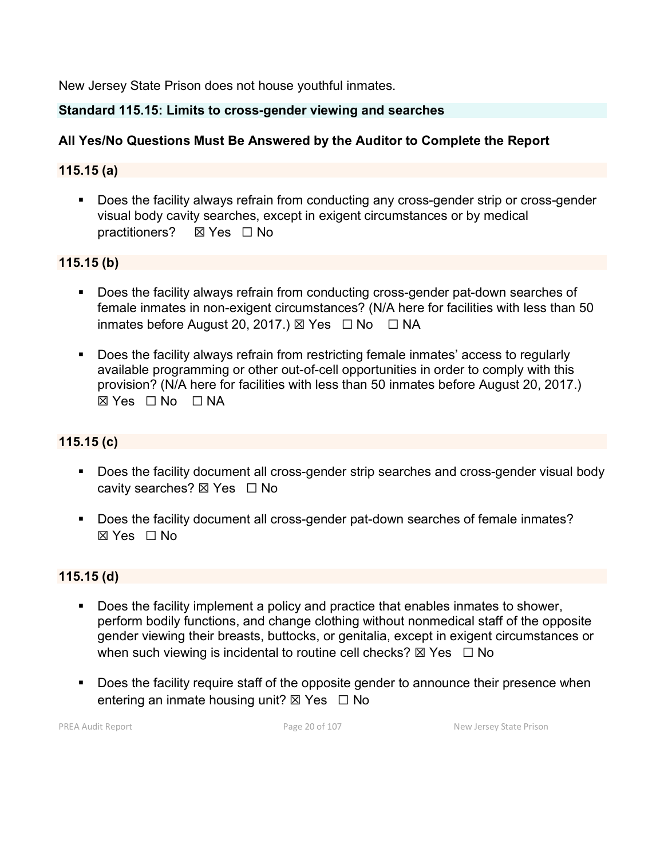New Jersey State Prison does not house youthful inmates.

#### **Standard 115.15: Limits to cross-gender viewing and searches**

# **All Yes/No Questions Must Be Answered by the Auditor to Complete the Report**

#### **115.15 (a)**

**Does the facility always refrain from conducting any cross-gender strip or cross-gender** visual body cavity searches, except in exigent circumstances or by medical practitioners? ☒ Yes ☐ No

#### **115.15 (b)**

- Does the facility always refrain from conducting cross-gender pat-down searches of female inmates in non-exigent circumstances? (N/A here for facilities with less than 50 inmates before August 20, 2017.)  $\boxtimes$  Yes  $\Box$  No  $\Box$  NA
- Does the facility always refrain from restricting female inmates' access to regularly available programming or other out-of-cell opportunities in order to comply with this provision? (N/A here for facilities with less than 50 inmates before August 20, 2017.)  $\boxtimes$  Yes  $\Box$  No  $\Box$  NA

## **115.15 (c)**

- Does the facility document all cross-gender strip searches and cross-gender visual body cavity searches? ⊠ Yes □ No
- Does the facility document all cross-gender pat-down searches of female inmates? ☒ Yes ☐ No

#### **115.15 (d)**

- Does the facility implement a policy and practice that enables inmates to shower, perform bodily functions, and change clothing without nonmedical staff of the opposite gender viewing their breasts, buttocks, or genitalia, except in exigent circumstances or when such viewing is incidental to routine cell checks?  $\boxtimes$  Yes  $\Box$  No
- Does the facility require staff of the opposite gender to announce their presence when entering an inmate housing unit?  $\boxtimes$  Yes  $\Box$  No

PREA Audit Report **Page 20 of 107** Page 20 of 107 New Jersey State Prison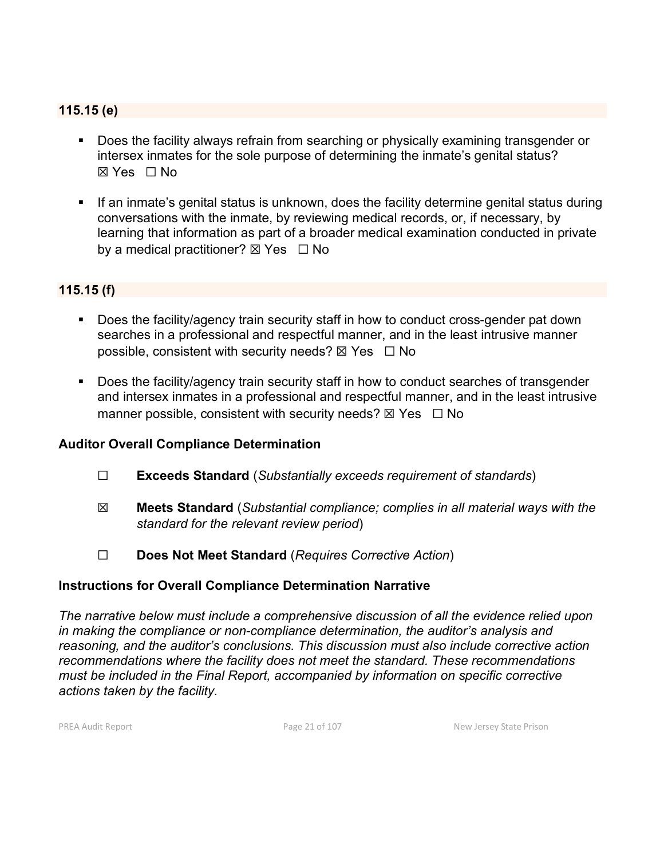#### **115.15 (e)**

- **Does the facility always refrain from searching or physically examining transgender or** intersex inmates for the sole purpose of determining the inmate's genital status?  $\boxtimes$  Yes  $\Box$  No
- **If an inmate's genital status is unknown, does the facility determine genital status during** conversations with the inmate, by reviewing medical records, or, if necessary, by learning that information as part of a broader medical examination conducted in private by a medical practitioner?  $\boxtimes$  Yes  $\Box$  No

#### **115.15 (f)**

- Does the facility/agency train security staff in how to conduct cross-gender pat down searches in a professional and respectful manner, and in the least intrusive manner possible, consistent with security needs?  $\boxtimes$  Yes  $\Box$  No
- Does the facility/agency train security staff in how to conduct searches of transgender and intersex inmates in a professional and respectful manner, and in the least intrusive manner possible, consistent with security needs?  $\boxtimes$  Yes  $\Box$  No

#### **Auditor Overall Compliance Determination**

- ☐ **Exceeds Standard** (*Substantially exceeds requirement of standards*)
- ☒ **Meets Standard** (*Substantial compliance; complies in all material ways with the standard for the relevant review period*)
- ☐ **Does Not Meet Standard** (*Requires Corrective Action*)

## **Instructions for Overall Compliance Determination Narrative**

*The narrative below must include a comprehensive discussion of all the evidence relied upon in making the compliance or non-compliance determination, the auditor's analysis and reasoning, and the auditor's conclusions. This discussion must also include corrective action recommendations where the facility does not meet the standard. These recommendations must be included in the Final Report, accompanied by information on specific corrective actions taken by the facility.*

PREA Audit Report **Page 21 of 107** Page 21 of 107 New Jersey State Prison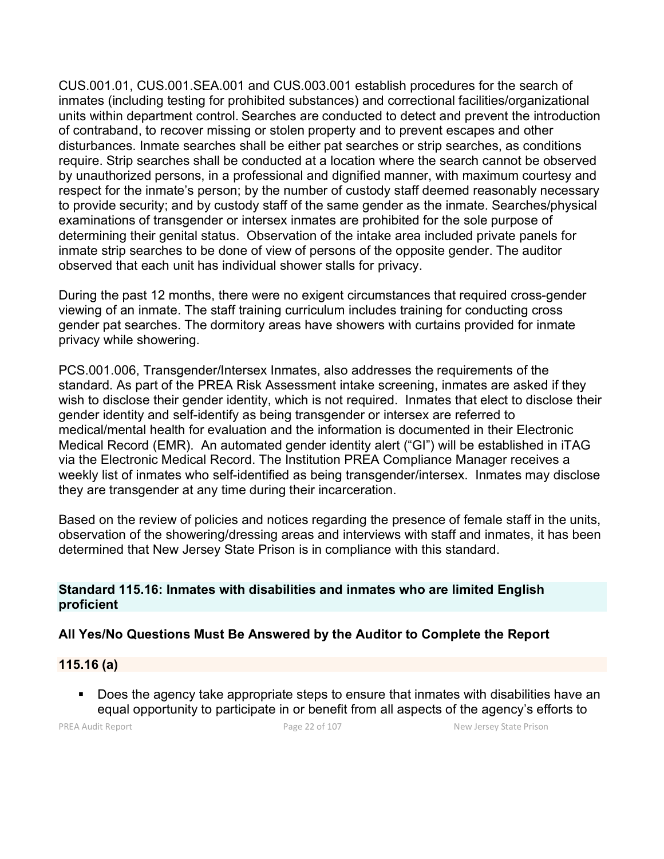CUS.001.01, CUS.001.SEA.001 and CUS.003.001 establish procedures for the search of inmates (including testing for prohibited substances) and correctional facilities/organizational units within department control. Searches are conducted to detect and prevent the introduction of contraband, to recover missing or stolen property and to prevent escapes and other disturbances. Inmate searches shall be either pat searches or strip searches, as conditions require. Strip searches shall be conducted at a location where the search cannot be observed by unauthorized persons, in a professional and dignified manner, with maximum courtesy and respect for the inmate's person; by the number of custody staff deemed reasonably necessary to provide security; and by custody staff of the same gender as the inmate. Searches/physical examinations of transgender or intersex inmates are prohibited for the sole purpose of determining their genital status. Observation of the intake area included private panels for inmate strip searches to be done of view of persons of the opposite gender. The auditor observed that each unit has individual shower stalls for privacy.

During the past 12 months, there were no exigent circumstances that required cross-gender viewing of an inmate. The staff training curriculum includes training for conducting cross gender pat searches. The dormitory areas have showers with curtains provided for inmate privacy while showering.

PCS.001.006, Transgender/Intersex Inmates, also addresses the requirements of the standard. As part of the PREA Risk Assessment intake screening, inmates are asked if they wish to disclose their gender identity, which is not required. Inmates that elect to disclose their gender identity and self-identify as being transgender or intersex are referred to medical/mental health for evaluation and the information is documented in their Electronic Medical Record (EMR). An automated gender identity alert ("GI") will be established in iTAG via the Electronic Medical Record. The Institution PREA Compliance Manager receives a weekly list of inmates who self-identified as being transgender/intersex. Inmates may disclose they are transgender at any time during their incarceration.

Based on the review of policies and notices regarding the presence of female staff in the units, observation of the showering/dressing areas and interviews with staff and inmates, it has been determined that New Jersey State Prison is in compliance with this standard.

#### **Standard 115.16: Inmates with disabilities and inmates who are limited English proficient**

## **All Yes/No Questions Must Be Answered by the Auditor to Complete the Report**

#### **115.16 (a)**

**Does the agency take appropriate steps to ensure that inmates with disabilities have an** equal opportunity to participate in or benefit from all aspects of the agency's efforts to

PREA Audit Report **Page 22 of 107** Page 22 of 107 New Jersey State Prison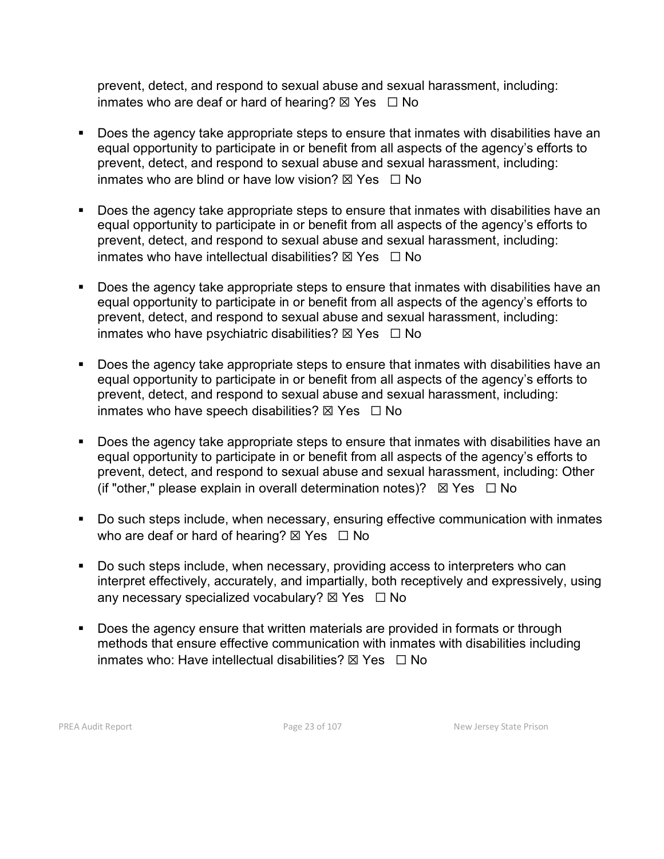prevent, detect, and respond to sexual abuse and sexual harassment, including: inmates who are deaf or hard of hearing?  $\boxtimes$  Yes  $\Box$  No

- Does the agency take appropriate steps to ensure that inmates with disabilities have an equal opportunity to participate in or benefit from all aspects of the agency's efforts to prevent, detect, and respond to sexual abuse and sexual harassment, including: inmates who are blind or have low vision?  $\boxtimes$  Yes  $\Box$  No
- Does the agency take appropriate steps to ensure that inmates with disabilities have an equal opportunity to participate in or benefit from all aspects of the agency's efforts to prevent, detect, and respond to sexual abuse and sexual harassment, including: inmates who have intellectual disabilities?  $\boxtimes$  Yes  $\Box$  No
- Does the agency take appropriate steps to ensure that inmates with disabilities have an equal opportunity to participate in or benefit from all aspects of the agency's efforts to prevent, detect, and respond to sexual abuse and sexual harassment, including: inmates who have psychiatric disabilities?  $\boxtimes$  Yes  $\Box$  No
- Does the agency take appropriate steps to ensure that inmates with disabilities have an equal opportunity to participate in or benefit from all aspects of the agency's efforts to prevent, detect, and respond to sexual abuse and sexual harassment, including: inmates who have speech disabilities?  $\boxtimes$  Yes  $\Box$  No
- **Does the agency take appropriate steps to ensure that inmates with disabilities have an** equal opportunity to participate in or benefit from all aspects of the agency's efforts to prevent, detect, and respond to sexual abuse and sexual harassment, including: Other (if "other," please explain in overall determination notes)?  $\boxtimes$  Yes  $\Box$  No
- Do such steps include, when necessary, ensuring effective communication with inmates who are deaf or hard of hearing?  $\boxtimes$  Yes  $\Box$  No
- Do such steps include, when necessary, providing access to interpreters who can interpret effectively, accurately, and impartially, both receptively and expressively, using any necessary specialized vocabulary?  $\boxtimes$  Yes  $\Box$  No
- Does the agency ensure that written materials are provided in formats or through methods that ensure effective communication with inmates with disabilities including inmates who: Have intellectual disabilities?  $\boxtimes$  Yes  $\Box$  No

PREA Audit Report **Page 23 of 107** Page 23 of 107 New Jersey State Prison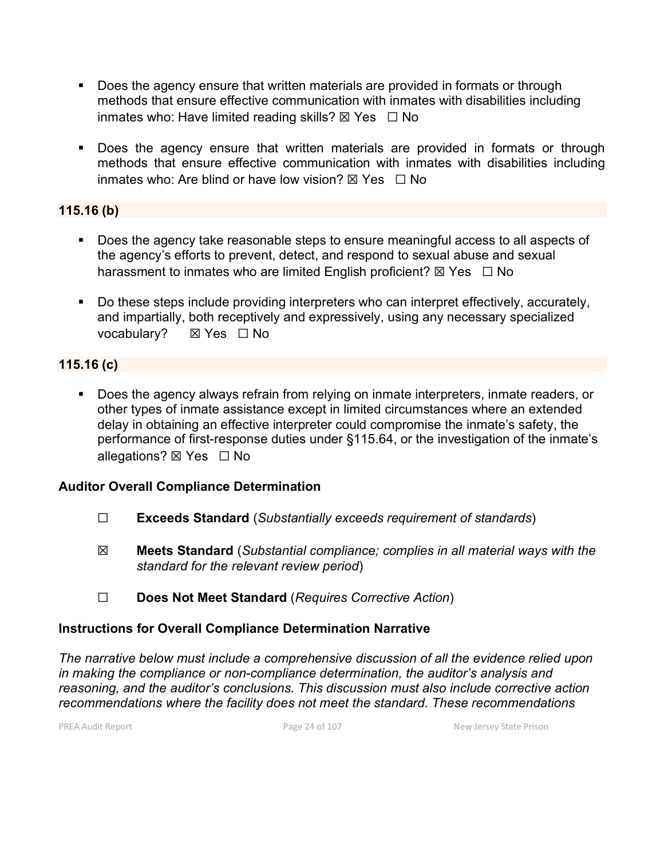- Does the agency ensure that written materials are provided in formats or through methods that ensure effective communication with inmates with disabilities including inmates who: Have limited reading skills?  $\boxtimes$  Yes  $\Box$  No
- Does the agency ensure that written materials are provided in formats or through methods that ensure effective communication with inmates with disabilities including inmates who: Are blind or have low vision?  $\boxtimes$  Yes  $\Box$  No

#### **115.16 (b)**

- Does the agency take reasonable steps to ensure meaningful access to all aspects of the agency's efforts to prevent, detect, and respond to sexual abuse and sexual harassment to inmates who are limited English proficient?  $\boxtimes$  Yes  $\Box$  No
- Do these steps include providing interpreters who can interpret effectively, accurately, and impartially, both receptively and expressively, using any necessary specialized vocabulary? **⊠ Yes** □ No

## **115.16 (c)**

Does the agency always refrain from relying on inmate interpreters, inmate readers, or other types of inmate assistance except in limited circumstances where an extended delay in obtaining an effective interpreter could compromise the inmate's safety, the performance of first-response duties under §115.64, or the investigation of the inmate's allegations? ⊠ Yes □ No

## **Auditor Overall Compliance Determination**

- ☐ **Exceeds Standard** (*Substantially exceeds requirement of standards*)
- ☒ **Meets Standard** (*Substantial compliance; complies in all material ways with the standard for the relevant review period*)
- ☐ **Does Not Meet Standard** (*Requires Corrective Action*)

## **Instructions for Overall Compliance Determination Narrative**

*The narrative below must include a comprehensive discussion of all the evidence relied upon in making the compliance or non-compliance determination, the auditor's analysis and reasoning, and the auditor's conclusions. This discussion must also include corrective action recommendations where the facility does not meet the standard. These recommendations* 

PREA Audit Report **Page 24 of 107** Page 24 of 107 New Jersey State Prison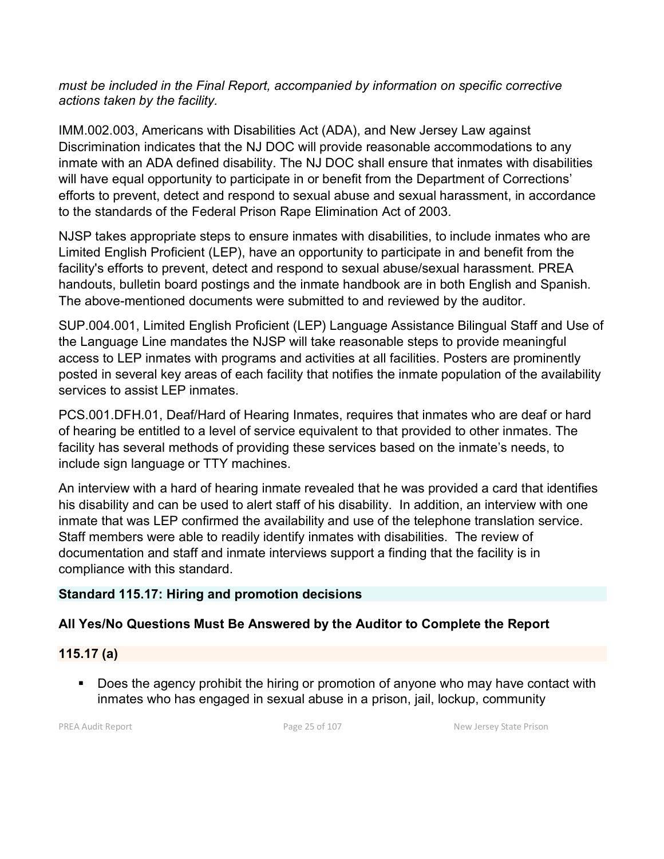#### *must be included in the Final Report, accompanied by information on specific corrective actions taken by the facility.*

IMM.002.003, Americans with Disabilities Act (ADA), and New Jersey Law against Discrimination indicates that the NJ DOC will provide reasonable accommodations to any inmate with an ADA defined disability. The NJ DOC shall ensure that inmates with disabilities will have equal opportunity to participate in or benefit from the Department of Corrections' efforts to prevent, detect and respond to sexual abuse and sexual harassment, in accordance to the standards of the Federal Prison Rape Elimination Act of 2003.

NJSP takes appropriate steps to ensure inmates with disabilities, to include inmates who are Limited English Proficient (LEP), have an opportunity to participate in and benefit from the facility's efforts to prevent, detect and respond to sexual abuse/sexual harassment. PREA handouts, bulletin board postings and the inmate handbook are in both English and Spanish. The above-mentioned documents were submitted to and reviewed by the auditor.

SUP.004.001, Limited English Proficient (LEP) Language Assistance Bilingual Staff and Use of the Language Line mandates the NJSP will take reasonable steps to provide meaningful access to LEP inmates with programs and activities at all facilities. Posters are prominently posted in several key areas of each facility that notifies the inmate population of the availability services to assist LEP inmates.

PCS.001.DFH.01, Deaf/Hard of Hearing Inmates, requires that inmates who are deaf or hard of hearing be entitled to a level of service equivalent to that provided to other inmates. The facility has several methods of providing these services based on the inmate's needs, to include sign language or TTY machines.

An interview with a hard of hearing inmate revealed that he was provided a card that identifies his disability and can be used to alert staff of his disability. In addition, an interview with one inmate that was LEP confirmed the availability and use of the telephone translation service. Staff members were able to readily identify inmates with disabilities. The review of documentation and staff and inmate interviews support a finding that the facility is in compliance with this standard.

# **Standard 115.17: Hiring and promotion decisions**

# **All Yes/No Questions Must Be Answered by the Auditor to Complete the Report**

# **115.17 (a)**

Does the agency prohibit the hiring or promotion of anyone who may have contact with inmates who has engaged in sexual abuse in a prison, jail, lockup, community

PREA Audit Report **Page 25 of 107** Page 25 of 107 New Jersey State Prison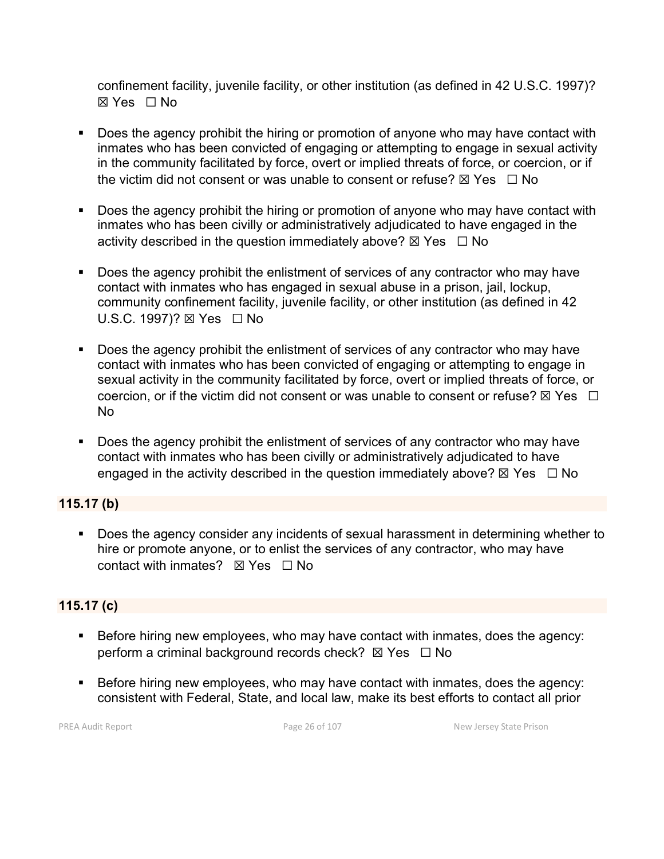confinement facility, juvenile facility, or other institution (as defined in 42 U.S.C. 1997)? ☒ Yes ☐ No

- Does the agency prohibit the hiring or promotion of anyone who may have contact with inmates who has been convicted of engaging or attempting to engage in sexual activity in the community facilitated by force, overt or implied threats of force, or coercion, or if the victim did not consent or was unable to consent or refuse?  $\boxtimes$  Yes  $\Box$  No
- Does the agency prohibit the hiring or promotion of anyone who may have contact with inmates who has been civilly or administratively adjudicated to have engaged in the activity described in the question immediately above?  $\boxtimes$  Yes  $\Box$  No
- Does the agency prohibit the enlistment of services of any contractor who may have contact with inmates who has engaged in sexual abuse in a prison, jail, lockup, community confinement facility, juvenile facility, or other institution (as defined in 42 U.S.C. 1997)? ⊠ Yes □ No
- Does the agency prohibit the enlistment of services of any contractor who may have contact with inmates who has been convicted of engaging or attempting to engage in sexual activity in the community facilitated by force, overt or implied threats of force, or coercion, or if the victim did not consent or was unable to consent or refuse?  $\boxtimes$  Yes  $\Box$ No
- Does the agency prohibit the enlistment of services of any contractor who may have contact with inmates who has been civilly or administratively adjudicated to have engaged in the activity described in the question immediately above?  $\boxtimes$  Yes  $\Box$  No

## **115.17 (b)**

Does the agency consider any incidents of sexual harassment in determining whether to hire or promote anyone, or to enlist the services of any contractor, who may have contact with inmates? ☒ Yes ☐ No

## **115.17 (c)**

- Before hiring new employees, who may have contact with inmates, does the agency: perform a criminal background records check?  $\boxtimes$  Yes  $\Box$  No
- Before hiring new employees, who may have contact with inmates, does the agency: consistent with Federal, State, and local law, make its best efforts to contact all prior

PREA Audit Report **Page 26 of 107** Page 26 of 107 New Jersey State Prison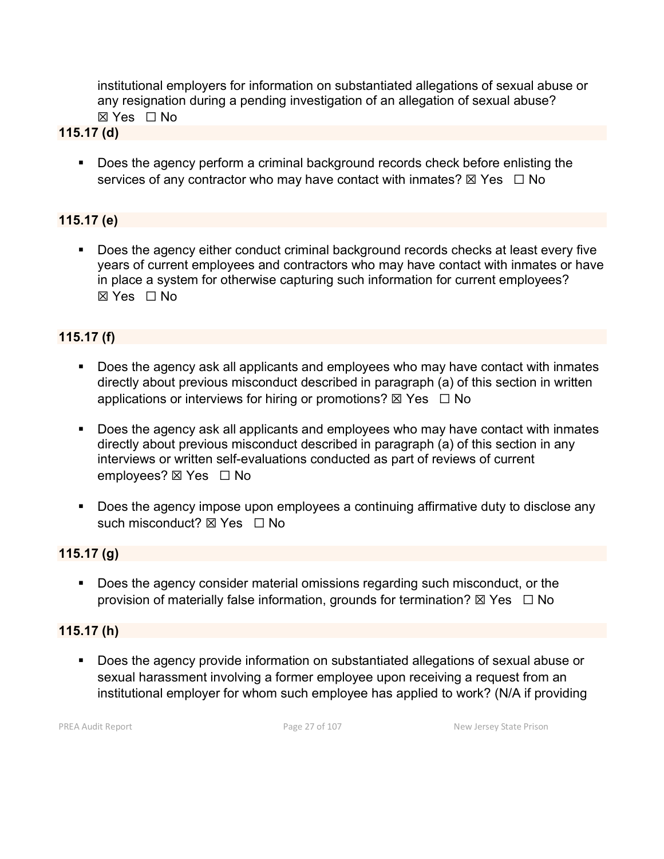institutional employers for information on substantiated allegations of sexual abuse or any resignation during a pending investigation of an allegation of sexual abuse? ☒ Yes ☐ No

#### **115.17 (d)**

 Does the agency perform a criminal background records check before enlisting the services of any contractor who may have contact with inmates?  $\boxtimes$  Yes  $\Box$  No

## **115.17 (e)**

 Does the agency either conduct criminal background records checks at least every five years of current employees and contractors who may have contact with inmates or have in place a system for otherwise capturing such information for current employees? ☒ Yes ☐ No

# **115.17 (f)**

- **Does the agency ask all applicants and employees who may have contact with inmates** directly about previous misconduct described in paragraph (a) of this section in written applications or interviews for hiring or promotions?  $\boxtimes$  Yes  $\Box$  No
- **Does the agency ask all applicants and employees who may have contact with inmates** directly about previous misconduct described in paragraph (a) of this section in any interviews or written self-evaluations conducted as part of reviews of current employees? ⊠ Yes □ No
- **Does the agency impose upon employees a continuing affirmative duty to disclose any** such misconduct?  $\boxtimes$  Yes  $\Box$  No

## **115.17 (g)**

 Does the agency consider material omissions regarding such misconduct, or the provision of materially false information, grounds for termination?  $\boxtimes$  Yes  $\Box$  No

#### **115.17 (h)**

 Does the agency provide information on substantiated allegations of sexual abuse or sexual harassment involving a former employee upon receiving a request from an institutional employer for whom such employee has applied to work? (N/A if providing

PREA Audit Report **Page 27 of 107** Page 27 of 107 New Jersey State Prison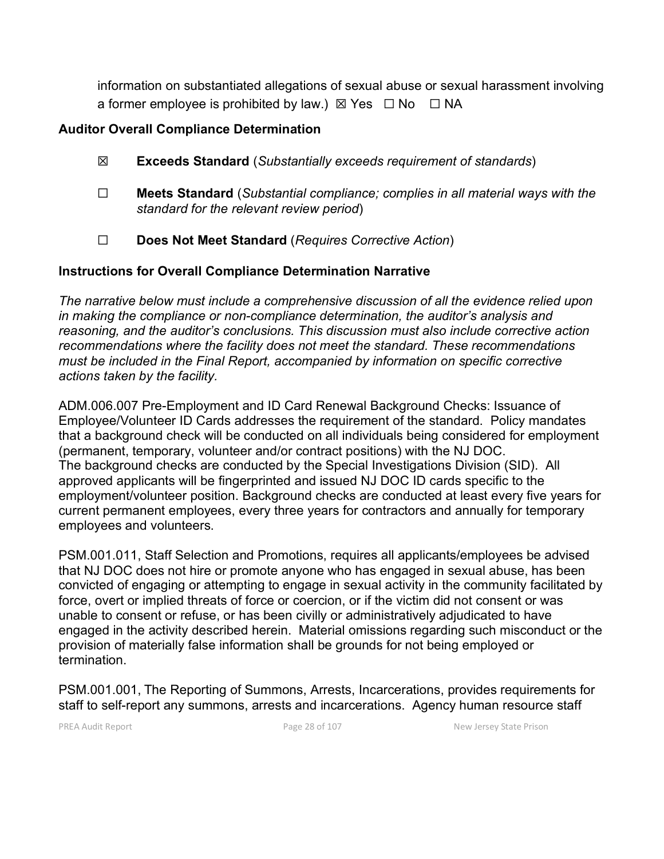information on substantiated allegations of sexual abuse or sexual harassment involving a former employee is prohibited by law.)  $\boxtimes$  Yes  $\Box$  No  $\Box$  NA

#### **Auditor Overall Compliance Determination**

- ☒ **Exceeds Standard** (*Substantially exceeds requirement of standards*)
- ☐ **Meets Standard** (*Substantial compliance; complies in all material ways with the standard for the relevant review period*)
- ☐ **Does Not Meet Standard** (*Requires Corrective Action*)

## **Instructions for Overall Compliance Determination Narrative**

*The narrative below must include a comprehensive discussion of all the evidence relied upon in making the compliance or non-compliance determination, the auditor's analysis and reasoning, and the auditor's conclusions. This discussion must also include corrective action recommendations where the facility does not meet the standard. These recommendations must be included in the Final Report, accompanied by information on specific corrective actions taken by the facility.*

ADM.006.007 Pre-Employment and ID Card Renewal Background Checks: Issuance of Employee/Volunteer ID Cards addresses the requirement of the standard. Policy mandates that a background check will be conducted on all individuals being considered for employment (permanent, temporary, volunteer and/or contract positions) with the NJ DOC. The background checks are conducted by the Special Investigations Division (SID). All approved applicants will be fingerprinted and issued NJ DOC ID cards specific to the employment/volunteer position. Background checks are conducted at least every five years for current permanent employees, every three years for contractors and annually for temporary employees and volunteers.

PSM.001.011, Staff Selection and Promotions, requires all applicants/employees be advised that NJ DOC does not hire or promote anyone who has engaged in sexual abuse, has been convicted of engaging or attempting to engage in sexual activity in the community facilitated by force, overt or implied threats of force or coercion, or if the victim did not consent or was unable to consent or refuse, or has been civilly or administratively adjudicated to have engaged in the activity described herein. Material omissions regarding such misconduct or the provision of materially false information shall be grounds for not being employed or termination.

PSM.001.001, The Reporting of Summons, Arrests, Incarcerations, provides requirements for staff to self-report any summons, arrests and incarcerations. Agency human resource staff

PREA Audit Report **Page 28 of 107** Page 28 of 107 New Jersey State Prison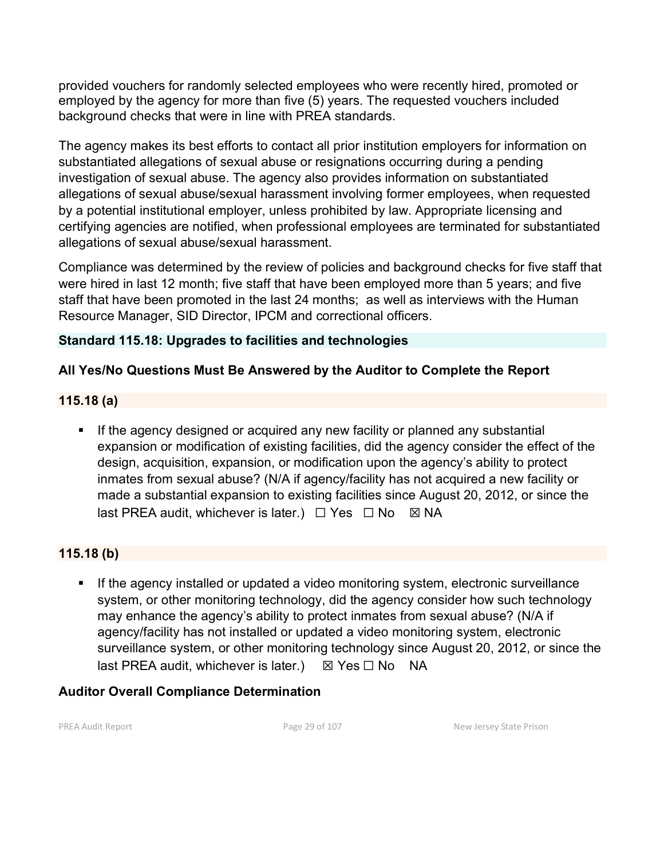provided vouchers for randomly selected employees who were recently hired, promoted or employed by the agency for more than five (5) years. The requested vouchers included background checks that were in line with PREA standards.

The agency makes its best efforts to contact all prior institution employers for information on substantiated allegations of sexual abuse or resignations occurring during a pending investigation of sexual abuse. The agency also provides information on substantiated allegations of sexual abuse/sexual harassment involving former employees, when requested by a potential institutional employer, unless prohibited by law. Appropriate licensing and certifying agencies are notified, when professional employees are terminated for substantiated allegations of sexual abuse/sexual harassment.

Compliance was determined by the review of policies and background checks for five staff that were hired in last 12 month; five staff that have been employed more than 5 years; and five staff that have been promoted in the last 24 months; as well as interviews with the Human Resource Manager, SID Director, IPCM and correctional officers.

# **Standard 115.18: Upgrades to facilities and technologies**

# **All Yes/No Questions Must Be Answered by the Auditor to Complete the Report**

## **115.18 (a)**

**If the agency designed or acquired any new facility or planned any substantial** expansion or modification of existing facilities, did the agency consider the effect of the design, acquisition, expansion, or modification upon the agency's ability to protect inmates from sexual abuse? (N/A if agency/facility has not acquired a new facility or made a substantial expansion to existing facilities since August 20, 2012, or since the last PREA audit, whichever is later.)  $\Box$  Yes  $\Box$  No  $\boxtimes$  NA

# **115.18 (b)**

**If the agency installed or updated a video monitoring system, electronic surveillance** system, or other monitoring technology, did the agency consider how such technology may enhance the agency's ability to protect inmates from sexual abuse? (N/A if agency/facility has not installed or updated a video monitoring system, electronic surveillance system, or other monitoring technology since August 20, 2012, or since the last PREA audit, whichever is later.)  $\boxtimes$  Yes  $\Box$  No NA

## **Auditor Overall Compliance Determination**

PREA Audit Report **Page 29 of 107** Page 29 of 107 New Jersey State Prison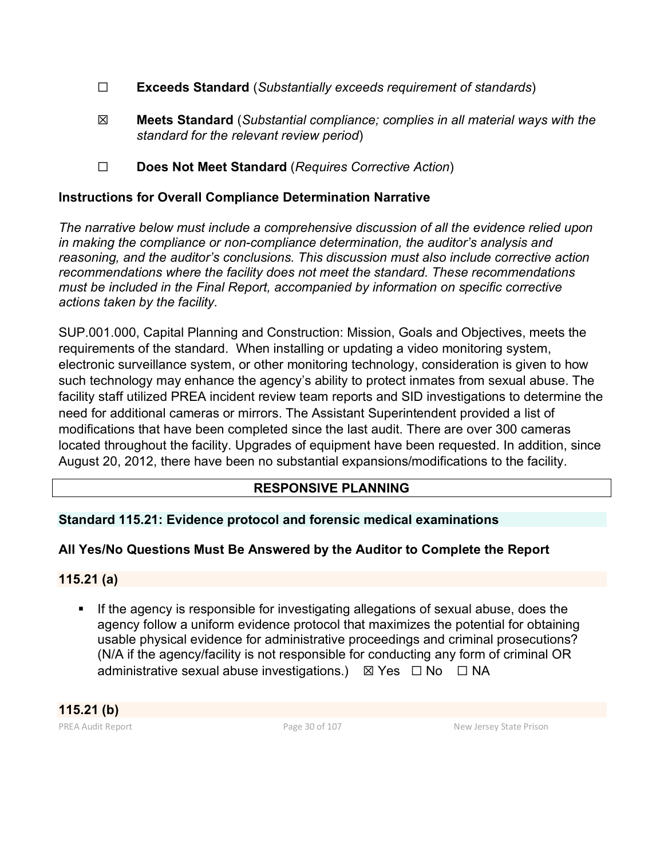- ☐ **Exceeds Standard** (*Substantially exceeds requirement of standards*)
- ☒ **Meets Standard** (*Substantial compliance; complies in all material ways with the standard for the relevant review period*)
- ☐ **Does Not Meet Standard** (*Requires Corrective Action*)

## **Instructions for Overall Compliance Determination Narrative**

*The narrative below must include a comprehensive discussion of all the evidence relied upon in making the compliance or non-compliance determination, the auditor's analysis and reasoning, and the auditor's conclusions. This discussion must also include corrective action recommendations where the facility does not meet the standard. These recommendations must be included in the Final Report, accompanied by information on specific corrective actions taken by the facility.*

SUP.001.000, Capital Planning and Construction: Mission, Goals and Objectives, meets the requirements of the standard. When installing or updating a video monitoring system, electronic surveillance system, or other monitoring technology, consideration is given to how such technology may enhance the agency's ability to protect inmates from sexual abuse. The facility staff utilized PREA incident review team reports and SID investigations to determine the need for additional cameras or mirrors. The Assistant Superintendent provided a list of modifications that have been completed since the last audit. There are over 300 cameras located throughout the facility. Upgrades of equipment have been requested. In addition, since August 20, 2012, there have been no substantial expansions/modifications to the facility.

## **RESPONSIVE PLANNING**

## **Standard 115.21: Evidence protocol and forensic medical examinations**

## **All Yes/No Questions Must Be Answered by the Auditor to Complete the Report**

#### **115.21 (a)**

If the agency is responsible for investigating allegations of sexual abuse, does the agency follow a uniform evidence protocol that maximizes the potential for obtaining usable physical evidence for administrative proceedings and criminal prosecutions? (N/A if the agency/facility is not responsible for conducting any form of criminal OR administrative sexual abuse investigations.)  $\boxtimes$  Yes  $\Box$  No  $\Box$  NA

PREA Audit Report **Page 30 of 107** Page 30 of 107 New Jersey State Prison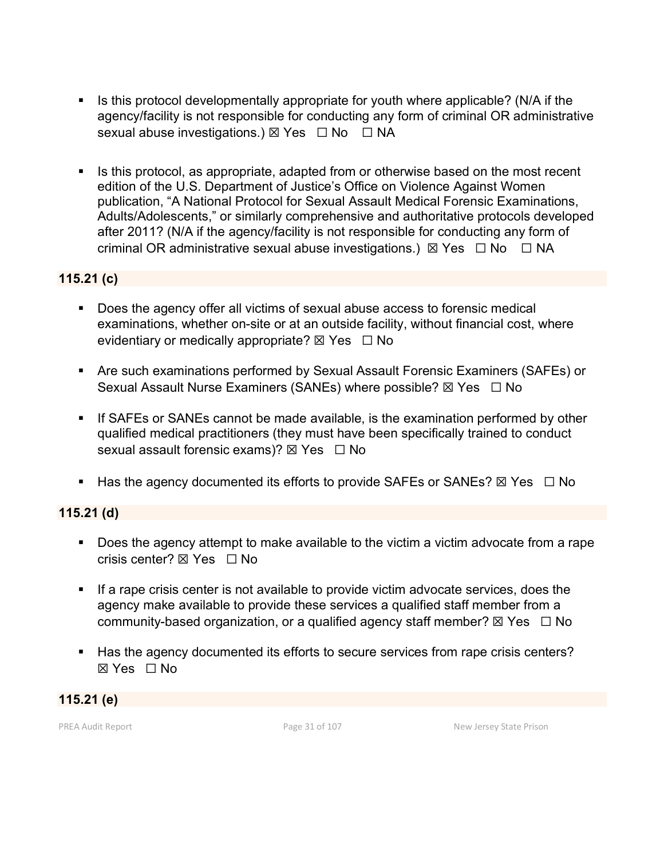- Is this protocol developmentally appropriate for youth where applicable? (N/A if the agency/facility is not responsible for conducting any form of criminal OR administrative sexual abuse investigations.) ⊠ Yes □ No □ NA
- Is this protocol, as appropriate, adapted from or otherwise based on the most recent edition of the U.S. Department of Justice's Office on Violence Against Women publication, "A National Protocol for Sexual Assault Medical Forensic Examinations, Adults/Adolescents," or similarly comprehensive and authoritative protocols developed after 2011? (N/A if the agency/facility is not responsible for conducting any form of criminal OR administrative sexual abuse investigations.)  $\boxtimes$  Yes  $\Box$  No  $\Box$  NA

#### **115.21 (c)**

- Does the agency offer all victims of sexual abuse access to forensic medical examinations, whether on-site or at an outside facility, without financial cost, where evidentiary or medically appropriate?  $\boxtimes$  Yes  $\Box$  No
- Are such examinations performed by Sexual Assault Forensic Examiners (SAFEs) or Sexual Assault Nurse Examiners (SANEs) where possible? ⊠ Yes □ No
- **If SAFEs or SANEs cannot be made available, is the examination performed by other** qualified medical practitioners (they must have been specifically trained to conduct sexual assault forensic exams)?  $\boxtimes$  Yes  $\Box$  No
- **Has the agency documented its efforts to provide SAFEs or SANEs?**  $\boxtimes$  Yes  $\Box$  No

#### **115.21 (d)**

- **Does the agency attempt to make available to the victim a victim advocate from a rape** crisis center?  $\boxtimes$  Yes  $\Box$  No
- **If a rape crisis center is not available to provide victim advocate services, does the** agency make available to provide these services a qualified staff member from a community-based organization, or a qualified agency staff member?  $\boxtimes$  Yes  $\Box$  No
- Has the agency documented its efforts to secure services from rape crisis centers? ☒ Yes ☐ No

## **115.21 (e)**

PREA Audit Report **Page 31 of 107** Page 31 of 107 New Jersey State Prison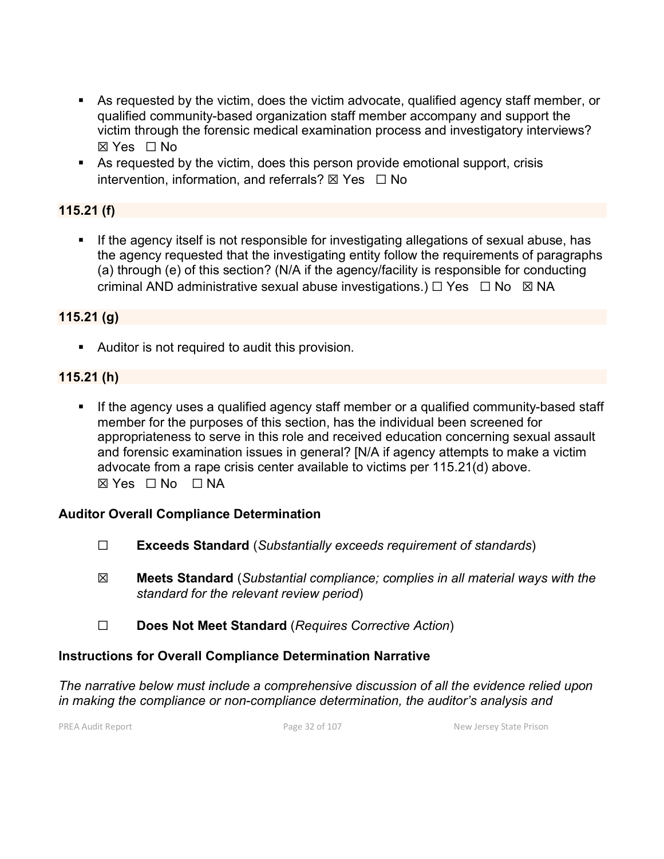- As requested by the victim, does the victim advocate, qualified agency staff member, or qualified community-based organization staff member accompany and support the victim through the forensic medical examination process and investigatory interviews? ☒ Yes ☐ No
- As requested by the victim, does this person provide emotional support, crisis intervention, information, and referrals?  $\boxtimes$  Yes  $\Box$  No

## **115.21 (f)**

**If the agency itself is not responsible for investigating allegations of sexual abuse, has** the agency requested that the investigating entity follow the requirements of paragraphs (a) through (e) of this section? (N/A if the agency/facility is responsible for conducting criminal AND administrative sexual abuse investigations.)  $\Box$  Yes  $\Box$  No  $\boxtimes$  NA

#### **115.21 (g)**

Auditor is not required to audit this provision.

#### **115.21 (h)**

**If the agency uses a qualified agency staff member or a qualified community-based staff** member for the purposes of this section, has the individual been screened for appropriateness to serve in this role and received education concerning sexual assault and forensic examination issues in general? [N/A if agency attempts to make a victim advocate from a rape crisis center available to victims per 115.21(d) above.  $\boxtimes$  Yes  $\Box$  No  $\Box$  NA

## **Auditor Overall Compliance Determination**

- ☐ **Exceeds Standard** (*Substantially exceeds requirement of standards*)
- ☒ **Meets Standard** (*Substantial compliance; complies in all material ways with the standard for the relevant review period*)
- ☐ **Does Not Meet Standard** (*Requires Corrective Action*)

## **Instructions for Overall Compliance Determination Narrative**

*The narrative below must include a comprehensive discussion of all the evidence relied upon in making the compliance or non-compliance determination, the auditor's analysis and* 

PREA Audit Report **Page 32 of 107** Page 32 of 107 New Jersey State Prison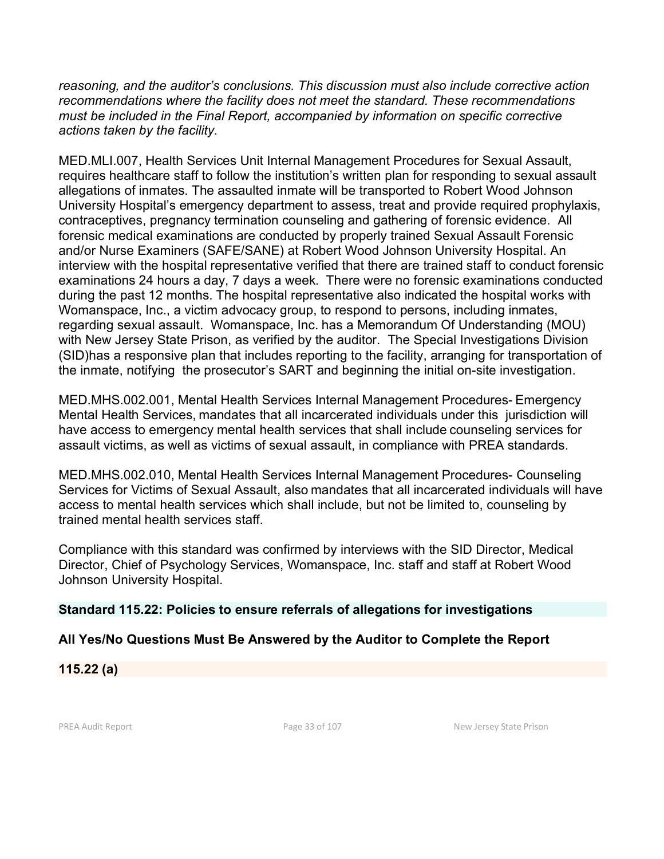*reasoning, and the auditor's conclusions. This discussion must also include corrective action recommendations where the facility does not meet the standard. These recommendations must be included in the Final Report, accompanied by information on specific corrective actions taken by the facility.*

MED.MLI.007, Health Services Unit Internal Management Procedures for Sexual Assault, requires healthcare staff to follow the institution's written plan for responding to sexual assault allegations of inmates. The assaulted inmate will be transported to Robert Wood Johnson University Hospital's emergency department to assess, treat and provide required prophylaxis, contraceptives, pregnancy termination counseling and gathering of forensic evidence. All forensic medical examinations are conducted by properly trained Sexual Assault Forensic and/or Nurse Examiners (SAFE/SANE) at Robert Wood Johnson University Hospital. An interview with the hospital representative verified that there are trained staff to conduct forensic examinations 24 hours a day, 7 days a week. There were no forensic examinations conducted during the past 12 months. The hospital representative also indicated the hospital works with Womanspace, Inc., a victim advocacy group, to respond to persons, including inmates, regarding sexual assault. Womanspace, Inc. has a Memorandum Of Understanding (MOU) with New Jersey State Prison, as verified by the auditor. The Special Investigations Division (SID)has a responsive plan that includes reporting to the facility, arranging for transportation of the inmate, notifying the prosecutor's SART and beginning the initial on-site investigation.

MED.MHS.002.001, Mental Health Services Internal Management Procedures- Emergency Mental Health Services, mandates that all incarcerated individuals under this jurisdiction will have access to emergency mental health services that shall include counseling services for assault victims, as well as victims of sexual assault, in compliance with PREA standards.

MED.MHS.002.010, Mental Health Services Internal Management Procedures- Counseling Services for Victims of Sexual Assault, also mandates that all incarcerated individuals will have access to mental health services which shall include, but not be limited to, counseling by trained mental health services staff.

Compliance with this standard was confirmed by interviews with the SID Director, Medical Director, Chief of Psychology Services, Womanspace, Inc. staff and staff at Robert Wood Johnson University Hospital.

#### **Standard 115.22: Policies to ensure referrals of allegations for investigations**

## **All Yes/No Questions Must Be Answered by the Auditor to Complete the Report**

**115.22 (a)**

PREA Audit Report **Page 33 of 107** Page 33 of 107 New Jersey State Prison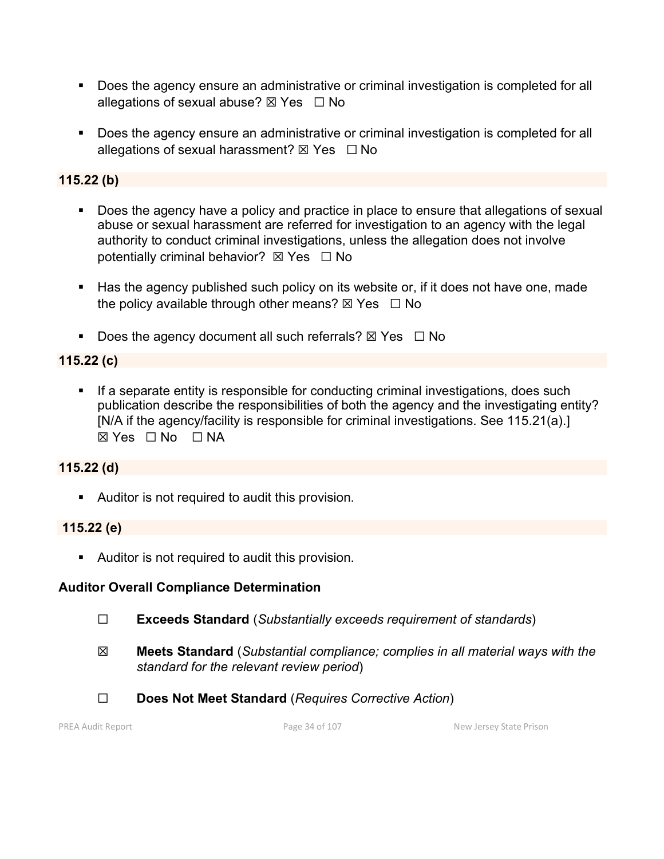- **Does the agency ensure an administrative or criminal investigation is completed for all** allegations of sexual abuse?  $\boxtimes$  Yes  $\Box$  No
- **Does the agency ensure an administrative or criminal investigation is completed for all** allegations of sexual harassment?  $\boxtimes$  Yes  $\Box$  No

# **115.22 (b)**

- Does the agency have a policy and practice in place to ensure that allegations of sexual abuse or sexual harassment are referred for investigation to an agency with the legal authority to conduct criminal investigations, unless the allegation does not involve potentially criminal behavior?  $\boxtimes$  Yes  $\Box$  No
- Has the agency published such policy on its website or, if it does not have one, made the policy available through other means?  $\boxtimes$  Yes  $\Box$  No
- Does the agency document all such referrals?  $\boxtimes$  Yes  $\Box$  No

# **115.22 (c)**

**If a separate entity is responsible for conducting criminal investigations, does such** publication describe the responsibilities of both the agency and the investigating entity? [N/A if the agency/facility is responsible for criminal investigations. See 115.21(a).]  $\boxtimes$  Yes  $\Box$  No  $\Box$  NA

# **115.22 (d)**

Auditor is not required to audit this provision.

# **115.22 (e)**

Auditor is not required to audit this provision.

# **Auditor Overall Compliance Determination**

- ☐ **Exceeds Standard** (*Substantially exceeds requirement of standards*)
- ☒ **Meets Standard** (*Substantial compliance; complies in all material ways with the standard for the relevant review period*)
- ☐ **Does Not Meet Standard** (*Requires Corrective Action*)

PREA Audit Report **Page 34 of 107** Page 34 of 107 New Jersey State Prison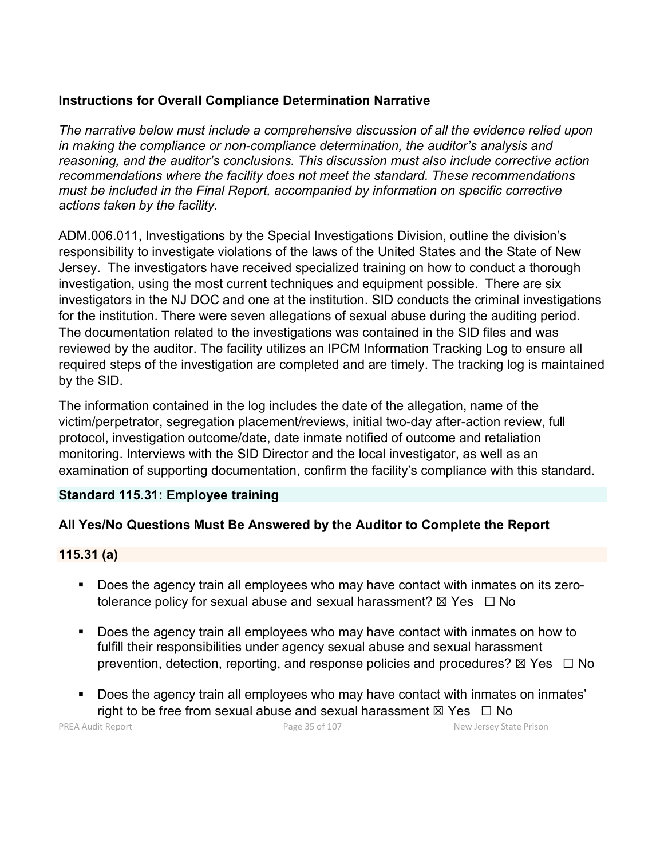## **Instructions for Overall Compliance Determination Narrative**

*The narrative below must include a comprehensive discussion of all the evidence relied upon in making the compliance or non-compliance determination, the auditor's analysis and reasoning, and the auditor's conclusions. This discussion must also include corrective action recommendations where the facility does not meet the standard. These recommendations must be included in the Final Report, accompanied by information on specific corrective actions taken by the facility.*

ADM.006.011, Investigations by the Special Investigations Division, outline the division's responsibility to investigate violations of the laws of the United States and the State of New Jersey. The investigators have received specialized training on how to conduct a thorough investigation, using the most current techniques and equipment possible. There are six investigators in the NJ DOC and one at the institution. SID conducts the criminal investigations for the institution. There were seven allegations of sexual abuse during the auditing period. The documentation related to the investigations was contained in the SID files and was reviewed by the auditor. The facility utilizes an IPCM Information Tracking Log to ensure all required steps of the investigation are completed and are timely. The tracking log is maintained by the SID.

The information contained in the log includes the date of the allegation, name of the victim/perpetrator, segregation placement/reviews, initial two-day after-action review, full protocol, investigation outcome/date, date inmate notified of outcome and retaliation monitoring. Interviews with the SID Director and the local investigator, as well as an examination of supporting documentation, confirm the facility's compliance with this standard.

## **Standard 115.31: Employee training**

# **All Yes/No Questions Must Be Answered by the Auditor to Complete the Report**

## **115.31 (a)**

- Does the agency train all employees who may have contact with inmates on its zerotolerance policy for sexual abuse and sexual harassment?  $\boxtimes$  Yes  $\Box$  No
- Does the agency train all employees who may have contact with inmates on how to fulfill their responsibilities under agency sexual abuse and sexual harassment prevention, detection, reporting, and response policies and procedures?  $\boxtimes$  Yes  $\Box$  No
- **Does the agency train all employees who may have contact with inmates on inmates'** right to be free from sexual abuse and sexual harassment  $\boxtimes$  Yes  $\Box$  No

PREA Audit Report **Page 35 of 107** Page 35 of 107 New Jersey State Prison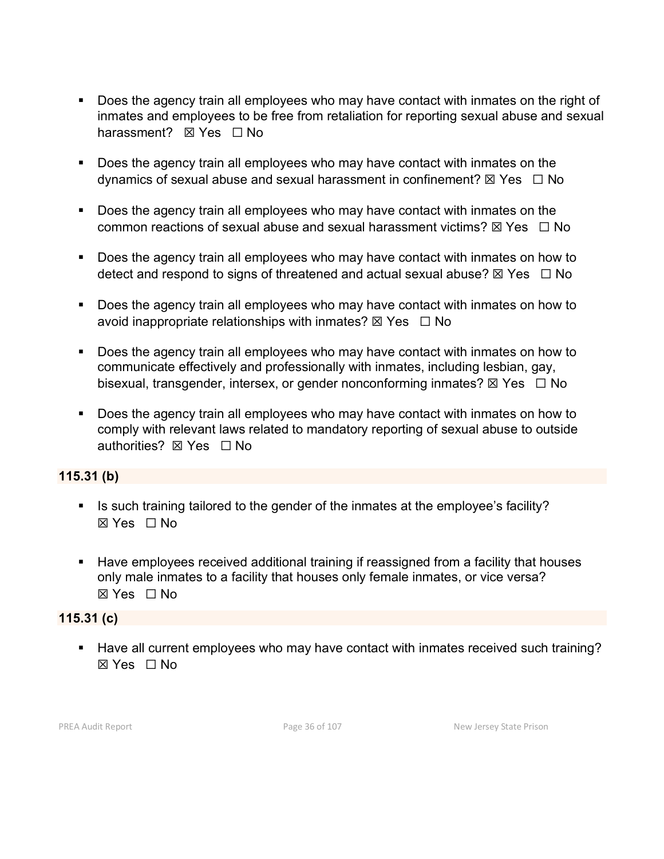- Does the agency train all employees who may have contact with inmates on the right of inmates and employees to be free from retaliation for reporting sexual abuse and sexual harassment? **⊠** Yes □ No
- Does the agency train all employees who may have contact with inmates on the dynamics of sexual abuse and sexual harassment in confinement?  $\boxtimes$  Yes  $\Box$  No
- **Does the agency train all employees who may have contact with inmates on the** common reactions of sexual abuse and sexual harassment victims?  $\boxtimes$  Yes  $\Box$  No
- Does the agency train all employees who may have contact with inmates on how to detect and respond to signs of threatened and actual sexual abuse?  $\boxtimes$  Yes  $\Box$  No
- Does the agency train all employees who may have contact with inmates on how to avoid inappropriate relationships with inmates?  $\boxtimes$  Yes  $\Box$  No
- **Does the agency train all employees who may have contact with inmates on how to** communicate effectively and professionally with inmates, including lesbian, gay, bisexual, transgender, intersex, or gender nonconforming inmates?  $\boxtimes$  Yes  $\Box$  No
- Does the agency train all employees who may have contact with inmates on how to comply with relevant laws related to mandatory reporting of sexual abuse to outside authorities? ⊠ Yes □ No

#### **115.31 (b)**

- Is such training tailored to the gender of the inmates at the employee's facility? ☒ Yes ☐ No
- **Have employees received additional training if reassigned from a facility that houses** only male inmates to a facility that houses only female inmates, or vice versa? ☒ Yes ☐ No

## **115.31 (c)**

■ Have all current employees who may have contact with inmates received such training? ☒ Yes ☐ No

PREA Audit Report **Page 36 of 107** Page 36 of 107 New Jersey State Prison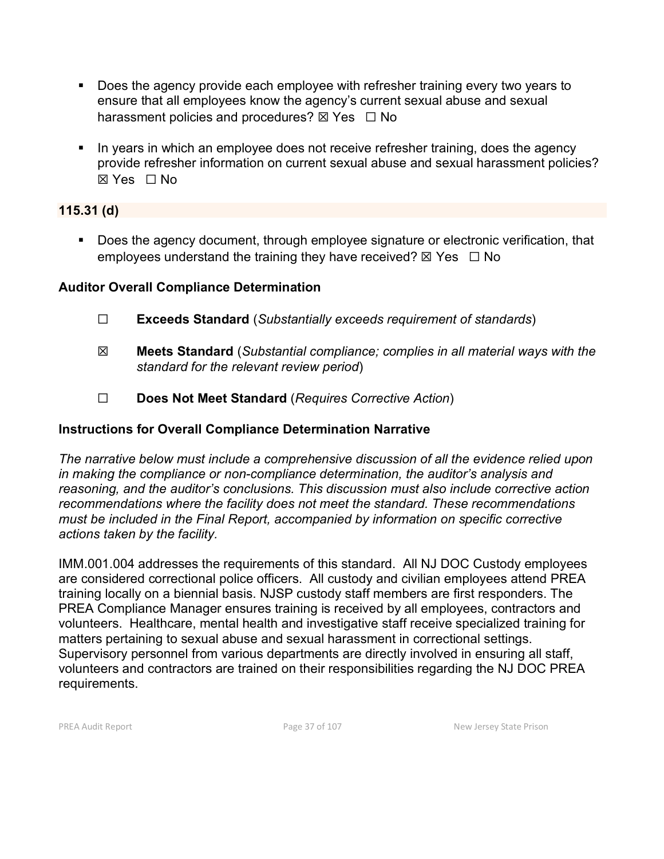- Does the agency provide each employee with refresher training every two years to ensure that all employees know the agency's current sexual abuse and sexual harassment policies and procedures?  $\boxtimes$  Yes  $\Box$  No
- In years in which an employee does not receive refresher training, does the agency provide refresher information on current sexual abuse and sexual harassment policies? ☒ Yes ☐ No

### **115.31 (d)**

 Does the agency document, through employee signature or electronic verification, that employees understand the training they have received?  $\boxtimes$  Yes  $\Box$  No

### **Auditor Overall Compliance Determination**

- ☐ **Exceeds Standard** (*Substantially exceeds requirement of standards*)
- ☒ **Meets Standard** (*Substantial compliance; complies in all material ways with the standard for the relevant review period*)
- ☐ **Does Not Meet Standard** (*Requires Corrective Action*)

## **Instructions for Overall Compliance Determination Narrative**

*The narrative below must include a comprehensive discussion of all the evidence relied upon in making the compliance or non-compliance determination, the auditor's analysis and reasoning, and the auditor's conclusions. This discussion must also include corrective action recommendations where the facility does not meet the standard. These recommendations must be included in the Final Report, accompanied by information on specific corrective actions taken by the facility.*

IMM.001.004 addresses the requirements of this standard. All NJ DOC Custody employees are considered correctional police officers. All custody and civilian employees attend PREA training locally on a biennial basis. NJSP custody staff members are first responders. The PREA Compliance Manager ensures training is received by all employees, contractors and volunteers. Healthcare, mental health and investigative staff receive specialized training for matters pertaining to sexual abuse and sexual harassment in correctional settings. Supervisory personnel from various departments are directly involved in ensuring all staff, volunteers and contractors are trained on their responsibilities regarding the NJ DOC PREA requirements.

PREA Audit Report **Page 37** of 107 New Jersey State Prison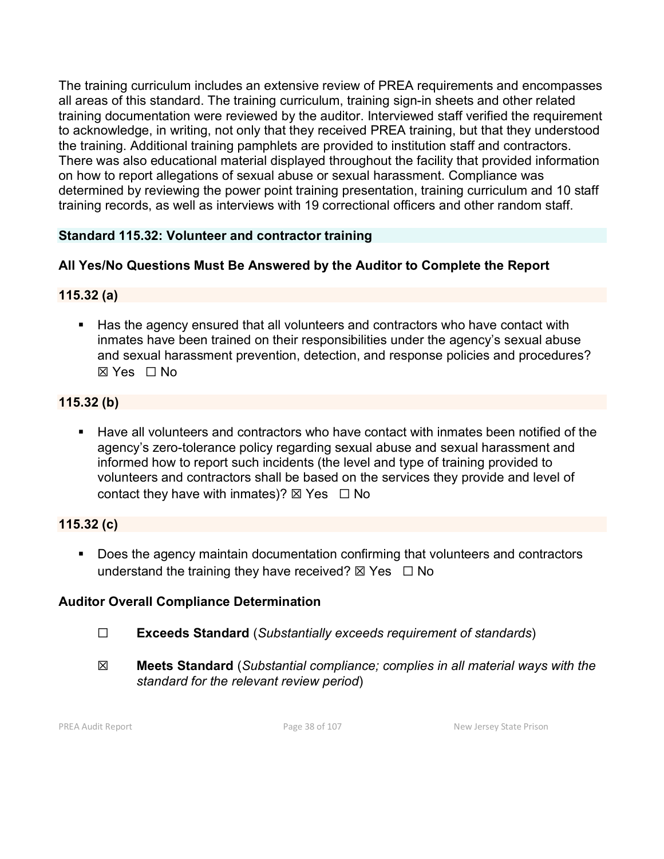The training curriculum includes an extensive review of PREA requirements and encompasses all areas of this standard. The training curriculum, training sign-in sheets and other related training documentation were reviewed by the auditor. Interviewed staff verified the requirement to acknowledge, in writing, not only that they received PREA training, but that they understood the training. Additional training pamphlets are provided to institution staff and contractors. There was also educational material displayed throughout the facility that provided information on how to report allegations of sexual abuse or sexual harassment. Compliance was determined by reviewing the power point training presentation, training curriculum and 10 staff training records, as well as interviews with 19 correctional officers and other random staff.

# **Standard 115.32: Volunteer and contractor training**

# **All Yes/No Questions Must Be Answered by the Auditor to Complete the Report**

# **115.32 (a)**

 Has the agency ensured that all volunteers and contractors who have contact with inmates have been trained on their responsibilities under the agency's sexual abuse and sexual harassment prevention, detection, and response policies and procedures? ☒ Yes ☐ No

# **115.32 (b)**

 Have all volunteers and contractors who have contact with inmates been notified of the agency's zero-tolerance policy regarding sexual abuse and sexual harassment and informed how to report such incidents (the level and type of training provided to volunteers and contractors shall be based on the services they provide and level of contact they have with inmates)?  $\boxtimes$  Yes  $\Box$  No

# **115.32 (c)**

**Does the agency maintain documentation confirming that volunteers and contractors** understand the training they have received?  $\boxtimes$  Yes  $\Box$  No

# **Auditor Overall Compliance Determination**

- ☐ **Exceeds Standard** (*Substantially exceeds requirement of standards*)
- ☒ **Meets Standard** (*Substantial compliance; complies in all material ways with the standard for the relevant review period*)

PREA Audit Report **Page 38 of 107** Page 38 of 107 New Jersey State Prison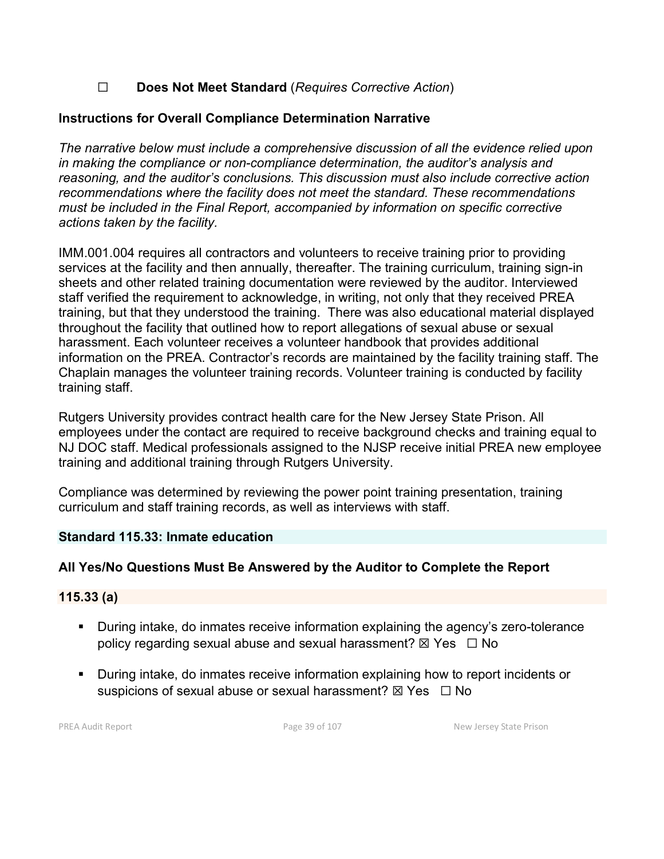# ☐ **Does Not Meet Standard** (*Requires Corrective Action*)

## **Instructions for Overall Compliance Determination Narrative**

*The narrative below must include a comprehensive discussion of all the evidence relied upon in making the compliance or non-compliance determination, the auditor's analysis and reasoning, and the auditor's conclusions. This discussion must also include corrective action recommendations where the facility does not meet the standard. These recommendations must be included in the Final Report, accompanied by information on specific corrective actions taken by the facility.*

IMM.001.004 requires all contractors and volunteers to receive training prior to providing services at the facility and then annually, thereafter. The training curriculum, training sign-in sheets and other related training documentation were reviewed by the auditor. Interviewed staff verified the requirement to acknowledge, in writing, not only that they received PREA training, but that they understood the training. There was also educational material displayed throughout the facility that outlined how to report allegations of sexual abuse or sexual harassment. Each volunteer receives a volunteer handbook that provides additional information on the PREA. Contractor's records are maintained by the facility training staff. The Chaplain manages the volunteer training records. Volunteer training is conducted by facility training staff.

Rutgers University provides contract health care for the New Jersey State Prison. All employees under the contact are required to receive background checks and training equal to NJ DOC staff. Medical professionals assigned to the NJSP receive initial PREA new employee training and additional training through Rutgers University.

Compliance was determined by reviewing the power point training presentation, training curriculum and staff training records, as well as interviews with staff.

#### **Standard 115.33: Inmate education**

#### **All Yes/No Questions Must Be Answered by the Auditor to Complete the Report**

#### **115.33 (a)**

- During intake, do inmates receive information explaining the agency's zero-tolerance policy regarding sexual abuse and sexual harassment?  $\boxtimes$  Yes  $\Box$  No
- During intake, do inmates receive information explaining how to report incidents or suspicions of sexual abuse or sexual harassment?  $\boxtimes$  Yes  $\Box$  No

PREA Audit Report **Page 39 of 107** Page 39 of 107 New Jersey State Prison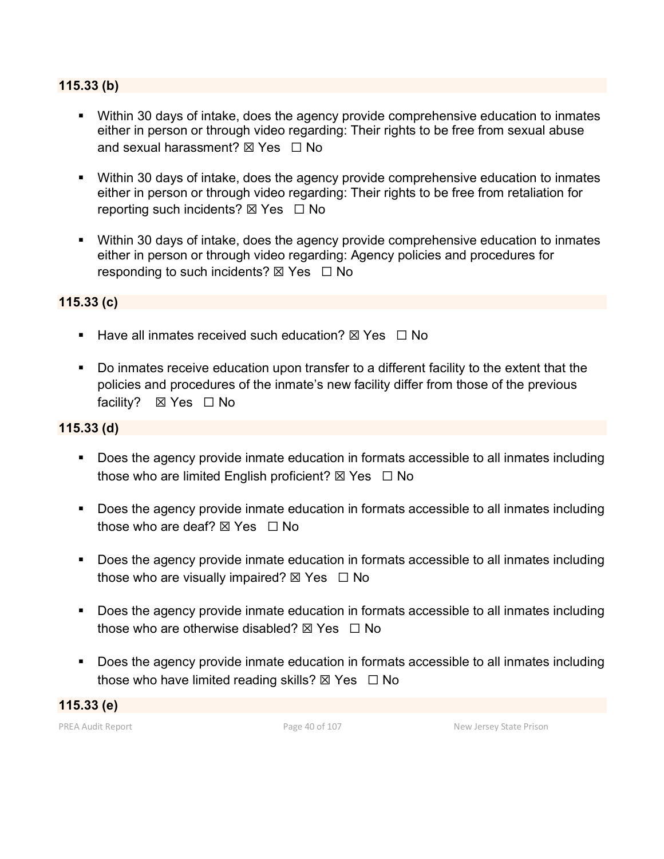#### **115.33 (b)**

- Within 30 days of intake, does the agency provide comprehensive education to inmates either in person or through video regarding: Their rights to be free from sexual abuse and sexual harassment?  $\boxtimes$  Yes  $\Box$  No
- Within 30 days of intake, does the agency provide comprehensive education to inmates either in person or through video regarding: Their rights to be free from retaliation for reporting such incidents?  $\boxtimes$  Yes  $\Box$  No
- Within 30 days of intake, does the agency provide comprehensive education to inmates either in person or through video regarding: Agency policies and procedures for responding to such incidents?  $\boxtimes$  Yes  $\Box$  No

#### **115.33 (c)**

- Have all inmates received such education?  $\boxtimes$  Yes  $\Box$  No
- Do inmates receive education upon transfer to a different facility to the extent that the policies and procedures of the inmate's new facility differ from those of the previous facility? **⊠ Yes** □ No

#### **115.33 (d)**

- Does the agency provide inmate education in formats accessible to all inmates including those who are limited English proficient?  $\boxtimes$  Yes  $\Box$  No
- Does the agency provide inmate education in formats accessible to all inmates including those who are deaf?  $\nabla$  Yes  $\Box$  No
- **Does the agency provide inmate education in formats accessible to all inmates including** those who are visually impaired?  $\boxtimes$  Yes  $\Box$  No
- Does the agency provide inmate education in formats accessible to all inmates including those who are otherwise disabled?  $\boxtimes$  Yes  $\Box$  No
- Does the agency provide inmate education in formats accessible to all inmates including those who have limited reading skills?  $\boxtimes$  Yes  $\Box$  No

**115.33 (e)**

PREA Audit Report **Page 40 of 107** Page 40 of 107 New Jersey State Prison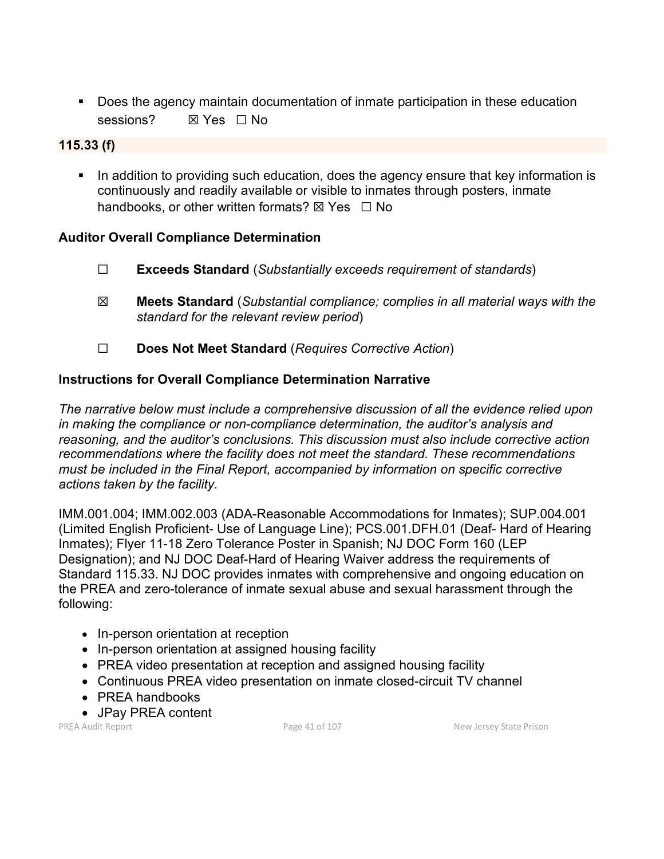Does the agency maintain documentation of inmate participation in these education sessions? **⊠ Yes**  $\Box$  No

#### **115.33 (f)**

In addition to providing such education, does the agency ensure that key information is continuously and readily available or visible to inmates through posters, inmate handbooks, or other written formats?  $\boxtimes$  Yes  $\Box$  No

#### **Auditor Overall Compliance Determination**

- ☐ **Exceeds Standard** (*Substantially exceeds requirement of standards*)
- ☒ **Meets Standard** (*Substantial compliance; complies in all material ways with the standard for the relevant review period*)
- ☐ **Does Not Meet Standard** (*Requires Corrective Action*)

#### **Instructions for Overall Compliance Determination Narrative**

*The narrative below must include a comprehensive discussion of all the evidence relied upon in making the compliance or non-compliance determination, the auditor's analysis and reasoning, and the auditor's conclusions. This discussion must also include corrective action recommendations where the facility does not meet the standard. These recommendations must be included in the Final Report, accompanied by information on specific corrective actions taken by the facility.*

IMM.001.004; IMM.002.003 (ADA-Reasonable Accommodations for Inmates); SUP.004.001 (Limited English Proficient- Use of Language Line); PCS.001.DFH.01 (Deaf- Hard of Hearing Inmates); Flyer 11-18 Zero Tolerance Poster in Spanish; NJ DOC Form 160 (LEP Designation); and NJ DOC Deaf-Hard of Hearing Waiver address the requirements of Standard 115.33. NJ DOC provides inmates with comprehensive and ongoing education on the PREA and zero-tolerance of inmate sexual abuse and sexual harassment through the following:

- In-person orientation at reception
- In-person orientation at assigned housing facility
- PREA video presentation at reception and assigned housing facility
- Continuous PREA video presentation on inmate closed-circuit TV channel
- PREA handbooks
- JPay PREA content

PREA Audit Report **Page 41 of 107** Page 41 of 107 New Jersey State Prison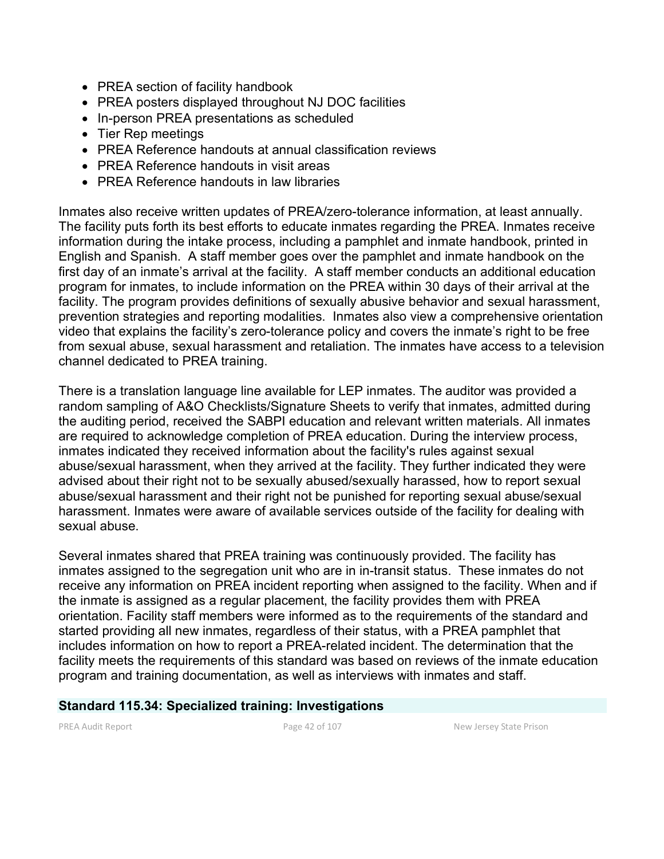- PREA section of facility handbook
- PREA posters displayed throughout NJ DOC facilities
- In-person PREA presentations as scheduled
- Tier Rep meetings
- PREA Reference handouts at annual classification reviews
- PREA Reference handouts in visit areas
- PREA Reference handouts in law libraries

Inmates also receive written updates of PREA/zero-tolerance information, at least annually. The facility puts forth its best efforts to educate inmates regarding the PREA. Inmates receive information during the intake process, including a pamphlet and inmate handbook, printed in English and Spanish. A staff member goes over the pamphlet and inmate handbook on the first day of an inmate's arrival at the facility. A staff member conducts an additional education program for inmates, to include information on the PREA within 30 days of their arrival at the facility. The program provides definitions of sexually abusive behavior and sexual harassment, prevention strategies and reporting modalities. Inmates also view a comprehensive orientation video that explains the facility's zero-tolerance policy and covers the inmate's right to be free from sexual abuse, sexual harassment and retaliation. The inmates have access to a television channel dedicated to PREA training.

There is a translation language line available for LEP inmates. The auditor was provided a random sampling of A&O Checklists/Signature Sheets to verify that inmates, admitted during the auditing period, received the SABPI education and relevant written materials. All inmates are required to acknowledge completion of PREA education. During the interview process, inmates indicated they received information about the facility's rules against sexual abuse/sexual harassment, when they arrived at the facility. They further indicated they were advised about their right not to be sexually abused/sexually harassed, how to report sexual abuse/sexual harassment and their right not be punished for reporting sexual abuse/sexual harassment. Inmates were aware of available services outside of the facility for dealing with sexual abuse.

Several inmates shared that PREA training was continuously provided. The facility has inmates assigned to the segregation unit who are in in-transit status. These inmates do not receive any information on PREA incident reporting when assigned to the facility. When and if the inmate is assigned as a regular placement, the facility provides them with PREA orientation. Facility staff members were informed as to the requirements of the standard and started providing all new inmates, regardless of their status, with a PREA pamphlet that includes information on how to report a PREA-related incident. The determination that the facility meets the requirements of this standard was based on reviews of the inmate education program and training documentation, as well as interviews with inmates and staff.

#### **Standard 115.34: Specialized training: Investigations**

PREA Audit Report **Page 42 of 107** Page 42 of 107 New Jersey State Prison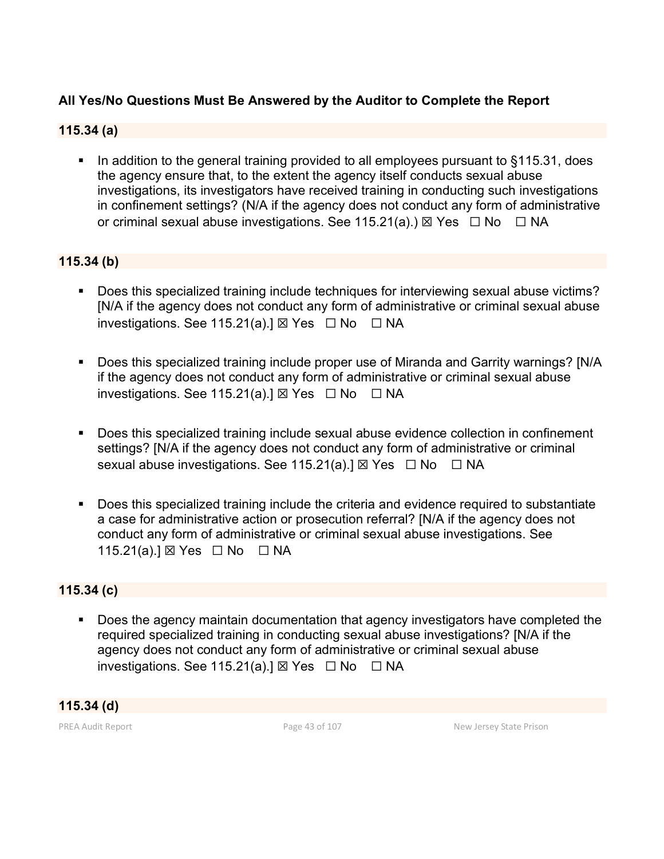# **All Yes/No Questions Must Be Answered by the Auditor to Complete the Report**

#### **115.34 (a)**

In addition to the general training provided to all employees pursuant to §115.31, does the agency ensure that, to the extent the agency itself conducts sexual abuse investigations, its investigators have received training in conducting such investigations in confinement settings? (N/A if the agency does not conduct any form of administrative or criminal sexual abuse investigations. See 115.21(a).)  $\boxtimes$  Yes  $\Box$  No  $\Box$  NA

#### **115.34 (b)**

- Does this specialized training include techniques for interviewing sexual abuse victims? [N/A if the agency does not conduct any form of administrative or criminal sexual abuse investigations. See 115.21(a).]  $\boxtimes$  Yes  $\Box$  No  $\Box$  NA
- Does this specialized training include proper use of Miranda and Garrity warnings? [N/A if the agency does not conduct any form of administrative or criminal sexual abuse investigations. See 115.21(a).]  $\boxtimes$  Yes  $\Box$  No  $\Box$  NA
- Does this specialized training include sexual abuse evidence collection in confinement settings? [N/A if the agency does not conduct any form of administrative or criminal sexual abuse investigations. See 115.21(a).]  $\boxtimes$  Yes  $\Box$  No  $\Box$  NA
- Does this specialized training include the criteria and evidence required to substantiate a case for administrative action or prosecution referral? [N/A if the agency does not conduct any form of administrative or criminal sexual abuse investigations. See 115.21(a).] ⊠ Yes □ No □ NA

#### **115.34 (c)**

**Does the agency maintain documentation that agency investigators have completed the** required specialized training in conducting sexual abuse investigations? [N/A if the agency does not conduct any form of administrative or criminal sexual abuse investigations. See 115.21(a).]  $\boxtimes$  Yes  $\Box$  No  $\Box$  NA

#### **115.34 (d)**

PREA Audit Report **Page 43 of 107** Page 43 of 107 New Jersey State Prison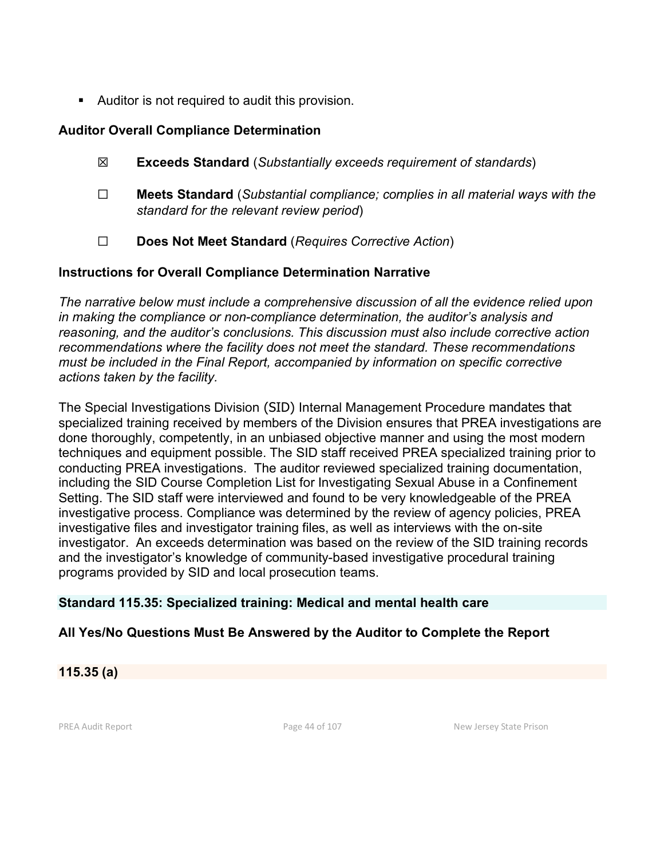Auditor is not required to audit this provision.

### **Auditor Overall Compliance Determination**

- ☒ **Exceeds Standard** (*Substantially exceeds requirement of standards*)
- ☐ **Meets Standard** (*Substantial compliance; complies in all material ways with the standard for the relevant review period*)
- ☐ **Does Not Meet Standard** (*Requires Corrective Action*)

### **Instructions for Overall Compliance Determination Narrative**

*The narrative below must include a comprehensive discussion of all the evidence relied upon in making the compliance or non-compliance determination, the auditor's analysis and reasoning, and the auditor's conclusions. This discussion must also include corrective action recommendations where the facility does not meet the standard. These recommendations must be included in the Final Report, accompanied by information on specific corrective actions taken by the facility.*

The Special Investigations Division (SID) Internal Management Procedure mandates that specialized training received by members of the Division ensures that PREA investigations are done thoroughly, competently, in an unbiased objective manner and using the most modern techniques and equipment possible. The SID staff received PREA specialized training prior to conducting PREA investigations. The auditor reviewed specialized training documentation, including the SID Course Completion List for Investigating Sexual Abuse in a Confinement Setting. The SID staff were interviewed and found to be very knowledgeable of the PREA investigative process. Compliance was determined by the review of agency policies, PREA investigative files and investigator training files, as well as interviews with the on-site investigator. An exceeds determination was based on the review of the SID training records and the investigator's knowledge of community-based investigative procedural training programs provided by SID and local prosecution teams.

## **Standard 115.35: Specialized training: Medical and mental health care**

## **All Yes/No Questions Must Be Answered by the Auditor to Complete the Report**

**115.35 (a)**

PREA Audit Report **Page 44 of 107** Page 44 of 107 New Jersey State Prison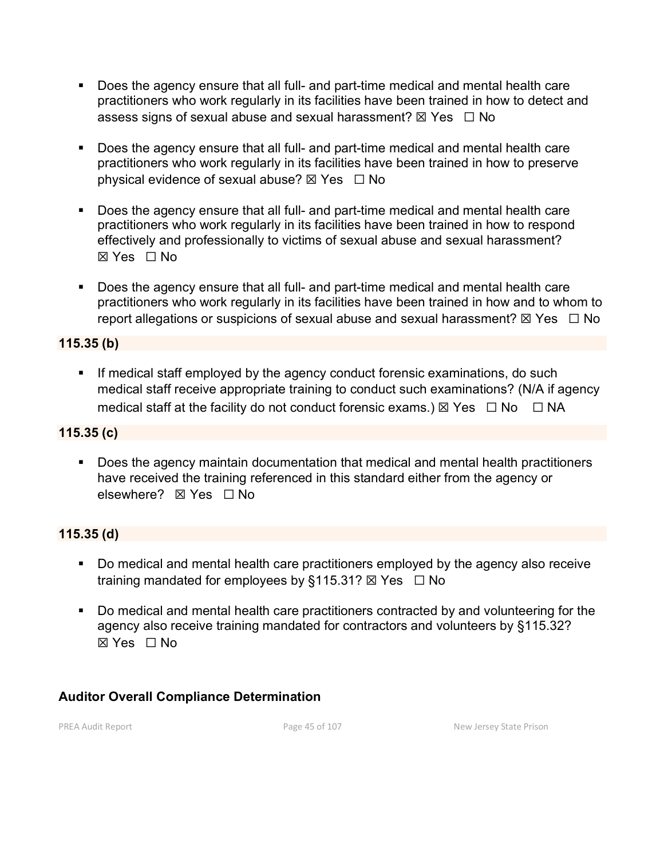- Does the agency ensure that all full- and part-time medical and mental health care practitioners who work regularly in its facilities have been trained in how to detect and assess signs of sexual abuse and sexual harassment?  $\boxtimes$  Yes  $\Box$  No
- Does the agency ensure that all full- and part-time medical and mental health care practitioners who work regularly in its facilities have been trained in how to preserve physical evidence of sexual abuse?  $\boxtimes$  Yes  $\Box$  No
- Does the agency ensure that all full- and part-time medical and mental health care practitioners who work regularly in its facilities have been trained in how to respond effectively and professionally to victims of sexual abuse and sexual harassment? ☒ Yes ☐ No
- Does the agency ensure that all full- and part-time medical and mental health care practitioners who work regularly in its facilities have been trained in how and to whom to report allegations or suspicions of sexual abuse and sexual harassment?  $\boxtimes$  Yes  $\Box$  No

## **115.35 (b)**

**If medical staff employed by the agency conduct forensic examinations, do such** medical staff receive appropriate training to conduct such examinations? (N/A if agency medical staff at the facility do not conduct forensic exams.)  $\boxtimes$  Yes  $\Box$  No  $\Box$  NA

#### **115.35 (c)**

 Does the agency maintain documentation that medical and mental health practitioners have received the training referenced in this standard either from the agency or elsewhere? **⊠ Yes** □ No

## **115.35 (d)**

- Do medical and mental health care practitioners employed by the agency also receive training mandated for employees by §115.31?  $\boxtimes$  Yes  $\Box$  No
- Do medical and mental health care practitioners contracted by and volunteering for the agency also receive training mandated for contractors and volunteers by §115.32? ☒ Yes ☐ No

# **Auditor Overall Compliance Determination**

PREA Audit Report **Page 45 of 107** Page 45 of 107 New Jersey State Prison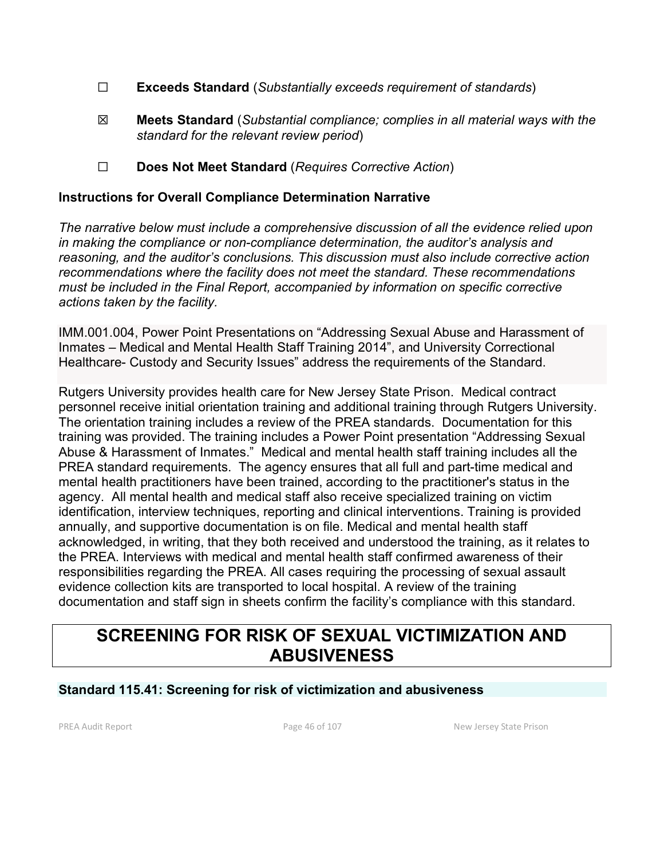- ☐ **Exceeds Standard** (*Substantially exceeds requirement of standards*)
- ☒ **Meets Standard** (*Substantial compliance; complies in all material ways with the standard for the relevant review period*)
- ☐ **Does Not Meet Standard** (*Requires Corrective Action*)

#### **Instructions for Overall Compliance Determination Narrative**

*The narrative below must include a comprehensive discussion of all the evidence relied upon in making the compliance or non-compliance determination, the auditor's analysis and reasoning, and the auditor's conclusions. This discussion must also include corrective action recommendations where the facility does not meet the standard. These recommendations must be included in the Final Report, accompanied by information on specific corrective actions taken by the facility.*

IMM.001.004, Power Point Presentations on "Addressing Sexual Abuse and Harassment of Inmates – Medical and Mental Health Staff Training 2014", and University Correctional Healthcare- Custody and Security Issues" address the requirements of the Standard.

Rutgers University provides health care for New Jersey State Prison. Medical contract personnel receive initial orientation training and additional training through Rutgers University. The orientation training includes a review of the PREA standards. Documentation for this training was provided. The training includes a Power Point presentation "Addressing Sexual Abuse & Harassment of Inmates." Medical and mental health staff training includes all the PREA standard requirements. The agency ensures that all full and part-time medical and mental health practitioners have been trained, according to the practitioner's status in the agency. All mental health and medical staff also receive specialized training on victim identification, interview techniques, reporting and clinical interventions. Training is provided annually, and supportive documentation is on file. Medical and mental health staff acknowledged, in writing, that they both received and understood the training, as it relates to the PREA. Interviews with medical and mental health staff confirmed awareness of their responsibilities regarding the PREA. All cases requiring the processing of sexual assault evidence collection kits are transported to local hospital. A review of the training documentation and staff sign in sheets confirm the facility's compliance with this standard.

# **SCREENING FOR RISK OF SEXUAL VICTIMIZATION AND ABUSIVENESS**

## **Standard 115.41: Screening for risk of victimization and abusiveness**

PREA Audit Report **Page 46 of 107** Page 46 of 107 New Jersey State Prison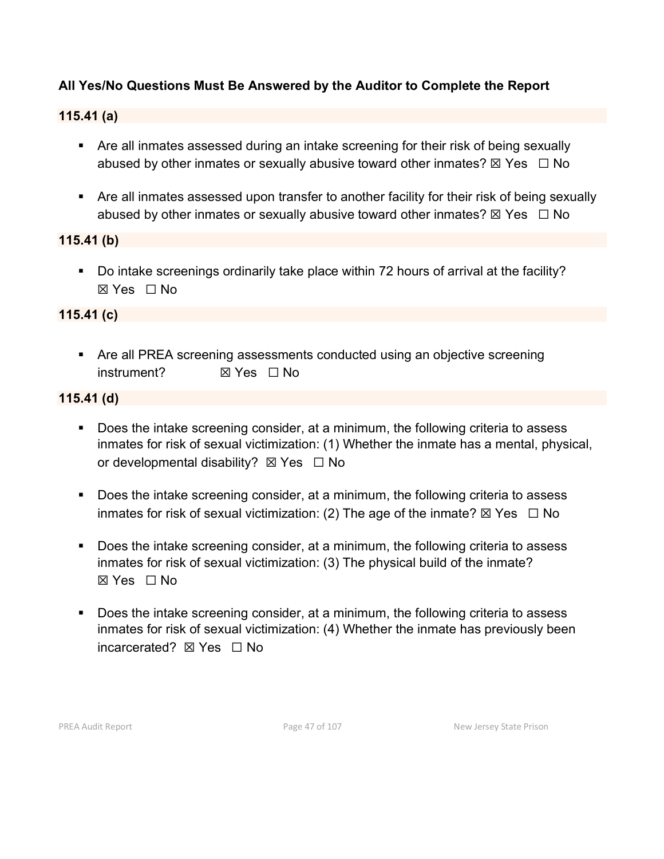# **All Yes/No Questions Must Be Answered by the Auditor to Complete the Report**

## **115.41 (a)**

- Are all inmates assessed during an intake screening for their risk of being sexually abused by other inmates or sexually abusive toward other inmates?  $\boxtimes$  Yes  $\Box$  No
- Are all inmates assessed upon transfer to another facility for their risk of being sexually abused by other inmates or sexually abusive toward other inmates?  $\boxtimes$  Yes  $\Box$  No

#### **115.41 (b)**

Do intake screenings ordinarily take place within 72 hours of arrival at the facility? ☒ Yes ☐ No

### **115.41 (c)**

 Are all PREA screening assessments conducted using an objective screening instrument? ☒ Yes ☐ No

#### **115.41 (d)**

- Does the intake screening consider, at a minimum, the following criteria to assess inmates for risk of sexual victimization: (1) Whether the inmate has a mental, physical, or developmental disability?  $\boxtimes$  Yes  $\Box$  No
- Does the intake screening consider, at a minimum, the following criteria to assess inmates for risk of sexual victimization: (2) The age of the inmate?  $\boxtimes$  Yes  $\Box$  No
- Does the intake screening consider, at a minimum, the following criteria to assess inmates for risk of sexual victimization: (3) The physical build of the inmate? ☒ Yes ☐ No
- Does the intake screening consider, at a minimum, the following criteria to assess inmates for risk of sexual victimization: (4) Whether the inmate has previously been incarcerated? **⊠ Yes** □ No

PREA Audit Report **Page 47** of 107 New Jersey State Prison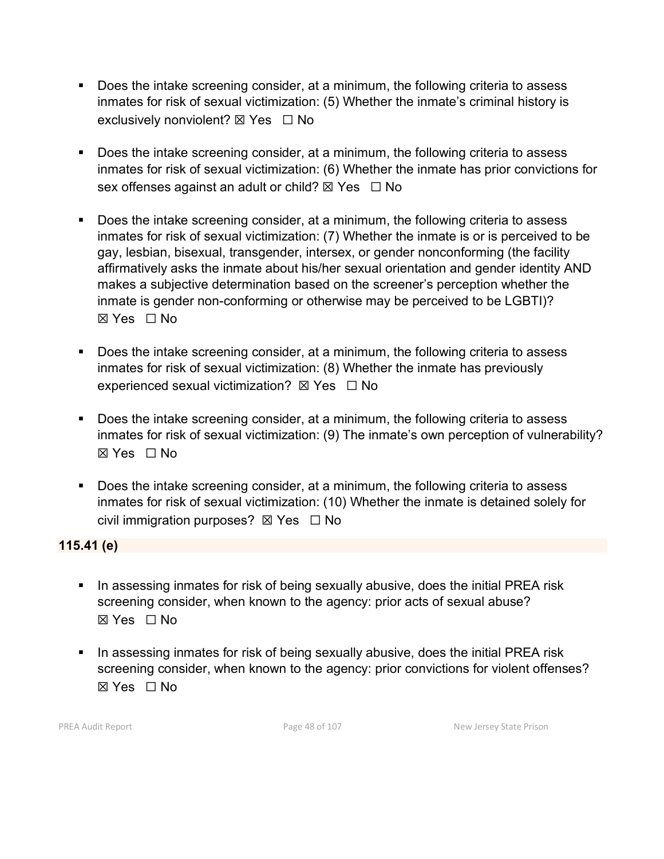- Does the intake screening consider, at a minimum, the following criteria to assess inmates for risk of sexual victimization: (5) Whether the inmate's criminal history is exclusively nonviolent?  $\boxtimes$  Yes  $\Box$  No
- Does the intake screening consider, at a minimum, the following criteria to assess inmates for risk of sexual victimization: (6) Whether the inmate has prior convictions for sex offenses against an adult or child?  $\boxtimes$  Yes  $\Box$  No
- Does the intake screening consider, at a minimum, the following criteria to assess inmates for risk of sexual victimization: (7) Whether the inmate is or is perceived to be gay, lesbian, bisexual, transgender, intersex, or gender nonconforming (the facility affirmatively asks the inmate about his/her sexual orientation and gender identity AND makes a subjective determination based on the screener's perception whether the inmate is gender non-conforming or otherwise may be perceived to be LGBTI)? ☒ Yes ☐ No
- Does the intake screening consider, at a minimum, the following criteria to assess inmates for risk of sexual victimization: (8) Whether the inmate has previously experienced sexual victimization?  $\boxtimes$  Yes  $\Box$  No
- Does the intake screening consider, at a minimum, the following criteria to assess inmates for risk of sexual victimization: (9) The inmate's own perception of vulnerability? ☒ Yes ☐ No
- Does the intake screening consider, at a minimum, the following criteria to assess inmates for risk of sexual victimization: (10) Whether the inmate is detained solely for civil immigration purposes?  $\boxtimes$  Yes  $\Box$  No

**115.41 (e)**

- In assessing inmates for risk of being sexually abusive, does the initial PREA risk screening consider, when known to the agency: prior acts of sexual abuse? ☒ Yes ☐ No
- In assessing inmates for risk of being sexually abusive, does the initial PREA risk screening consider, when known to the agency: prior convictions for violent offenses? ☒ Yes ☐ No

PREA Audit Report **Page 48 of 107** Page 48 of 107 New Jersey State Prison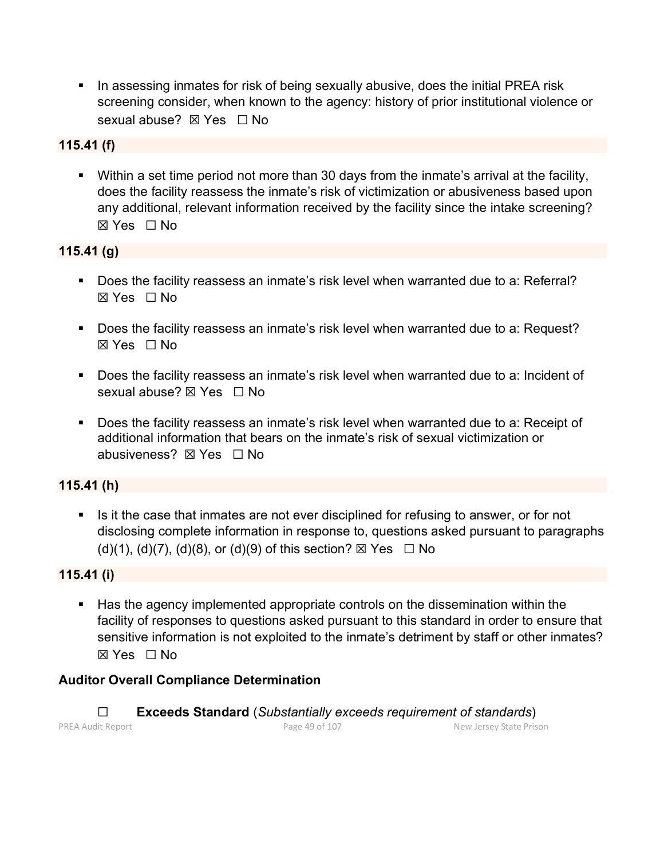In assessing inmates for risk of being sexually abusive, does the initial PREA risk screening consider, when known to the agency: history of prior institutional violence or sexual abuse? ⊠ Yes □ No

### **115.41 (f)**

 Within a set time period not more than 30 days from the inmate's arrival at the facility, does the facility reassess the inmate's risk of victimization or abusiveness based upon any additional, relevant information received by the facility since the intake screening? ☒ Yes ☐ No

## **115.41 (g)**

- Does the facility reassess an inmate's risk level when warranted due to a: Referral? ☒ Yes ☐ No
- Does the facility reassess an inmate's risk level when warranted due to a: Request? ☒ Yes ☐ No
- **Does the facility reassess an inmate's risk level when warranted due to a: Incident of** sexual abuse? ⊠ Yes □ No
- Does the facility reassess an inmate's risk level when warranted due to a: Receipt of additional information that bears on the inmate's risk of sexual victimization or abusiveness? **⊠ Yes**  $\Box$  No

## **115.41 (h)**

If It the case that inmates are not ever disciplined for refusing to answer, or for not disclosing complete information in response to, questions asked pursuant to paragraphs  $(d)(1), (d)(7), (d)(8),$  or  $(d)(9)$  of this section?  $\boxtimes$  Yes  $\Box$  No

#### **115.41 (i)**

 Has the agency implemented appropriate controls on the dissemination within the facility of responses to questions asked pursuant to this standard in order to ensure that sensitive information is not exploited to the inmate's detriment by staff or other inmates? ☒ Yes ☐ No

#### **Auditor Overall Compliance Determination**

PREA Audit Report **Page 49 of 107** Page 49 of 107 New Jersey State Prison ☐ **Exceeds Standard** (*Substantially exceeds requirement of standards*)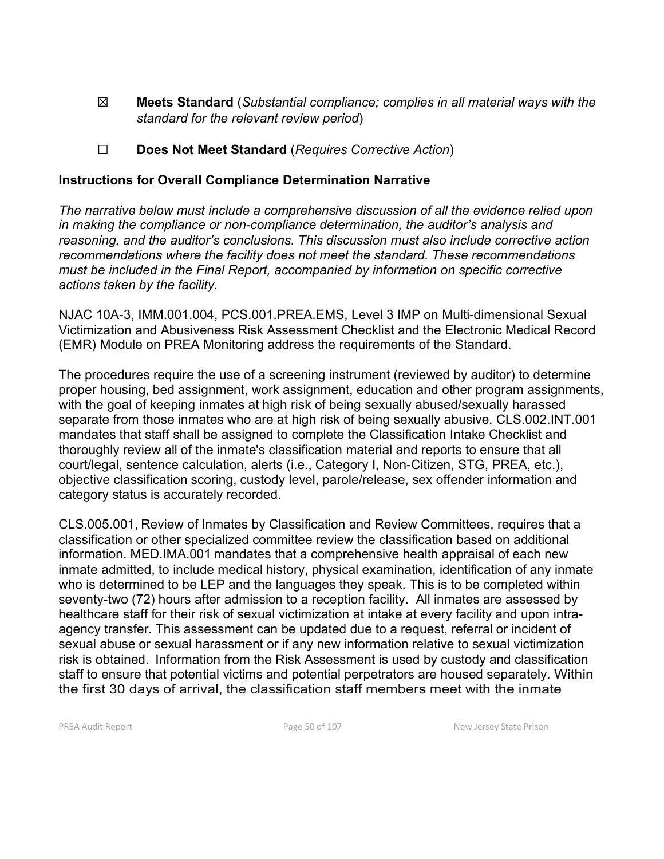- ☒ **Meets Standard** (*Substantial compliance; complies in all material ways with the standard for the relevant review period*)
- ☐ **Does Not Meet Standard** (*Requires Corrective Action*)

#### **Instructions for Overall Compliance Determination Narrative**

*The narrative below must include a comprehensive discussion of all the evidence relied upon in making the compliance or non-compliance determination, the auditor's analysis and reasoning, and the auditor's conclusions. This discussion must also include corrective action recommendations where the facility does not meet the standard. These recommendations must be included in the Final Report, accompanied by information on specific corrective actions taken by the facility.*

NJAC 10A-3, IMM.001.004, PCS.001.PREA.EMS, Level 3 IMP on Multi-dimensional Sexual Victimization and Abusiveness Risk Assessment Checklist and the Electronic Medical Record (EMR) Module on PREA Monitoring address the requirements of the Standard.

The procedures require the use of a screening instrument (reviewed by auditor) to determine proper housing, bed assignment, work assignment, education and other program assignments, with the goal of keeping inmates at high risk of being sexually abused/sexually harassed separate from those inmates who are at high risk of being sexually abusive. CLS.002.INT.001 mandates that staff shall be assigned to complete the Classification Intake Checklist and thoroughly review all of the inmate's classification material and reports to ensure that all court/legal, sentence calculation, alerts (i.e., Category I, Non-Citizen, STG, PREA, etc.), objective classification scoring, custody level, parole/release, sex offender information and category status is accurately recorded.

CLS.005.001, Review of Inmates by Classification and Review Committees, requires that a classification or other specialized committee review the classification based on additional information. MED.IMA.001 mandates that a comprehensive health appraisal of each new inmate admitted, to include medical history, physical examination, identification of any inmate who is determined to be LEP and the languages they speak. This is to be completed within seventy-two (72) hours after admission to a reception facility. All inmates are assessed by healthcare staff for their risk of sexual victimization at intake at every facility and upon intraagency transfer. This assessment can be updated due to a request, referral or incident of sexual abuse or sexual harassment or if any new information relative to sexual victimization risk is obtained. Information from the Risk Assessment is used by custody and classification staff to ensure that potential victims and potential perpetrators are housed separately. Within the first 30 days of arrival, the classification staff members meet with the inmate

PREA Audit Report **Page 50 of 107** Page 50 of 107 New Jersey State Prison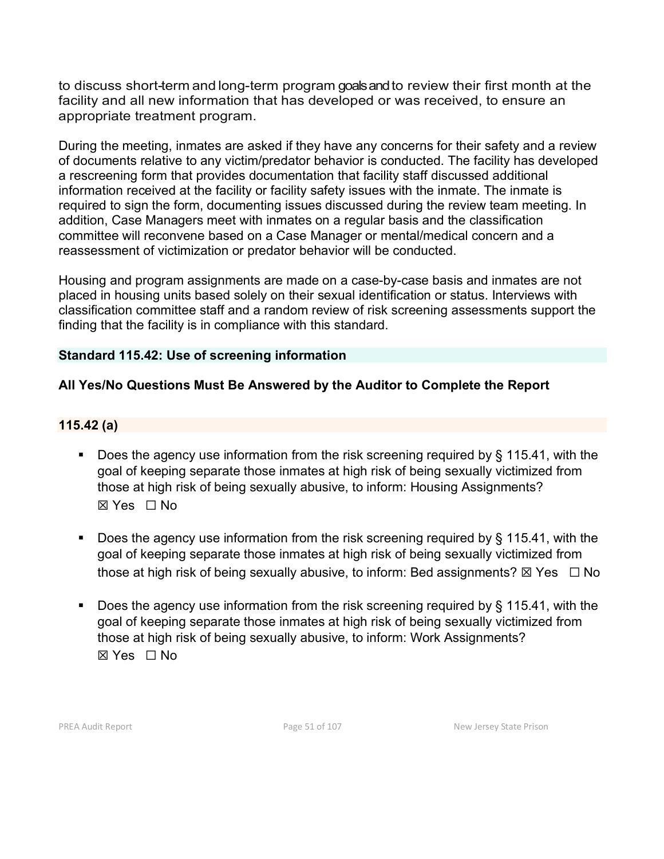to discuss short-term and long-term program goalsand to review their first month at the facility and all new information that has developed or was received, to ensure an appropriate treatment program.

During the meeting, inmates are asked if they have any concerns for their safety and a review of documents relative to any victim/predator behavior is conducted. The facility has developed a rescreening form that provides documentation that facility staff discussed additional information received at the facility or facility safety issues with the inmate. The inmate is required to sign the form, documenting issues discussed during the review team meeting. In addition, Case Managers meet with inmates on a regular basis and the classification committee will reconvene based on a Case Manager or mental/medical concern and a reassessment of victimization or predator behavior will be conducted.

Housing and program assignments are made on a case-by-case basis and inmates are not placed in housing units based solely on their sexual identification or status. Interviews with classification committee staff and a random review of risk screening assessments support the finding that the facility is in compliance with this standard.

## **Standard 115.42: Use of screening information**

# **All Yes/No Questions Must Be Answered by the Auditor to Complete the Report**

## **115.42 (a)**

- Does the agency use information from the risk screening required by § 115.41, with the goal of keeping separate those inmates at high risk of being sexually victimized from those at high risk of being sexually abusive, to inform: Housing Assignments? ☒ Yes ☐ No
- Does the agency use information from the risk screening required by  $\S$  115.41, with the goal of keeping separate those inmates at high risk of being sexually victimized from those at high risk of being sexually abusive, to inform: Bed assignments?  $\boxtimes$  Yes  $\Box$  No
- Does the agency use information from the risk screening required by  $\S$  115.41, with the goal of keeping separate those inmates at high risk of being sexually victimized from those at high risk of being sexually abusive, to inform: Work Assignments? ☒ Yes ☐ No

PREA Audit Report **Page 51 of 107** Page 51 of 107 New Jersey State Prison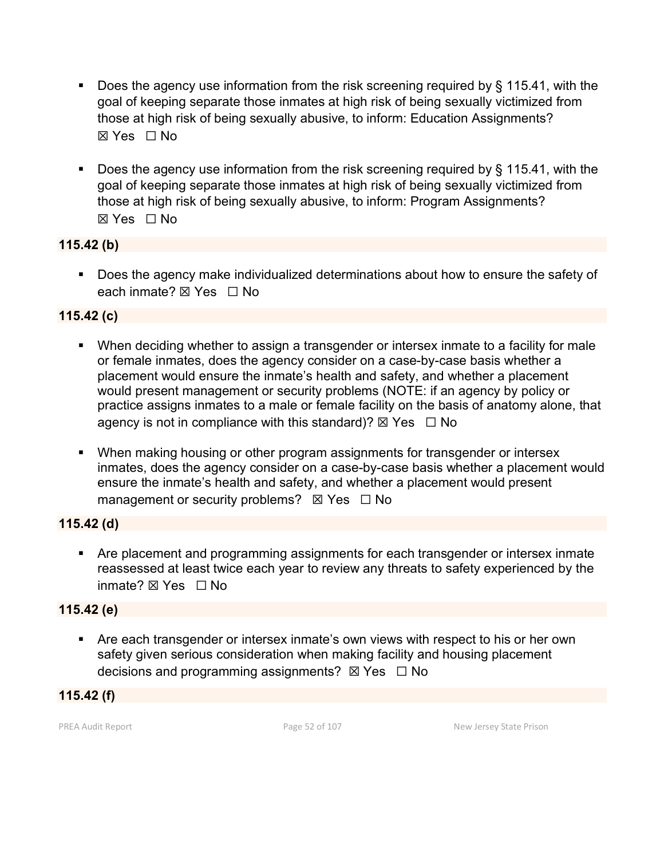- Does the agency use information from the risk screening required by  $\S$  115.41, with the goal of keeping separate those inmates at high risk of being sexually victimized from those at high risk of being sexually abusive, to inform: Education Assignments? ☒ Yes ☐ No
- Does the agency use information from the risk screening required by § 115.41, with the goal of keeping separate those inmates at high risk of being sexually victimized from those at high risk of being sexually abusive, to inform: Program Assignments? ☒ Yes ☐ No

### **115.42 (b)**

**Does the agency make individualized determinations about how to ensure the safety of** each inmate? ⊠ Yes □ No

## **115.42 (c)**

- When deciding whether to assign a transgender or intersex inmate to a facility for male or female inmates, does the agency consider on a case-by-case basis whether a placement would ensure the inmate's health and safety, and whether a placement would present management or security problems (NOTE: if an agency by policy or practice assigns inmates to a male or female facility on the basis of anatomy alone, that agency is not in compliance with this standard)?  $\boxtimes$  Yes  $\Box$  No
- When making housing or other program assignments for transgender or intersex inmates, does the agency consider on a case-by-case basis whether a placement would ensure the inmate's health and safety, and whether a placement would present management or security problems?  $\boxtimes$  Yes  $\Box$  No

#### **115.42 (d)**

 Are placement and programming assignments for each transgender or intersex inmate reassessed at least twice each year to review any threats to safety experienced by the inmate? ☒ Yes ☐ No

#### **115.42 (e)**

 Are each transgender or intersex inmate's own views with respect to his or her own safety given serious consideration when making facility and housing placement decisions and programming assignments?  $\boxtimes$  Yes  $\Box$  No

**115.42 (f)**

PREA Audit Report **Page 52** of 107 New Jersey State Prison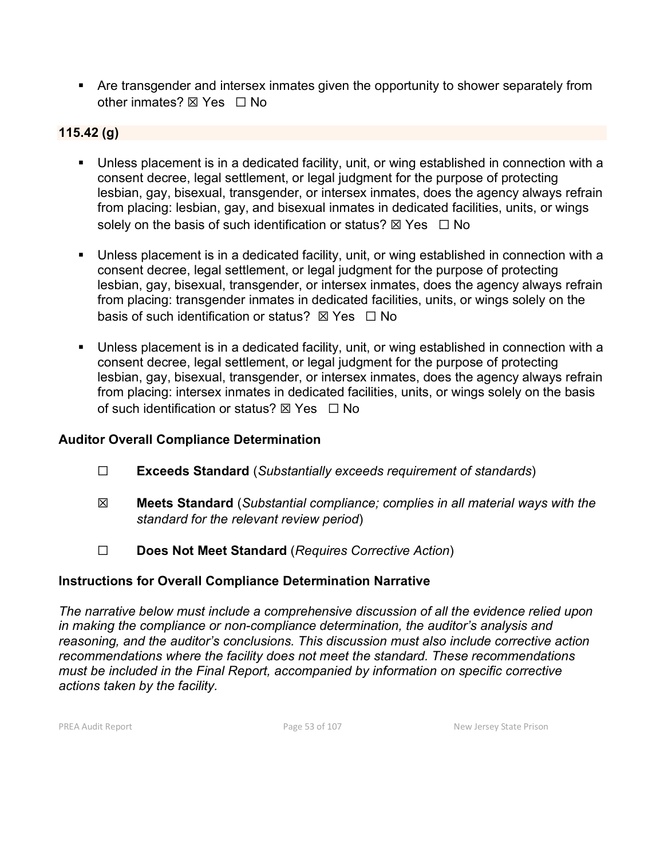Are transgender and intersex inmates given the opportunity to shower separately from other inmates? ⊠ Yes □ No

## **115.42 (g)**

- Unless placement is in a dedicated facility, unit, or wing established in connection with a consent decree, legal settlement, or legal judgment for the purpose of protecting lesbian, gay, bisexual, transgender, or intersex inmates, does the agency always refrain from placing: lesbian, gay, and bisexual inmates in dedicated facilities, units, or wings solely on the basis of such identification or status?  $\boxtimes$  Yes  $\Box$  No
- Unless placement is in a dedicated facility, unit, or wing established in connection with a consent decree, legal settlement, or legal judgment for the purpose of protecting lesbian, gay, bisexual, transgender, or intersex inmates, does the agency always refrain from placing: transgender inmates in dedicated facilities, units, or wings solely on the basis of such identification or status?  $\boxtimes$  Yes  $\Box$  No
- Unless placement is in a dedicated facility, unit, or wing established in connection with a consent decree, legal settlement, or legal judgment for the purpose of protecting lesbian, gay, bisexual, transgender, or intersex inmates, does the agency always refrain from placing: intersex inmates in dedicated facilities, units, or wings solely on the basis of such identification or status?  $\boxtimes$  Yes  $\Box$  No

#### **Auditor Overall Compliance Determination**

- ☐ **Exceeds Standard** (*Substantially exceeds requirement of standards*)
- ☒ **Meets Standard** (*Substantial compliance; complies in all material ways with the standard for the relevant review period*)
- ☐ **Does Not Meet Standard** (*Requires Corrective Action*)

## **Instructions for Overall Compliance Determination Narrative**

*The narrative below must include a comprehensive discussion of all the evidence relied upon in making the compliance or non-compliance determination, the auditor's analysis and reasoning, and the auditor's conclusions. This discussion must also include corrective action recommendations where the facility does not meet the standard. These recommendations must be included in the Final Report, accompanied by information on specific corrective actions taken by the facility.*

PREA Audit Report **Page 12 of 107** Page 53 of 107 New Jersey State Prison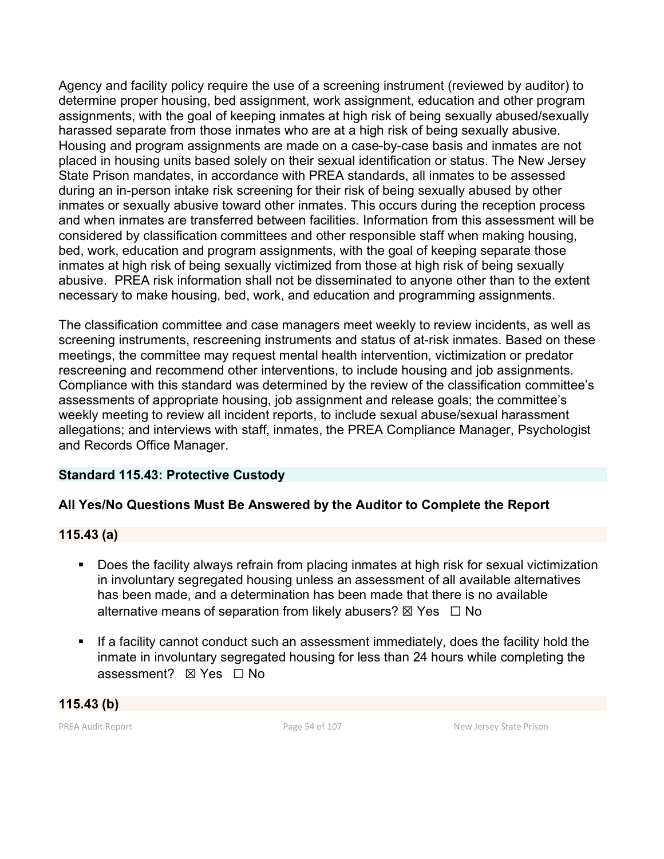Agency and facility policy require the use of a screening instrument (reviewed by auditor) to determine proper housing, bed assignment, work assignment, education and other program assignments, with the goal of keeping inmates at high risk of being sexually abused/sexually harassed separate from those inmates who are at a high risk of being sexually abusive. Housing and program assignments are made on a case-by-case basis and inmates are not placed in housing units based solely on their sexual identification or status. The New Jersey State Prison mandates, in accordance with PREA standards, all inmates to be assessed during an in-person intake risk screening for their risk of being sexually abused by other inmates or sexually abusive toward other inmates. This occurs during the reception process and when inmates are transferred between facilities. Information from this assessment will be considered by classification committees and other responsible staff when making housing, bed, work, education and program assignments, with the goal of keeping separate those inmates at high risk of being sexually victimized from those at high risk of being sexually abusive. PREA risk information shall not be disseminated to anyone other than to the extent necessary to make housing, bed, work, and education and programming assignments.

The classification committee and case managers meet weekly to review incidents, as well as screening instruments, rescreening instruments and status of at-risk inmates. Based on these meetings, the committee may request mental health intervention, victimization or predator rescreening and recommend other interventions, to include housing and job assignments. Compliance with this standard was determined by the review of the classification committee's assessments of appropriate housing, job assignment and release goals; the committee's weekly meeting to review all incident reports, to include sexual abuse/sexual harassment allegations; and interviews with staff, inmates, the PREA Compliance Manager, Psychologist and Records Office Manager.

## **Standard 115.43: Protective Custody**

## **All Yes/No Questions Must Be Answered by the Auditor to Complete the Report**

#### **115.43 (a)**

- Does the facility always refrain from placing inmates at high risk for sexual victimization in involuntary segregated housing unless an assessment of all available alternatives has been made, and a determination has been made that there is no available alternative means of separation from likely abusers?  $\boxtimes$  Yes  $\Box$  No
- If a facility cannot conduct such an assessment immediately, does the facility hold the inmate in involuntary segregated housing for less than 24 hours while completing the assessment? ⊠ Yes □ No

**115.43 (b)**

PREA Audit Report **Page 54 of 107** Page 54 of 107 New Jersey State Prison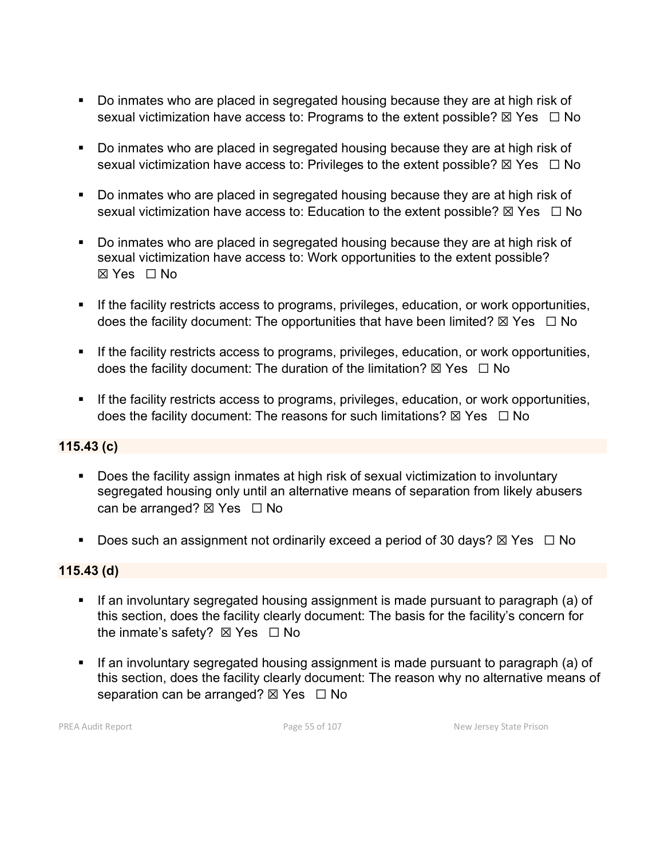- Do inmates who are placed in segregated housing because they are at high risk of sexual victimization have access to: Programs to the extent possible?  $\boxtimes$  Yes  $\Box$  No
- Do inmates who are placed in segregated housing because they are at high risk of sexual victimization have access to: Privileges to the extent possible?  $\boxtimes$  Yes  $\Box$  No
- Do inmates who are placed in segregated housing because they are at high risk of sexual victimization have access to: Education to the extent possible?  $\boxtimes$  Yes  $\Box$  No
- Do inmates who are placed in segregated housing because they are at high risk of sexual victimization have access to: Work opportunities to the extent possible? ☒ Yes ☐ No
- If the facility restricts access to programs, privileges, education, or work opportunities, does the facility document: The opportunities that have been limited?  $\boxtimes$  Yes  $\Box$  No
- **If the facility restricts access to programs, privileges, education, or work opportunities,** does the facility document: The duration of the limitation?  $\boxtimes$  Yes  $\Box$  No
- If the facility restricts access to programs, privileges, education, or work opportunities, does the facility document: The reasons for such limitations?  $\boxtimes$  Yes  $\Box$  No

## **115.43 (c)**

- Does the facility assign inmates at high risk of sexual victimization to involuntary segregated housing only until an alternative means of separation from likely abusers can be arranged?  $\boxtimes$  Yes  $\Box$  No
- Does such an assignment not ordinarily exceed a period of 30 days?  $\boxtimes$  Yes  $\Box$  No

#### **115.43 (d)**

- **If an involuntary segregated housing assignment is made pursuant to paragraph (a) of** this section, does the facility clearly document: The basis for the facility's concern for the inmate's safety?  $\boxtimes$  Yes  $\Box$  No
- If an involuntary segregated housing assignment is made pursuant to paragraph (a) of this section, does the facility clearly document: The reason why no alternative means of separation can be arranged?  $\boxtimes$  Yes  $\Box$  No

PREA Audit Report **Page 10 Audit Report** Page 55 of 107 New Jersey State Prison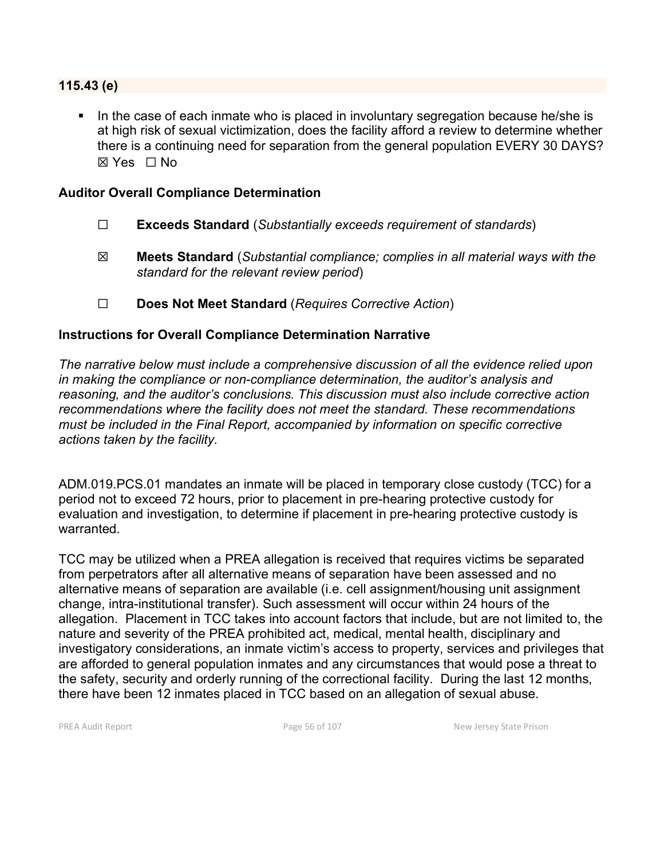#### **115.43 (e)**

In the case of each inmate who is placed in involuntary segregation because he/she is at high risk of sexual victimization, does the facility afford a review to determine whether there is a continuing need for separation from the general population EVERY 30 DAYS? ☒ Yes ☐ No

#### **Auditor Overall Compliance Determination**

- ☐ **Exceeds Standard** (*Substantially exceeds requirement of standards*)
- ☒ **Meets Standard** (*Substantial compliance; complies in all material ways with the standard for the relevant review period*)
- ☐ **Does Not Meet Standard** (*Requires Corrective Action*)

#### **Instructions for Overall Compliance Determination Narrative**

*The narrative below must include a comprehensive discussion of all the evidence relied upon in making the compliance or non-compliance determination, the auditor's analysis and reasoning, and the auditor's conclusions. This discussion must also include corrective action recommendations where the facility does not meet the standard. These recommendations must be included in the Final Report, accompanied by information on specific corrective actions taken by the facility.*

ADM.019.PCS.01 mandates an inmate will be placed in temporary close custody (TCC) for a period not to exceed 72 hours, prior to placement in pre-hearing protective custody for evaluation and investigation, to determine if placement in pre-hearing protective custody is warranted.

TCC may be utilized when a PREA allegation is received that requires victims be separated from perpetrators after all alternative means of separation have been assessed and no alternative means of separation are available (i.e. cell assignment/housing unit assignment change, intra-institutional transfer). Such assessment will occur within 24 hours of the allegation. Placement in TCC takes into account factors that include, but are not limited to, the nature and severity of the PREA prohibited act, medical, mental health, disciplinary and investigatory considerations, an inmate victim's access to property, services and privileges that are afforded to general population inmates and any circumstances that would pose a threat to the safety, security and orderly running of the correctional facility. During the last 12 months, there have been 12 inmates placed in TCC based on an allegation of sexual abuse.

PREA Audit Report **Page 56 of 107** Page 56 of 107 New Jersey State Prison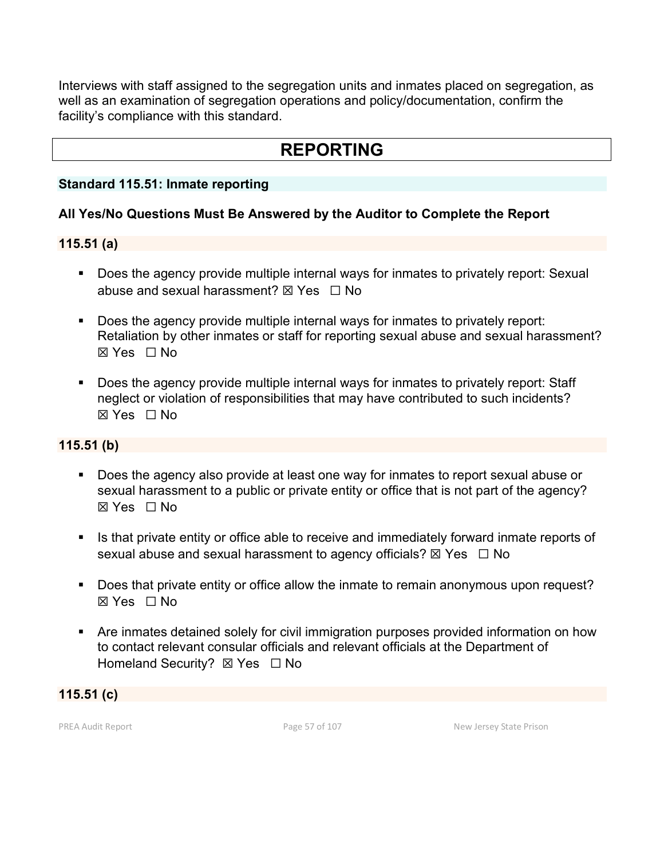Interviews with staff assigned to the segregation units and inmates placed on segregation, as well as an examination of segregation operations and policy/documentation, confirm the facility's compliance with this standard.

# **REPORTING**

#### **Standard 115.51: Inmate reporting**

## **All Yes/No Questions Must Be Answered by the Auditor to Complete the Report**

#### **115.51 (a)**

- **Does the agency provide multiple internal ways for inmates to privately report: Sexual** abuse and sexual harassment?  $\boxtimes$  Yes  $\Box$  No
- Does the agency provide multiple internal ways for inmates to privately report: Retaliation by other inmates or staff for reporting sexual abuse and sexual harassment? ☒ Yes ☐ No
- Does the agency provide multiple internal ways for inmates to privately report: Staff neglect or violation of responsibilities that may have contributed to such incidents? ☒ Yes ☐ No

#### **115.51 (b)**

- Does the agency also provide at least one way for inmates to report sexual abuse or sexual harassment to a public or private entity or office that is not part of the agency? ☒ Yes ☐ No
- Is that private entity or office able to receive and immediately forward inmate reports of sexual abuse and sexual harassment to agency officials?  $\boxtimes$  Yes  $\Box$  No
- Does that private entity or office allow the inmate to remain anonymous upon request? ☒ Yes ☐ No
- Are inmates detained solely for civil immigration purposes provided information on how to contact relevant consular officials and relevant officials at the Department of Homeland Security? ⊠ Yes □ No

**115.51 (c)**

PREA Audit Report **Page 57** of 107 New Jersey State Prison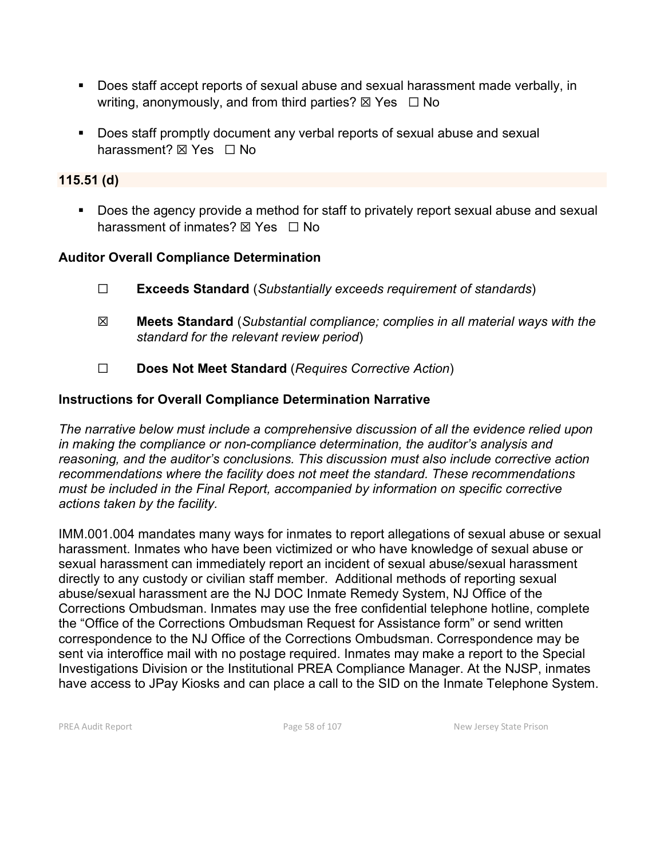- Does staff accept reports of sexual abuse and sexual harassment made verbally, in writing, anonymously, and from third parties?  $\boxtimes$  Yes  $\Box$  No
- Does staff promptly document any verbal reports of sexual abuse and sexual harassment? **⊠** Yes □ No

## **115.51 (d)**

Does the agency provide a method for staff to privately report sexual abuse and sexual harassment of inmates?  $\nabla$  Yes  $\Box$  No

## **Auditor Overall Compliance Determination**

- ☐ **Exceeds Standard** (*Substantially exceeds requirement of standards*)
- ☒ **Meets Standard** (*Substantial compliance; complies in all material ways with the standard for the relevant review period*)
- ☐ **Does Not Meet Standard** (*Requires Corrective Action*)

### **Instructions for Overall Compliance Determination Narrative**

*The narrative below must include a comprehensive discussion of all the evidence relied upon in making the compliance or non-compliance determination, the auditor's analysis and reasoning, and the auditor's conclusions. This discussion must also include corrective action recommendations where the facility does not meet the standard. These recommendations must be included in the Final Report, accompanied by information on specific corrective actions taken by the facility.*

IMM.001.004 mandates many ways for inmates to report allegations of sexual abuse or sexual harassment. Inmates who have been victimized or who have knowledge of sexual abuse or sexual harassment can immediately report an incident of sexual abuse/sexual harassment directly to any custody or civilian staff member. Additional methods of reporting sexual abuse/sexual harassment are the NJ DOC Inmate Remedy System, NJ Office of the Corrections Ombudsman. Inmates may use the free confidential telephone hotline, complete the "Office of the Corrections Ombudsman Request for Assistance form" or send written correspondence to the NJ Office of the Corrections Ombudsman. Correspondence may be sent via interoffice mail with no postage required. Inmates may make a report to the Special Investigations Division or the Institutional PREA Compliance Manager. At the NJSP, inmates have access to JPay Kiosks and can place a call to the SID on the Inmate Telephone System.

PREA Audit Report **Page 58 of 107** Page 58 of 107 New Jersey State Prison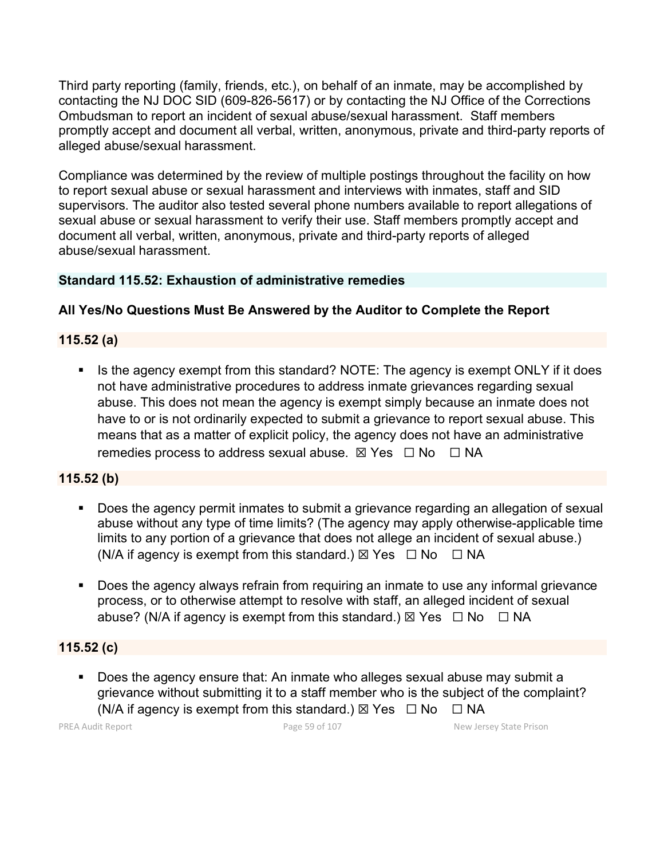Third party reporting (family, friends, etc.), on behalf of an inmate, may be accomplished by contacting the NJ DOC SID (609-826-5617) or by contacting the NJ Office of the Corrections Ombudsman to report an incident of sexual abuse/sexual harassment. Staff members promptly accept and document all verbal, written, anonymous, private and third-party reports of alleged abuse/sexual harassment.

Compliance was determined by the review of multiple postings throughout the facility on how to report sexual abuse or sexual harassment and interviews with inmates, staff and SID supervisors. The auditor also tested several phone numbers available to report allegations of sexual abuse or sexual harassment to verify their use. Staff members promptly accept and document all verbal, written, anonymous, private and third-party reports of alleged abuse/sexual harassment.

## **Standard 115.52: Exhaustion of administrative remedies**

# **All Yes/No Questions Must Be Answered by the Auditor to Complete the Report**

# **115.52 (a)**

Is the agency exempt from this standard? NOTE: The agency is exempt ONLY if it does not have administrative procedures to address inmate grievances regarding sexual abuse. This does not mean the agency is exempt simply because an inmate does not have to or is not ordinarily expected to submit a grievance to report sexual abuse. This means that as a matter of explicit policy, the agency does not have an administrative remedies process to address sexual abuse.  $\boxtimes$  Yes  $\Box$  No  $\Box$  NA

## **115.52 (b)**

- Does the agency permit inmates to submit a grievance regarding an allegation of sexual abuse without any type of time limits? (The agency may apply otherwise-applicable time limits to any portion of a grievance that does not allege an incident of sexual abuse.) (N/A if agency is exempt from this standard.)  $\boxtimes$  Yes  $\Box$  No  $\Box$  NA
- **Does the agency always refrain from requiring an inmate to use any informal grievance** process, or to otherwise attempt to resolve with staff, an alleged incident of sexual abuse? (N/A if agency is exempt from this standard.)  $\boxtimes$  Yes  $\Box$  No  $\Box$  NA

## **115.52 (c)**

 Does the agency ensure that: An inmate who alleges sexual abuse may submit a grievance without submitting it to a staff member who is the subject of the complaint? (N/A if agency is exempt from this standard.)  $\boxtimes$  Yes  $\Box$  No  $\Box$  NA

PREA Audit Report **Page 19 of 107** Page 59 of 107 New Jersey State Prison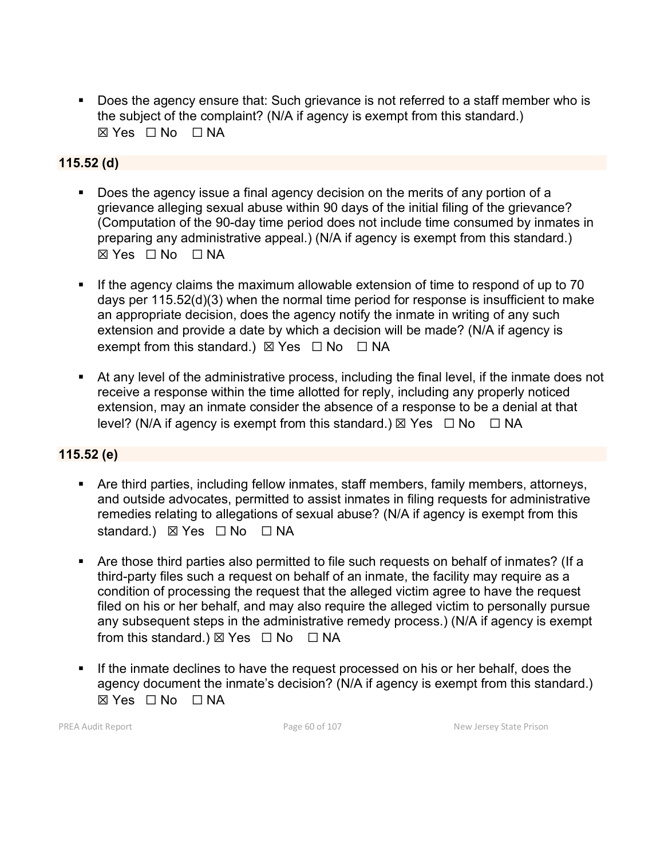Does the agency ensure that: Such grievance is not referred to a staff member who is the subject of the complaint? (N/A if agency is exempt from this standard.)  $\boxtimes$  Yes  $\Box$  No  $\Box$  NA

## **115.52 (d)**

- Does the agency issue a final agency decision on the merits of any portion of a grievance alleging sexual abuse within 90 days of the initial filing of the grievance? (Computation of the 90-day time period does not include time consumed by inmates in preparing any administrative appeal.) (N/A if agency is exempt from this standard.)  $\boxtimes$  Yes  $\Box$  No  $\Box$  NA
- If the agency claims the maximum allowable extension of time to respond of up to 70 days per 115.52(d)(3) when the normal time period for response is insufficient to make an appropriate decision, does the agency notify the inmate in writing of any such extension and provide a date by which a decision will be made? (N/A if agency is exempt from this standard.)  $\boxtimes$  Yes  $\Box$  No  $\Box$  NA
- At any level of the administrative process, including the final level, if the inmate does not receive a response within the time allotted for reply, including any properly noticed extension, may an inmate consider the absence of a response to be a denial at that level? (N/A if agency is exempt from this standard.)  $\boxtimes$  Yes  $\Box$  No  $\Box$  NA

#### **115.52 (e)**

- Are third parties, including fellow inmates, staff members, family members, attorneys, and outside advocates, permitted to assist inmates in filing requests for administrative remedies relating to allegations of sexual abuse? (N/A if agency is exempt from this standard.) ⊠ Yes □ No □ NA
- Are those third parties also permitted to file such requests on behalf of inmates? (If a third-party files such a request on behalf of an inmate, the facility may require as a condition of processing the request that the alleged victim agree to have the request filed on his or her behalf, and may also require the alleged victim to personally pursue any subsequent steps in the administrative remedy process.) (N/A if agency is exempt from this standard.)  $\boxtimes$  Yes  $\Box$  No  $\Box$  NA
- If the inmate declines to have the request processed on his or her behalf, does the agency document the inmate's decision? (N/A if agency is exempt from this standard.)  $\boxtimes$  Yes  $\Box$  No  $\Box$  NA

PREA Audit Report **Page 60 of 107** Page 60 of 107 New Jersey State Prison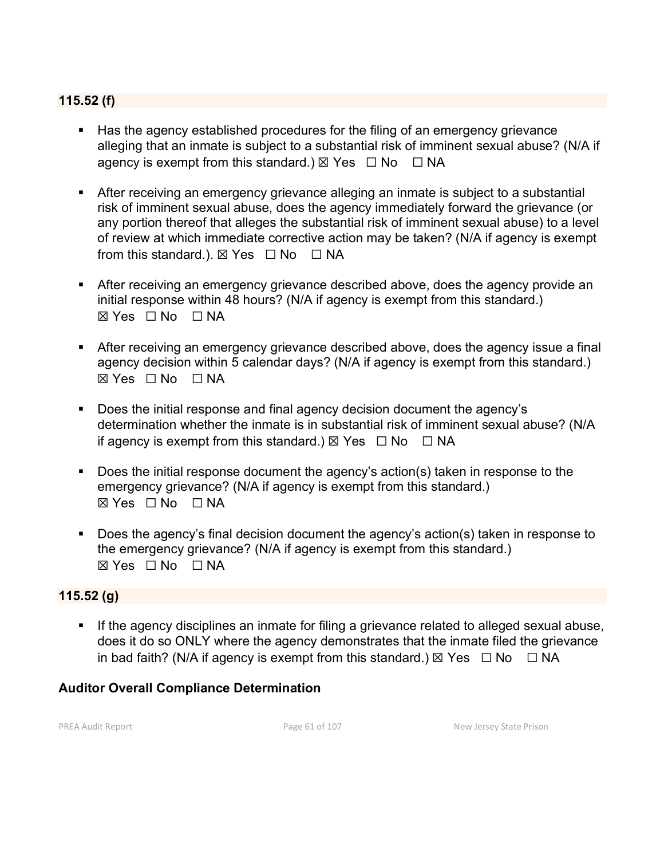### **115.52 (f)**

- Has the agency established procedures for the filing of an emergency grievance alleging that an inmate is subject to a substantial risk of imminent sexual abuse? (N/A if agency is exempt from this standard.)  $\boxtimes$  Yes  $\Box$  No  $\Box$  NA
- After receiving an emergency grievance alleging an inmate is subject to a substantial risk of imminent sexual abuse, does the agency immediately forward the grievance (or any portion thereof that alleges the substantial risk of imminent sexual abuse) to a level of review at which immediate corrective action may be taken? (N/A if agency is exempt from this standard.).  $\boxtimes$  Yes  $\Box$  No  $\Box$  NA
- After receiving an emergency grievance described above, does the agency provide an initial response within 48 hours? (N/A if agency is exempt from this standard.) ☒ Yes ☐ No ☐ NA
- After receiving an emergency grievance described above, does the agency issue a final agency decision within 5 calendar days? (N/A if agency is exempt from this standard.)  $\boxtimes$  Yes  $\Box$  No  $\Box$  NA
- Does the initial response and final agency decision document the agency's determination whether the inmate is in substantial risk of imminent sexual abuse? (N/A if agency is exempt from this standard.)  $\boxtimes$  Yes  $\Box$  No  $\Box$  NA
- Does the initial response document the agency's action(s) taken in response to the emergency grievance? (N/A if agency is exempt from this standard.)  $\boxtimes$  Yes  $\Box$  No  $\Box$  NA
- Does the agency's final decision document the agency's action(s) taken in response to the emergency grievance? (N/A if agency is exempt from this standard.) ☒ Yes ☐ No ☐ NA

#### **115.52 (g)**

**If the agency disciplines an inmate for filing a grievance related to alleged sexual abuse,** does it do so ONLY where the agency demonstrates that the inmate filed the grievance in bad faith? (N/A if agency is exempt from this standard.)  $\boxtimes$  Yes  $\Box$  No  $\Box$  NA

#### **Auditor Overall Compliance Determination**

PREA Audit Report **Page 61 of 107** Page 61 of 107 New Jersey State Prison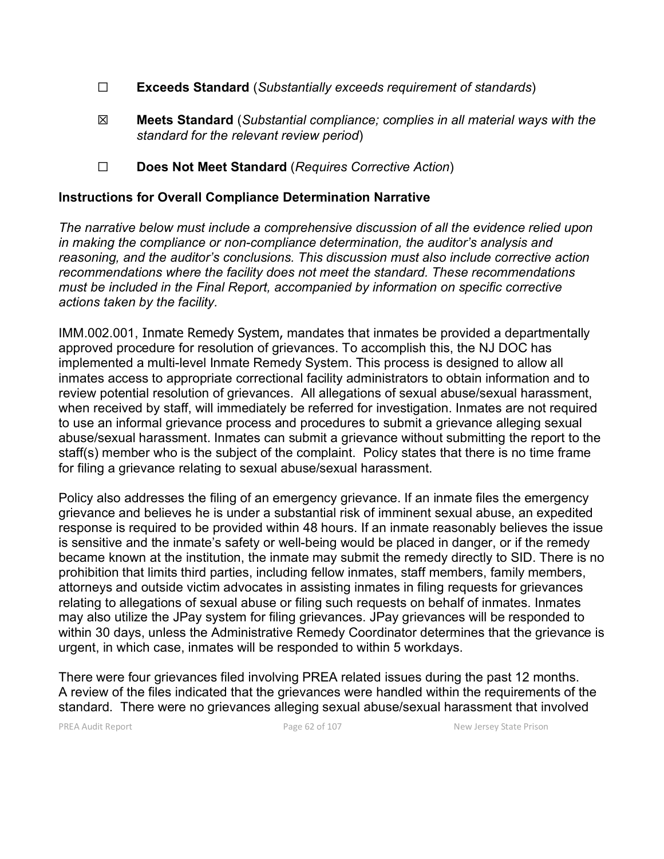- ☐ **Exceeds Standard** (*Substantially exceeds requirement of standards*)
- ☒ **Meets Standard** (*Substantial compliance; complies in all material ways with the standard for the relevant review period*)
- ☐ **Does Not Meet Standard** (*Requires Corrective Action*)

#### **Instructions for Overall Compliance Determination Narrative**

*The narrative below must include a comprehensive discussion of all the evidence relied upon in making the compliance or non-compliance determination, the auditor's analysis and reasoning, and the auditor's conclusions. This discussion must also include corrective action recommendations where the facility does not meet the standard. These recommendations must be included in the Final Report, accompanied by information on specific corrective actions taken by the facility.*

IMM.002.001, Inmate Remedy System, mandates that inmates be provided a departmentally approved procedure for resolution of grievances. To accomplish this, the NJ DOC has implemented a multi-level Inmate Remedy System. This process is designed to allow all inmates access to appropriate correctional facility administrators to obtain information and to review potential resolution of grievances. All allegations of sexual abuse/sexual harassment, when received by staff, will immediately be referred for investigation. Inmates are not required to use an informal grievance process and procedures to submit a grievance alleging sexual abuse/sexual harassment. Inmates can submit a grievance without submitting the report to the staff(s) member who is the subject of the complaint. Policy states that there is no time frame for filing a grievance relating to sexual abuse/sexual harassment.

Policy also addresses the filing of an emergency grievance. If an inmate files the emergency grievance and believes he is under a substantial risk of imminent sexual abuse, an expedited response is required to be provided within 48 hours. If an inmate reasonably believes the issue is sensitive and the inmate's safety or well-being would be placed in danger, or if the remedy became known at the institution, the inmate may submit the remedy directly to SID. There is no prohibition that limits third parties, including fellow inmates, staff members, family members, attorneys and outside victim advocates in assisting inmates in filing requests for grievances relating to allegations of sexual abuse or filing such requests on behalf of inmates. Inmates may also utilize the JPay system for filing grievances. JPay grievances will be responded to within 30 days, unless the Administrative Remedy Coordinator determines that the grievance is urgent, in which case, inmates will be responded to within 5 workdays.

There were four grievances filed involving PREA related issues during the past 12 months. A review of the files indicated that the grievances were handled within the requirements of the standard. There were no grievances alleging sexual abuse/sexual harassment that involved

PREA Audit Report **Page 62 of 107** Page 62 of 107 New Jersey State Prison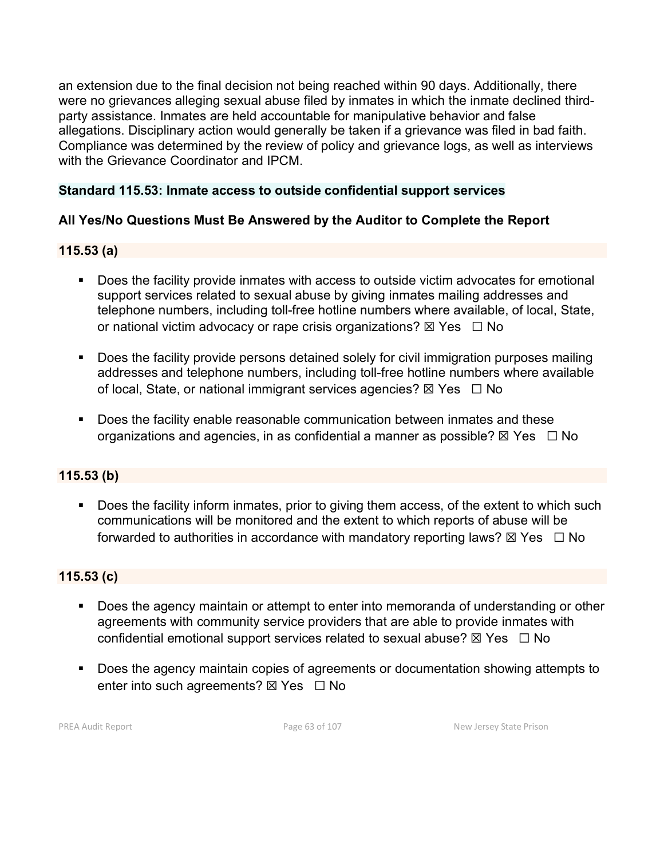an extension due to the final decision not being reached within 90 days. Additionally, there were no grievances alleging sexual abuse filed by inmates in which the inmate declined thirdparty assistance. Inmates are held accountable for manipulative behavior and false allegations. Disciplinary action would generally be taken if a grievance was filed in bad faith. Compliance was determined by the review of policy and grievance logs, as well as interviews with the Grievance Coordinator and IPCM.

### **Standard 115.53: Inmate access to outside confidential support services**

## **All Yes/No Questions Must Be Answered by the Auditor to Complete the Report**

### **115.53 (a)**

- **Does the facility provide inmates with access to outside victim advocates for emotional** support services related to sexual abuse by giving inmates mailing addresses and telephone numbers, including toll-free hotline numbers where available, of local, State, or national victim advocacy or rape crisis organizations?  $\boxtimes$  Yes  $\Box$  No
- **Does the facility provide persons detained solely for civil immigration purposes mailing** addresses and telephone numbers, including toll-free hotline numbers where available of local, State, or national immigrant services agencies?  $\boxtimes$  Yes  $\Box$  No
- Does the facility enable reasonable communication between inmates and these organizations and agencies, in as confidential a manner as possible?  $\boxtimes$  Yes  $\Box$  No

#### **115.53 (b)**

Does the facility inform inmates, prior to giving them access, of the extent to which such communications will be monitored and the extent to which reports of abuse will be forwarded to authorities in accordance with mandatory reporting laws?  $\boxtimes$  Yes  $\Box$  No

#### **115.53 (c)**

- **Does the agency maintain or attempt to enter into memoranda of understanding or other** agreements with community service providers that are able to provide inmates with confidential emotional support services related to sexual abuse?  $\boxtimes$  Yes  $\Box$  No
- Does the agency maintain copies of agreements or documentation showing attempts to enter into such agreements?  $\boxtimes$  Yes  $\Box$  No

PREA Audit Report **Page 63 of 107** Page 63 of 107 New Jersey State Prison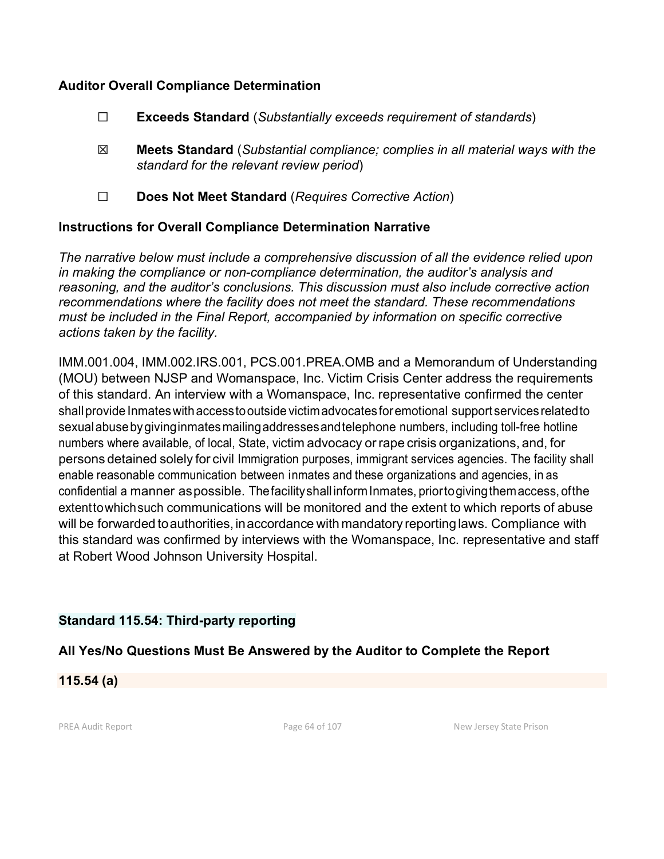#### **Auditor Overall Compliance Determination**

- ☐ **Exceeds Standard** (*Substantially exceeds requirement of standards*)
- ☒ **Meets Standard** (*Substantial compliance; complies in all material ways with the standard for the relevant review period*)
- ☐ **Does Not Meet Standard** (*Requires Corrective Action*)

### **Instructions for Overall Compliance Determination Narrative**

*The narrative below must include a comprehensive discussion of all the evidence relied upon in making the compliance or non-compliance determination, the auditor's analysis and reasoning, and the auditor's conclusions. This discussion must also include corrective action recommendations where the facility does not meet the standard. These recommendations must be included in the Final Report, accompanied by information on specific corrective actions taken by the facility.*

IMM.001.004, IMM.002.IRS.001, PCS.001.PREA.OMB and a Memorandum of Understanding (MOU) between NJSP and Womanspace, Inc. Victim Crisis Center address the requirements of this standard. An interview with a Womanspace, Inc. representative confirmed the center shallprovide Inmateswithaccesstooutside victimadvocatesforemotional support servicesrelatedto sexualabusebygivinginmatesmailingaddressesandtelephone numbers, including toll-free hotline numbers where available, of local, State, victim advocacy or rape crisis organizations, and, for persons detained solely for civil Immigration purposes, immigrant services agencies. The facility shall enable reasonable communication between inmates and these organizations and agencies, in as confidential a manner aspossible. Thefacilityshall informInmates, priortogivingthemaccess, ofthe extenttowhichsuch communications will be monitored and the extent to which reports of abuse will be forwarded to authorities, in accordance with mandatory reporting laws. Compliance with this standard was confirmed by interviews with the Womanspace, Inc. representative and staff at Robert Wood Johnson University Hospital.

## **Standard 115.54: Third-party reporting**

# **All Yes/No Questions Must Be Answered by the Auditor to Complete the Report**

**115.54 (a)**

PREA Audit Report **Page 64 of 107** Page 64 of 107 New Jersey State Prison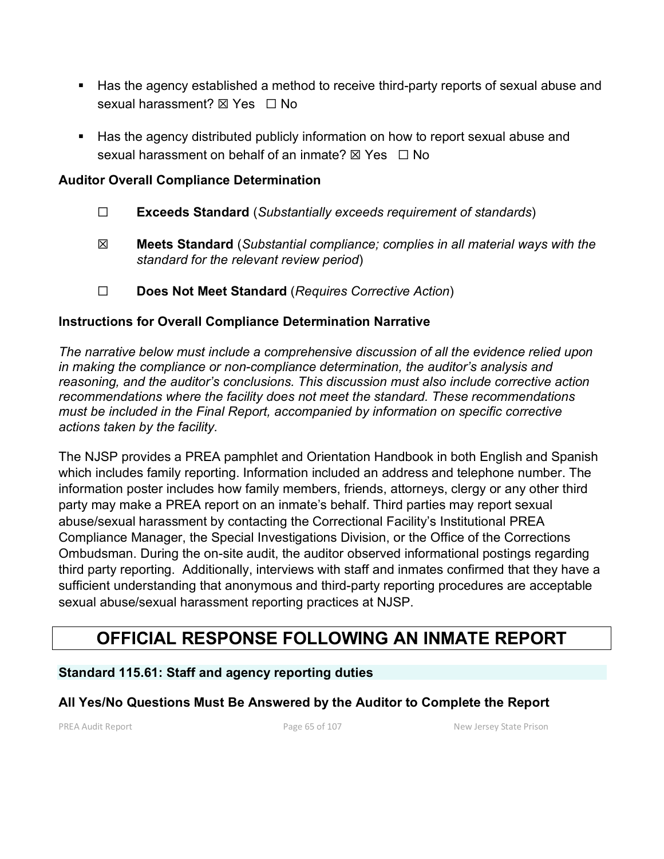- Has the agency established a method to receive third-party reports of sexual abuse and sexual harassment?  $\boxtimes$  Yes  $\Box$  No
- **Has the agency distributed publicly information on how to report sexual abuse and** sexual harassment on behalf of an inmate?  $\boxtimes$  Yes  $\Box$  No

#### **Auditor Overall Compliance Determination**

- ☐ **Exceeds Standard** (*Substantially exceeds requirement of standards*)
- ☒ **Meets Standard** (*Substantial compliance; complies in all material ways with the standard for the relevant review period*)
- ☐ **Does Not Meet Standard** (*Requires Corrective Action*)

### **Instructions for Overall Compliance Determination Narrative**

*The narrative below must include a comprehensive discussion of all the evidence relied upon in making the compliance or non-compliance determination, the auditor's analysis and reasoning, and the auditor's conclusions. This discussion must also include corrective action recommendations where the facility does not meet the standard. These recommendations must be included in the Final Report, accompanied by information on specific corrective actions taken by the facility.*

The NJSP provides a PREA pamphlet and Orientation Handbook in both English and Spanish which includes family reporting. Information included an address and telephone number. The information poster includes how family members, friends, attorneys, clergy or any other third party may make a PREA report on an inmate's behalf. Third parties may report sexual abuse/sexual harassment by contacting the Correctional Facility's Institutional PREA Compliance Manager, the Special Investigations Division, or the Office of the Corrections Ombudsman. During the on-site audit, the auditor observed informational postings regarding third party reporting. Additionally, interviews with staff and inmates confirmed that they have a sufficient understanding that anonymous and third-party reporting procedures are acceptable sexual abuse/sexual harassment reporting practices at NJSP.

# **OFFICIAL RESPONSE FOLLOWING AN INMATE REPORT**

#### **Standard 115.61: Staff and agency reporting duties**

## **All Yes/No Questions Must Be Answered by the Auditor to Complete the Report**

PREA Audit Report **Page 65 of 107** Page 65 of 107 New Jersey State Prison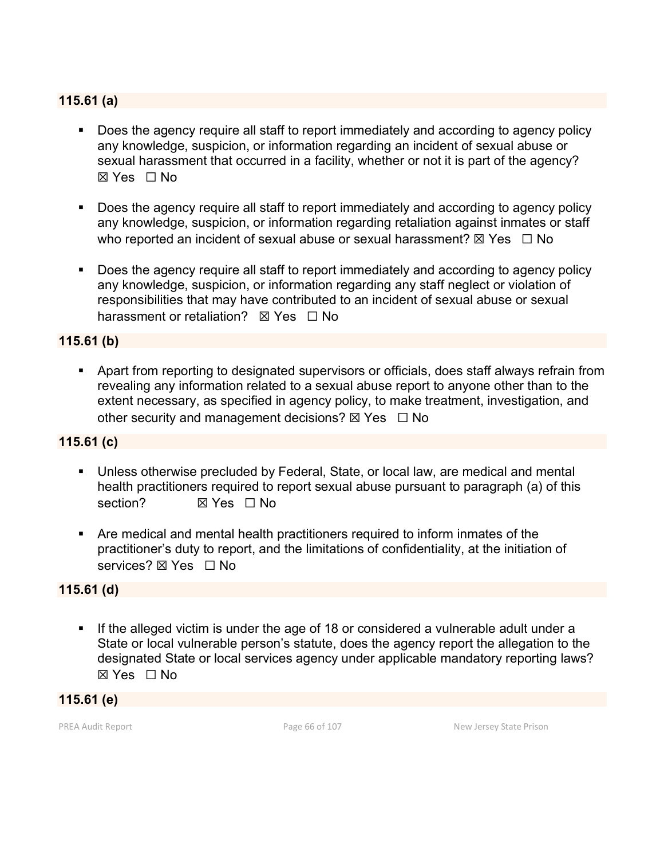#### **115.61 (a)**

- **Does the agency require all staff to report immediately and according to agency policy** any knowledge, suspicion, or information regarding an incident of sexual abuse or sexual harassment that occurred in a facility, whether or not it is part of the agency? ☒ Yes ☐ No
- Does the agency require all staff to report immediately and according to agency policy any knowledge, suspicion, or information regarding retaliation against inmates or staff who reported an incident of sexual abuse or sexual harassment?  $\boxtimes$  Yes  $\Box$  No
- Does the agency require all staff to report immediately and according to agency policy any knowledge, suspicion, or information regarding any staff neglect or violation of responsibilities that may have contributed to an incident of sexual abuse or sexual harassment or retaliation? **⊠ Yes** □ No

#### **115.61 (b)**

 Apart from reporting to designated supervisors or officials, does staff always refrain from revealing any information related to a sexual abuse report to anyone other than to the extent necessary, as specified in agency policy, to make treatment, investigation, and other security and management decisions?  $\boxtimes$  Yes  $\Box$  No

#### **115.61 (c)**

- Unless otherwise precluded by Federal, State, or local law, are medical and mental health practitioners required to report sexual abuse pursuant to paragraph (a) of this section? **⊠** Yes □ No
- Are medical and mental health practitioners required to inform inmates of the practitioner's duty to report, and the limitations of confidentiality, at the initiation of services? ⊠ Yes □ No

#### **115.61 (d)**

 If the alleged victim is under the age of 18 or considered a vulnerable adult under a State or local vulnerable person's statute, does the agency report the allegation to the designated State or local services agency under applicable mandatory reporting laws? ☒ Yes ☐ No

#### **115.61 (e)**

PREA Audit Report **Page 66 of 107** Page 66 of 107 New Jersey State Prison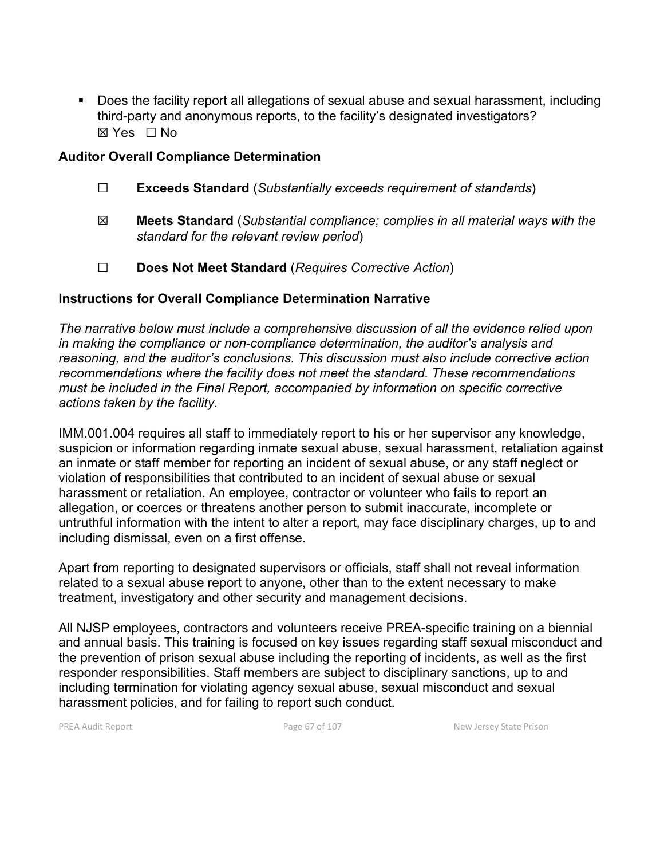Does the facility report all allegations of sexual abuse and sexual harassment, including third-party and anonymous reports, to the facility's designated investigators? ☒ Yes ☐ No

#### **Auditor Overall Compliance Determination**

- ☐ **Exceeds Standard** (*Substantially exceeds requirement of standards*)
- ☒ **Meets Standard** (*Substantial compliance; complies in all material ways with the standard for the relevant review period*)
- ☐ **Does Not Meet Standard** (*Requires Corrective Action*)

## **Instructions for Overall Compliance Determination Narrative**

*The narrative below must include a comprehensive discussion of all the evidence relied upon in making the compliance or non-compliance determination, the auditor's analysis and reasoning, and the auditor's conclusions. This discussion must also include corrective action recommendations where the facility does not meet the standard. These recommendations must be included in the Final Report, accompanied by information on specific corrective actions taken by the facility.*

IMM.001.004 requires all staff to immediately report to his or her supervisor any knowledge, suspicion or information regarding inmate sexual abuse, sexual harassment, retaliation against an inmate or staff member for reporting an incident of sexual abuse, or any staff neglect or violation of responsibilities that contributed to an incident of sexual abuse or sexual harassment or retaliation. An employee, contractor or volunteer who fails to report an allegation, or coerces or threatens another person to submit inaccurate, incomplete or untruthful information with the intent to alter a report, may face disciplinary charges, up to and including dismissal, even on a first offense.

Apart from reporting to designated supervisors or officials, staff shall not reveal information related to a sexual abuse report to anyone, other than to the extent necessary to make treatment, investigatory and other security and management decisions.

All NJSP employees, contractors and volunteers receive PREA-specific training on a biennial and annual basis. This training is focused on key issues regarding staff sexual misconduct and the prevention of prison sexual abuse including the reporting of incidents, as well as the first responder responsibilities. Staff members are subject to disciplinary sanctions, up to and including termination for violating agency sexual abuse, sexual misconduct and sexual harassment policies, and for failing to report such conduct.

PREA Audit Report **Page 67** of 107 New Jersey State Prison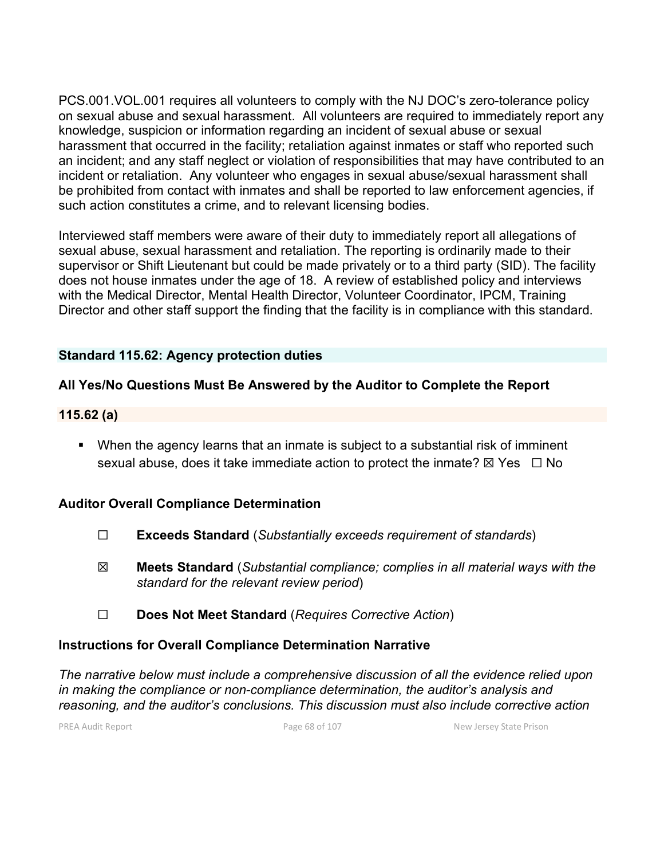PCS.001.VOL.001 requires all volunteers to comply with the NJ DOC's zero-tolerance policy on sexual abuse and sexual harassment. All volunteers are required to immediately report any knowledge, suspicion or information regarding an incident of sexual abuse or sexual harassment that occurred in the facility; retaliation against inmates or staff who reported such an incident; and any staff neglect or violation of responsibilities that may have contributed to an incident or retaliation. Any volunteer who engages in sexual abuse/sexual harassment shall be prohibited from contact with inmates and shall be reported to law enforcement agencies, if such action constitutes a crime, and to relevant licensing bodies.

Interviewed staff members were aware of their duty to immediately report all allegations of sexual abuse, sexual harassment and retaliation. The reporting is ordinarily made to their supervisor or Shift Lieutenant but could be made privately or to a third party (SID). The facility does not house inmates under the age of 18. A review of established policy and interviews with the Medical Director, Mental Health Director, Volunteer Coordinator, IPCM, Training Director and other staff support the finding that the facility is in compliance with this standard.

### **Standard 115.62: Agency protection duties**

### **All Yes/No Questions Must Be Answered by the Auditor to Complete the Report**

#### **115.62 (a)**

 When the agency learns that an inmate is subject to a substantial risk of imminent sexual abuse, does it take immediate action to protect the inmate?  $\boxtimes$  Yes  $\Box$  No

#### **Auditor Overall Compliance Determination**

- ☐ **Exceeds Standard** (*Substantially exceeds requirement of standards*)
- ☒ **Meets Standard** (*Substantial compliance; complies in all material ways with the standard for the relevant review period*)
- ☐ **Does Not Meet Standard** (*Requires Corrective Action*)

#### **Instructions for Overall Compliance Determination Narrative**

*The narrative below must include a comprehensive discussion of all the evidence relied upon in making the compliance or non-compliance determination, the auditor's analysis and reasoning, and the auditor's conclusions. This discussion must also include corrective action* 

PREA Audit Report **Page 68 of 107** Page 68 of 107 New Jersey State Prison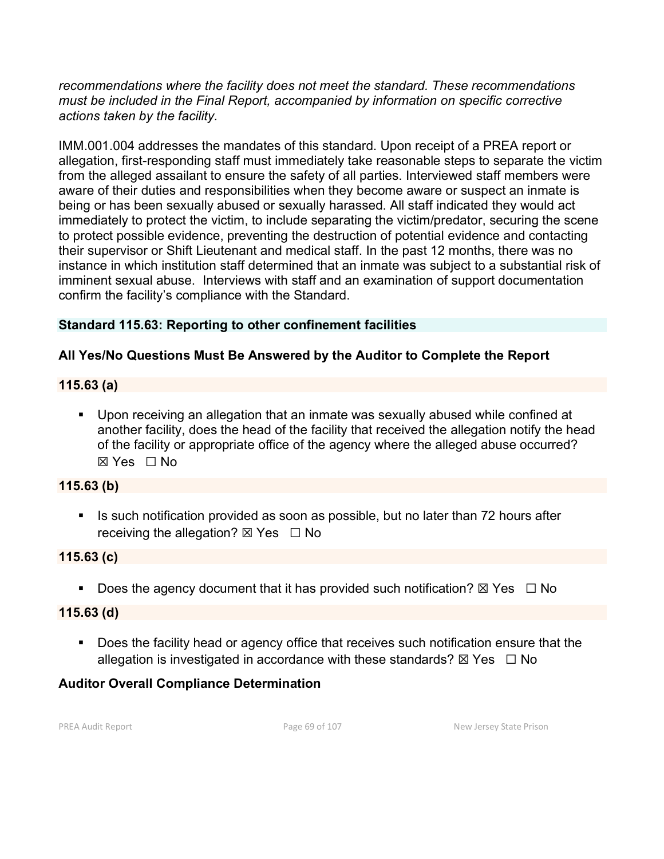*recommendations where the facility does not meet the standard. These recommendations must be included in the Final Report, accompanied by information on specific corrective actions taken by the facility.*

IMM.001.004 addresses the mandates of this standard. Upon receipt of a PREA report or allegation, first-responding staff must immediately take reasonable steps to separate the victim from the alleged assailant to ensure the safety of all parties. Interviewed staff members were aware of their duties and responsibilities when they become aware or suspect an inmate is being or has been sexually abused or sexually harassed. All staff indicated they would act immediately to protect the victim, to include separating the victim/predator, securing the scene to protect possible evidence, preventing the destruction of potential evidence and contacting their supervisor or Shift Lieutenant and medical staff. In the past 12 months, there was no instance in which institution staff determined that an inmate was subject to a substantial risk of imminent sexual abuse. Interviews with staff and an examination of support documentation confirm the facility's compliance with the Standard.

## **Standard 115.63: Reporting to other confinement facilities**

# **All Yes/No Questions Must Be Answered by the Auditor to Complete the Report**

# **115.63 (a)**

 Upon receiving an allegation that an inmate was sexually abused while confined at another facility, does the head of the facility that received the allegation notify the head of the facility or appropriate office of the agency where the alleged abuse occurred? ☒ Yes ☐ No

## **115.63 (b)**

■ Is such notification provided as soon as possible, but no later than 72 hours after receiving the allegation?  $\boxtimes$  Yes  $\Box$  No

## **115.63 (c)**

Does the agency document that it has provided such notification?  $\boxtimes$  Yes  $\Box$  No

# **115.63 (d)**

Does the facility head or agency office that receives such notification ensure that the allegation is investigated in accordance with these standards?  $\boxtimes$  Yes  $\Box$  No

# **Auditor Overall Compliance Determination**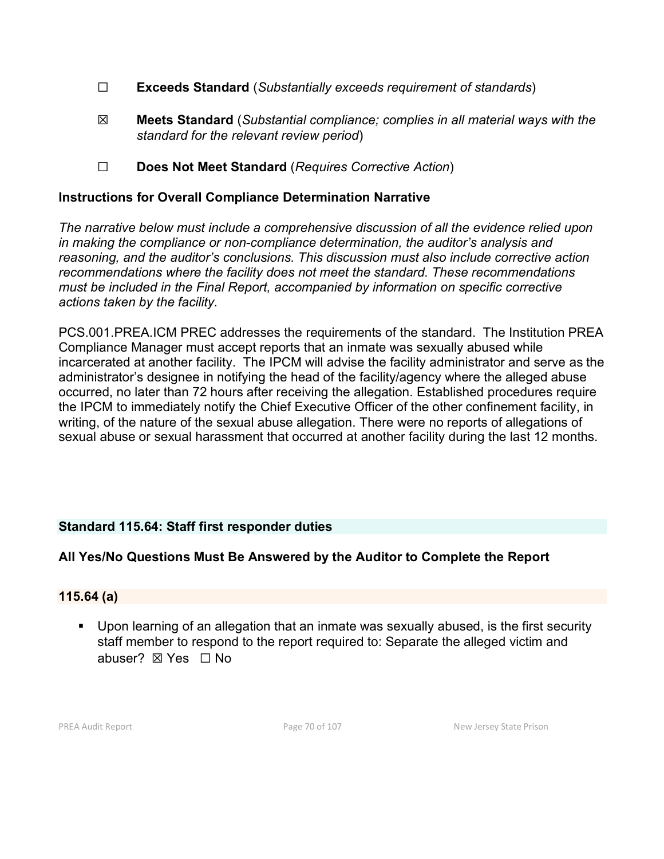- ☐ **Exceeds Standard** (*Substantially exceeds requirement of standards*)
- ☒ **Meets Standard** (*Substantial compliance; complies in all material ways with the standard for the relevant review period*)
- ☐ **Does Not Meet Standard** (*Requires Corrective Action*)

#### **Instructions for Overall Compliance Determination Narrative**

*The narrative below must include a comprehensive discussion of all the evidence relied upon in making the compliance or non-compliance determination, the auditor's analysis and reasoning, and the auditor's conclusions. This discussion must also include corrective action recommendations where the facility does not meet the standard. These recommendations must be included in the Final Report, accompanied by information on specific corrective actions taken by the facility.*

PCS.001.PREA.ICM PREC addresses the requirements of the standard. The Institution PREA Compliance Manager must accept reports that an inmate was sexually abused while incarcerated at another facility. The IPCM will advise the facility administrator and serve as the administrator's designee in notifying the head of the facility/agency where the alleged abuse occurred, no later than 72 hours after receiving the allegation. Established procedures require the IPCM to immediately notify the Chief Executive Officer of the other confinement facility, in writing, of the nature of the sexual abuse allegation. There were no reports of allegations of sexual abuse or sexual harassment that occurred at another facility during the last 12 months.

## **Standard 115.64: Staff first responder duties**

## **All Yes/No Questions Must Be Answered by the Auditor to Complete the Report**

#### **115.64 (a)**

 Upon learning of an allegation that an inmate was sexually abused, is the first security staff member to respond to the report required to: Separate the alleged victim and abuser? ☒ Yes ☐ No

PREA Audit Report **Page 70 of 107** Page 70 of 107 New Jersey State Prison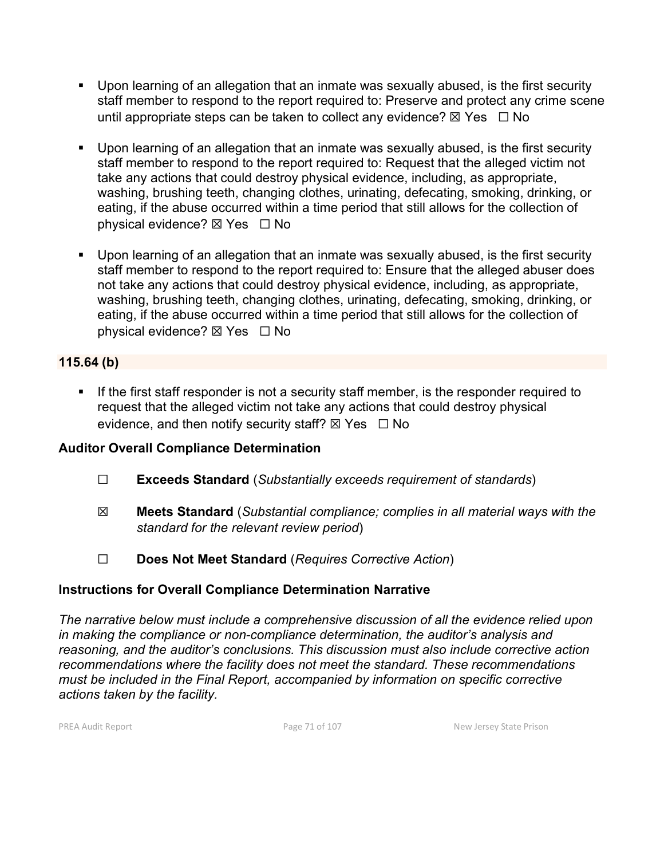- Upon learning of an allegation that an inmate was sexually abused, is the first security staff member to respond to the report required to: Preserve and protect any crime scene until appropriate steps can be taken to collect any evidence?  $\boxtimes$  Yes  $\Box$  No
- Upon learning of an allegation that an inmate was sexually abused, is the first security staff member to respond to the report required to: Request that the alleged victim not take any actions that could destroy physical evidence, including, as appropriate, washing, brushing teeth, changing clothes, urinating, defecating, smoking, drinking, or eating, if the abuse occurred within a time period that still allows for the collection of physical evidence? ⊠ Yes  $□$  No
- Upon learning of an allegation that an inmate was sexually abused, is the first security staff member to respond to the report required to: Ensure that the alleged abuser does not take any actions that could destroy physical evidence, including, as appropriate, washing, brushing teeth, changing clothes, urinating, defecating, smoking, drinking, or eating, if the abuse occurred within a time period that still allows for the collection of physical evidence? ⊠ Yes  $□$  No

## **115.64 (b)**

If the first staff responder is not a security staff member, is the responder required to request that the alleged victim not take any actions that could destroy physical evidence, and then notify security staff?  $\boxtimes$  Yes  $\Box$  No

# **Auditor Overall Compliance Determination**

- ☐ **Exceeds Standard** (*Substantially exceeds requirement of standards*)
- ☒ **Meets Standard** (*Substantial compliance; complies in all material ways with the standard for the relevant review period*)
- ☐ **Does Not Meet Standard** (*Requires Corrective Action*)

# **Instructions for Overall Compliance Determination Narrative**

*The narrative below must include a comprehensive discussion of all the evidence relied upon in making the compliance or non-compliance determination, the auditor's analysis and reasoning, and the auditor's conclusions. This discussion must also include corrective action recommendations where the facility does not meet the standard. These recommendations must be included in the Final Report, accompanied by information on specific corrective actions taken by the facility.*

PREA Audit Report **Page 71 of 107** Page 71 of 107 New Jersey State Prison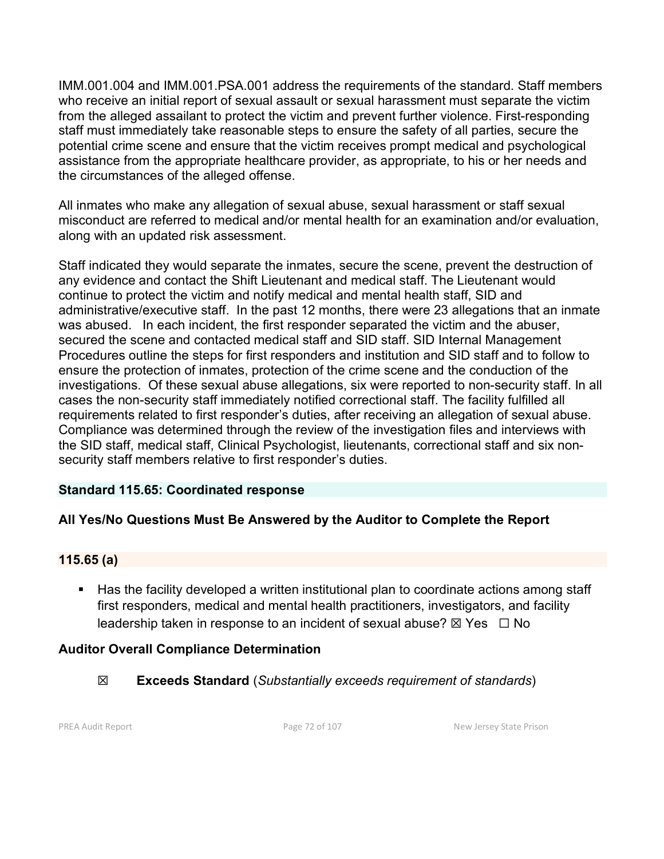IMM.001.004 and IMM.001.PSA.001 address the requirements of the standard. Staff members who receive an initial report of sexual assault or sexual harassment must separate the victim from the alleged assailant to protect the victim and prevent further violence. First-responding staff must immediately take reasonable steps to ensure the safety of all parties, secure the potential crime scene and ensure that the victim receives prompt medical and psychological assistance from the appropriate healthcare provider, as appropriate, to his or her needs and the circumstances of the alleged offense.

All inmates who make any allegation of sexual abuse, sexual harassment or staff sexual misconduct are referred to medical and/or mental health for an examination and/or evaluation, along with an updated risk assessment.

Staff indicated they would separate the inmates, secure the scene, prevent the destruction of any evidence and contact the Shift Lieutenant and medical staff. The Lieutenant would continue to protect the victim and notify medical and mental health staff, SID and administrative/executive staff. In the past 12 months, there were 23 allegations that an inmate was abused. In each incident, the first responder separated the victim and the abuser, secured the scene and contacted medical staff and SID staff. SID Internal Management Procedures outline the steps for first responders and institution and SID staff and to follow to ensure the protection of inmates, protection of the crime scene and the conduction of the investigations. Of these sexual abuse allegations, six were reported to non-security staff. In all cases the non-security staff immediately notified correctional staff. The facility fulfilled all requirements related to first responder's duties, after receiving an allegation of sexual abuse. Compliance was determined through the review of the investigation files and interviews with the SID staff, medical staff, Clinical Psychologist, lieutenants, correctional staff and six nonsecurity staff members relative to first responder's duties.

## **Standard 115.65: Coordinated response**

## **All Yes/No Questions Must Be Answered by the Auditor to Complete the Report**

#### **115.65 (a)**

■ Has the facility developed a written institutional plan to coordinate actions among staff first responders, medical and mental health practitioners, investigators, and facility leadership taken in response to an incident of sexual abuse?  $\boxtimes$  Yes  $\Box$  No

## **Auditor Overall Compliance Determination**

☒ **Exceeds Standard** (*Substantially exceeds requirement of standards*)

PREA Audit Report **Page 72 of 107** Page 72 of 107 New Jersey State Prison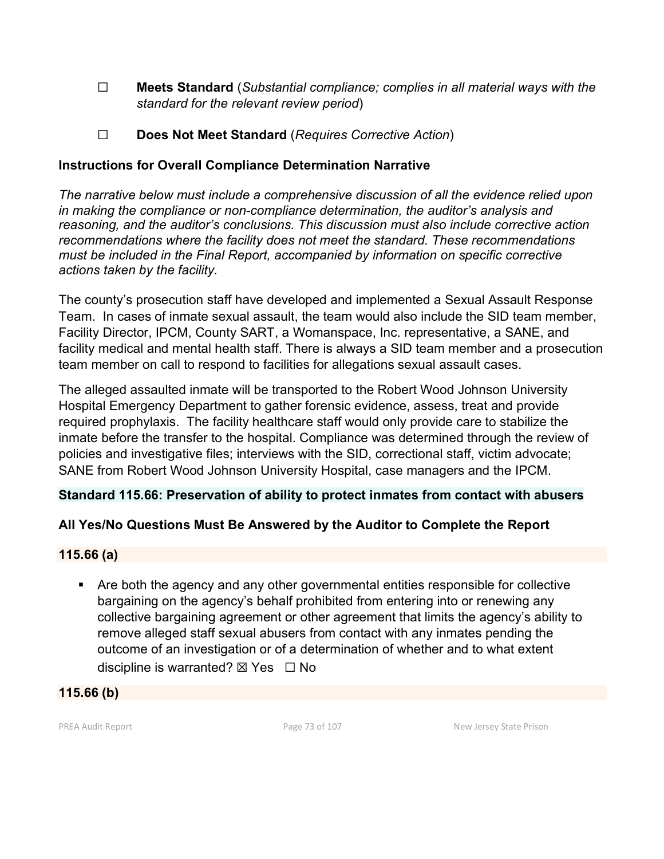- ☐ **Meets Standard** (*Substantial compliance; complies in all material ways with the standard for the relevant review period*)
- ☐ **Does Not Meet Standard** (*Requires Corrective Action*)

# **Instructions for Overall Compliance Determination Narrative**

*The narrative below must include a comprehensive discussion of all the evidence relied upon in making the compliance or non-compliance determination, the auditor's analysis and reasoning, and the auditor's conclusions. This discussion must also include corrective action recommendations where the facility does not meet the standard. These recommendations must be included in the Final Report, accompanied by information on specific corrective actions taken by the facility.*

The county's prosecution staff have developed and implemented a Sexual Assault Response Team. In cases of inmate sexual assault, the team would also include the SID team member, Facility Director, IPCM, County SART, a Womanspace, Inc. representative, a SANE, and facility medical and mental health staff. There is always a SID team member and a prosecution team member on call to respond to facilities for allegations sexual assault cases.

The alleged assaulted inmate will be transported to the Robert Wood Johnson University Hospital Emergency Department to gather forensic evidence, assess, treat and provide required prophylaxis. The facility healthcare staff would only provide care to stabilize the inmate before the transfer to the hospital. Compliance was determined through the review of policies and investigative files; interviews with the SID, correctional staff, victim advocate; SANE from Robert Wood Johnson University Hospital, case managers and the IPCM.

# **Standard 115.66: Preservation of ability to protect inmates from contact with abusers**

# **All Yes/No Questions Must Be Answered by the Auditor to Complete the Report**

# **115.66 (a)**

**Are both the agency and any other governmental entities responsible for collective** bargaining on the agency's behalf prohibited from entering into or renewing any collective bargaining agreement or other agreement that limits the agency's ability to remove alleged staff sexual abusers from contact with any inmates pending the outcome of an investigation or of a determination of whether and to what extent discipline is warranted?  $\boxtimes$  Yes  $\Box$  No

#### **115.66 (b)**

PREA Audit Report **Page 73 of 107** Page 73 of 107 New Jersey State Prison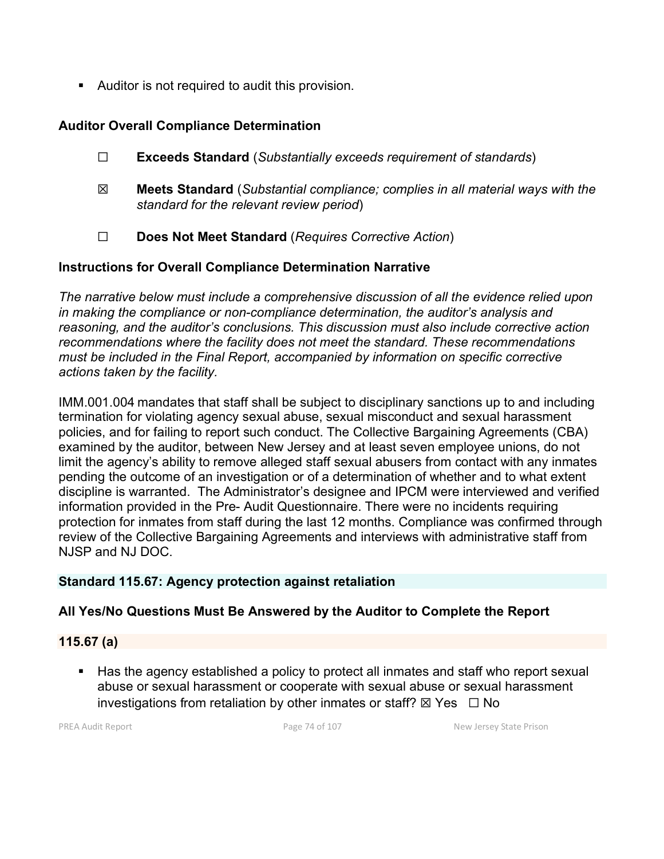Auditor is not required to audit this provision.

# **Auditor Overall Compliance Determination**

- ☐ **Exceeds Standard** (*Substantially exceeds requirement of standards*)
- ☒ **Meets Standard** (*Substantial compliance; complies in all material ways with the standard for the relevant review period*)
- ☐ **Does Not Meet Standard** (*Requires Corrective Action*)

# **Instructions for Overall Compliance Determination Narrative**

*The narrative below must include a comprehensive discussion of all the evidence relied upon in making the compliance or non-compliance determination, the auditor's analysis and reasoning, and the auditor's conclusions. This discussion must also include corrective action recommendations where the facility does not meet the standard. These recommendations must be included in the Final Report, accompanied by information on specific corrective actions taken by the facility.*

IMM.001.004 mandates that staff shall be subject to disciplinary sanctions up to and including termination for violating agency sexual abuse, sexual misconduct and sexual harassment policies, and for failing to report such conduct. The Collective Bargaining Agreements (CBA) examined by the auditor, between New Jersey and at least seven employee unions, do not limit the agency's ability to remove alleged staff sexual abusers from contact with any inmates pending the outcome of an investigation or of a determination of whether and to what extent discipline is warranted. The Administrator's designee and IPCM were interviewed and verified information provided in the Pre- Audit Questionnaire. There were no incidents requiring protection for inmates from staff during the last 12 months. Compliance was confirmed through review of the Collective Bargaining Agreements and interviews with administrative staff from NJSP and NJ DOC.

# **Standard 115.67: Agency protection against retaliation**

# **All Yes/No Questions Must Be Answered by the Auditor to Complete the Report**

# **115.67 (a)**

■ Has the agency established a policy to protect all inmates and staff who report sexual abuse or sexual harassment or cooperate with sexual abuse or sexual harassment investigations from retaliation by other inmates or staff?  $\boxtimes$  Yes  $\Box$  No

PREA Audit Report **Page 74 of 107** Page 74 of 107 New Jersey State Prison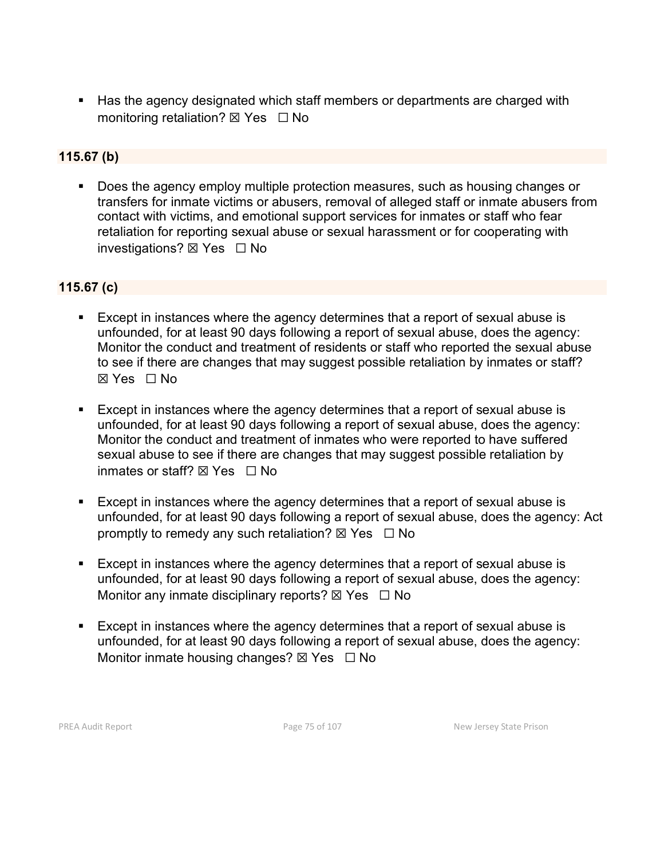■ Has the agency designated which staff members or departments are charged with monitoring retaliation?  $\boxtimes$  Yes  $\Box$  No

# **115.67 (b)**

Does the agency employ multiple protection measures, such as housing changes or transfers for inmate victims or abusers, removal of alleged staff or inmate abusers from contact with victims, and emotional support services for inmates or staff who fear retaliation for reporting sexual abuse or sexual harassment or for cooperating with investigations?  $\boxtimes$  Yes  $\Box$  No

# **115.67 (c)**

- Except in instances where the agency determines that a report of sexual abuse is unfounded, for at least 90 days following a report of sexual abuse, does the agency: Monitor the conduct and treatment of residents or staff who reported the sexual abuse to see if there are changes that may suggest possible retaliation by inmates or staff? ☒ Yes ☐ No
- Except in instances where the agency determines that a report of sexual abuse is unfounded, for at least 90 days following a report of sexual abuse, does the agency: Monitor the conduct and treatment of inmates who were reported to have suffered sexual abuse to see if there are changes that may suggest possible retaliation by inmates or staff?  $\boxtimes$  Yes  $\Box$  No
- Except in instances where the agency determines that a report of sexual abuse is unfounded, for at least 90 days following a report of sexual abuse, does the agency: Act promptly to remedy any such retaliation?  $\boxtimes$  Yes  $\Box$  No
- Except in instances where the agency determines that a report of sexual abuse is unfounded, for at least 90 days following a report of sexual abuse, does the agency: Monitor any inmate disciplinary reports?  $\boxtimes$  Yes  $\Box$  No
- **Except in instances where the agency determines that a report of sexual abuse is** unfounded, for at least 90 days following a report of sexual abuse, does the agency: Monitor inmate housing changes?  $\boxtimes$  Yes  $\Box$  No

PREA Audit Report **Page 75 of 107** Page 75 of 107 New Jersey State Prison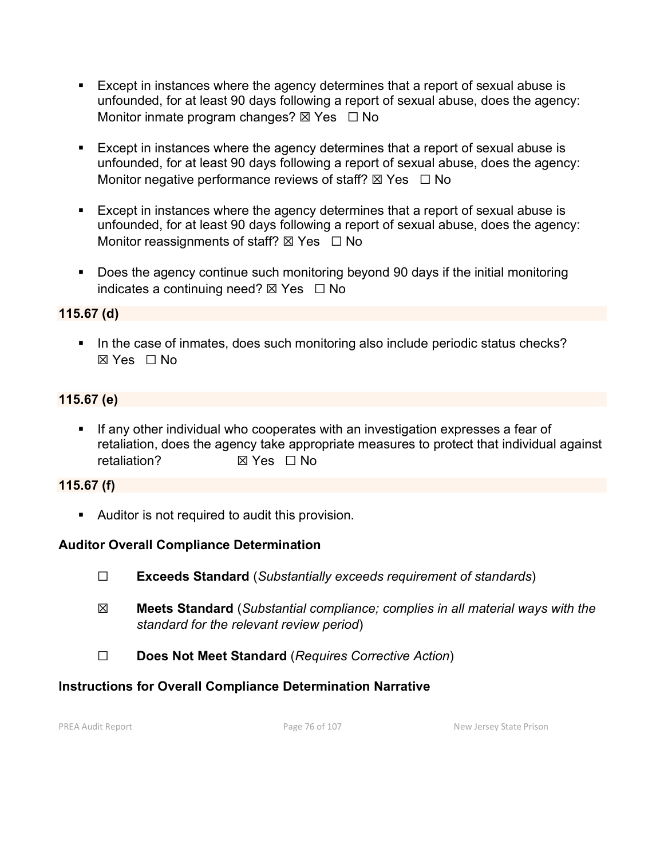- Except in instances where the agency determines that a report of sexual abuse is unfounded, for at least 90 days following a report of sexual abuse, does the agency: Monitor inmate program changes?  $\boxtimes$  Yes  $\Box$  No
- Except in instances where the agency determines that a report of sexual abuse is unfounded, for at least 90 days following a report of sexual abuse, does the agency: Monitor negative performance reviews of staff?  $\boxtimes$  Yes  $\Box$  No
- Except in instances where the agency determines that a report of sexual abuse is unfounded, for at least 90 days following a report of sexual abuse, does the agency: Monitor reassignments of staff?  $\boxtimes$  Yes  $\Box$  No
- Does the agency continue such monitoring beyond 90 days if the initial monitoring indicates a continuing need?  $\boxtimes$  Yes  $\Box$  No

# **115.67 (d)**

In the case of inmates, does such monitoring also include periodic status checks? ☒ Yes ☐ No

# **115.67 (e)**

**If any other individual who cooperates with an investigation expresses a fear of** retaliation, does the agency take appropriate measures to protect that individual against retaliation? ☒ Yes ☐ No

# **115.67 (f)**

Auditor is not required to audit this provision.

# **Auditor Overall Compliance Determination**

- ☐ **Exceeds Standard** (*Substantially exceeds requirement of standards*)
- ☒ **Meets Standard** (*Substantial compliance; complies in all material ways with the standard for the relevant review period*)
- ☐ **Does Not Meet Standard** (*Requires Corrective Action*)

# **Instructions for Overall Compliance Determination Narrative**

PREA Audit Report **Page 76 of 107** Page 76 of 107 New Jersey State Prison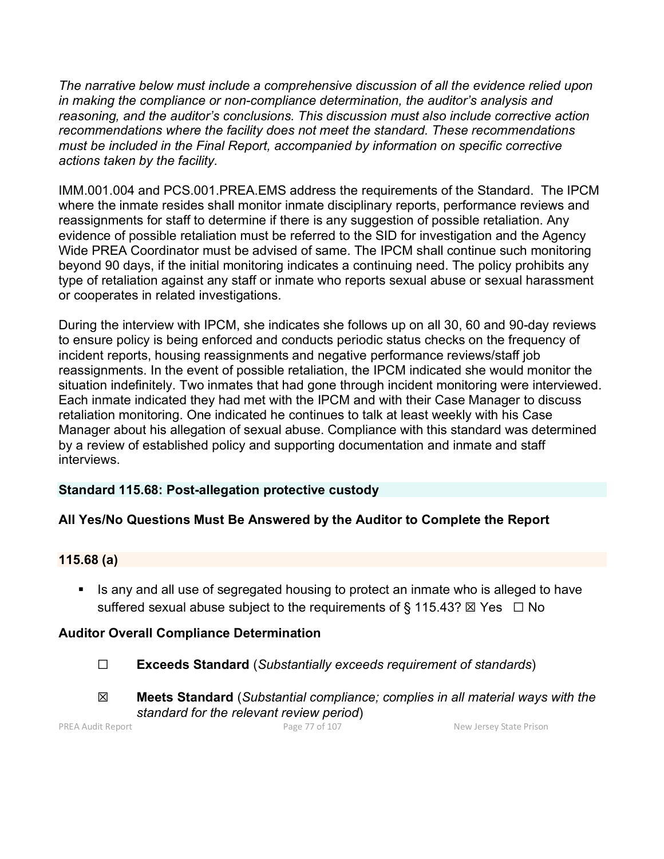*The narrative below must include a comprehensive discussion of all the evidence relied upon in making the compliance or non-compliance determination, the auditor's analysis and reasoning, and the auditor's conclusions. This discussion must also include corrective action recommendations where the facility does not meet the standard. These recommendations must be included in the Final Report, accompanied by information on specific corrective actions taken by the facility.*

IMM.001.004 and PCS.001.PREA.EMS address the requirements of the Standard. The IPCM where the inmate resides shall monitor inmate disciplinary reports, performance reviews and reassignments for staff to determine if there is any suggestion of possible retaliation. Any evidence of possible retaliation must be referred to the SID for investigation and the Agency Wide PREA Coordinator must be advised of same. The IPCM shall continue such monitoring beyond 90 days, if the initial monitoring indicates a continuing need. The policy prohibits any type of retaliation against any staff or inmate who reports sexual abuse or sexual harassment or cooperates in related investigations.

During the interview with IPCM, she indicates she follows up on all 30, 60 and 90-day reviews to ensure policy is being enforced and conducts periodic status checks on the frequency of incident reports, housing reassignments and negative performance reviews/staff job reassignments. In the event of possible retaliation, the IPCM indicated she would monitor the situation indefinitely. Two inmates that had gone through incident monitoring were interviewed. Each inmate indicated they had met with the IPCM and with their Case Manager to discuss retaliation monitoring. One indicated he continues to talk at least weekly with his Case Manager about his allegation of sexual abuse. Compliance with this standard was determined by a review of established policy and supporting documentation and inmate and staff interviews.

# **Standard 115.68: Post-allegation protective custody**

# **All Yes/No Questions Must Be Answered by the Auditor to Complete the Report**

#### **115.68 (a)**

■ Is any and all use of segregated housing to protect an inmate who is alleged to have suffered sexual abuse subject to the requirements of § 115.43?  $\boxtimes$  Yes  $\Box$  No

# **Auditor Overall Compliance Determination**

- ☐ **Exceeds Standard** (*Substantially exceeds requirement of standards*)
- ☒ **Meets Standard** (*Substantial compliance; complies in all material ways with the standard for the relevant review period*)

PREA Audit Report **Page 77 of 107** New Jersey State Prison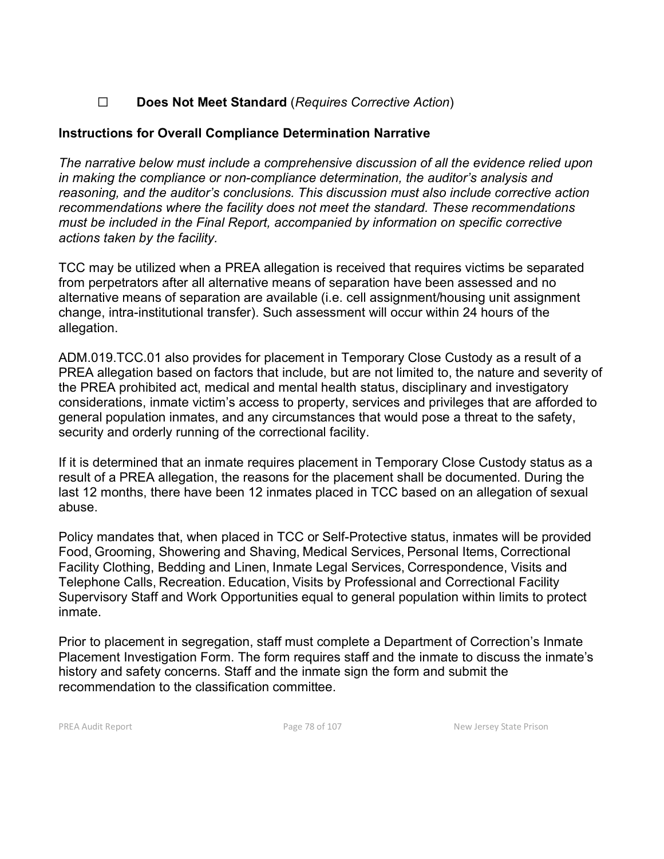# ☐ **Does Not Meet Standard** (*Requires Corrective Action*)

# **Instructions for Overall Compliance Determination Narrative**

*The narrative below must include a comprehensive discussion of all the evidence relied upon in making the compliance or non-compliance determination, the auditor's analysis and reasoning, and the auditor's conclusions. This discussion must also include corrective action recommendations where the facility does not meet the standard. These recommendations must be included in the Final Report, accompanied by information on specific corrective actions taken by the facility.*

TCC may be utilized when a PREA allegation is received that requires victims be separated from perpetrators after all alternative means of separation have been assessed and no alternative means of separation are available (i.e. cell assignment/housing unit assignment change, intra-institutional transfer). Such assessment will occur within 24 hours of the allegation.

ADM.019.TCC.01 also provides for placement in Temporary Close Custody as a result of a PREA allegation based on factors that include, but are not limited to, the nature and severity of the PREA prohibited act, medical and mental health status, disciplinary and investigatory considerations, inmate victim's access to property, services and privileges that are afforded to general population inmates, and any circumstances that would pose a threat to the safety, security and orderly running of the correctional facility.

If it is determined that an inmate requires placement in Temporary Close Custody status as a result of a PREA allegation, the reasons for the placement shall be documented. During the last 12 months, there have been 12 inmates placed in TCC based on an allegation of sexual abuse.

Policy mandates that, when placed in TCC or Self-Protective status, inmates will be provided Food, Grooming, Showering and Shaving, Medical Services, Personal Items, Correctional Facility Clothing, Bedding and Linen, Inmate Legal Services, Correspondence, Visits and Telephone Calls, Recreation. Education, Visits by Professional and Correctional Facility Supervisory Staff and Work Opportunities equal to general population within limits to protect inmate.

Prior to placement in segregation, staff must complete a Department of Correction's Inmate Placement Investigation Form. The form requires staff and the inmate to discuss the inmate's history and safety concerns. Staff and the inmate sign the form and submit the recommendation to the classification committee.

PREA Audit Report **Page 78 of 107** Page 78 of 107 New Jersey State Prison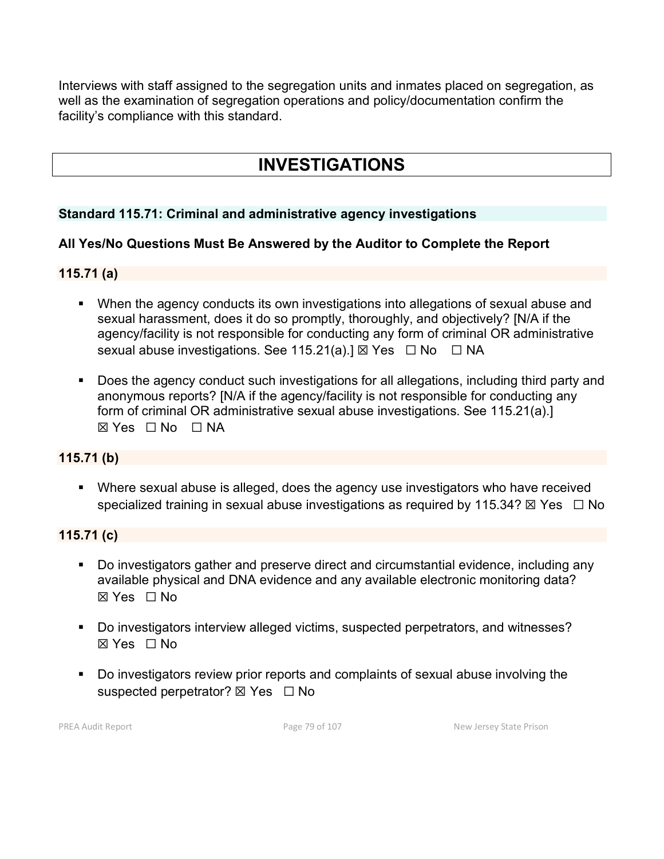Interviews with staff assigned to the segregation units and inmates placed on segregation, as well as the examination of segregation operations and policy/documentation confirm the facility's compliance with this standard.

# **INVESTIGATIONS**

# **Standard 115.71: Criminal and administrative agency investigations**

#### **All Yes/No Questions Must Be Answered by the Auditor to Complete the Report**

#### **115.71 (a)**

- When the agency conducts its own investigations into allegations of sexual abuse and sexual harassment, does it do so promptly, thoroughly, and objectively? [N/A if the agency/facility is not responsible for conducting any form of criminal OR administrative sexual abuse investigations. See 115.21(a).]  $\boxtimes$  Yes  $\Box$  No  $\Box$  NA
- Does the agency conduct such investigations for all allegations, including third party and anonymous reports? [N/A if the agency/facility is not responsible for conducting any form of criminal OR administrative sexual abuse investigations. See 115.21(a).]  $\boxtimes$  Yes  $\Box$  No  $\Box$  NA

#### **115.71 (b)**

 Where sexual abuse is alleged, does the agency use investigators who have received specialized training in sexual abuse investigations as required by 115.34?  $\boxtimes$  Yes  $\Box$  No

#### **115.71 (c)**

- Do investigators gather and preserve direct and circumstantial evidence, including any available physical and DNA evidence and any available electronic monitoring data? ☒ Yes ☐ No
- Do investigators interview alleged victims, suspected perpetrators, and witnesses? ☒ Yes ☐ No
- Do investigators review prior reports and complaints of sexual abuse involving the suspected perpetrator? ⊠ Yes  $□$  No

PREA Audit Report **Page 79 of 107** Page 79 of 107 New Jersey State Prison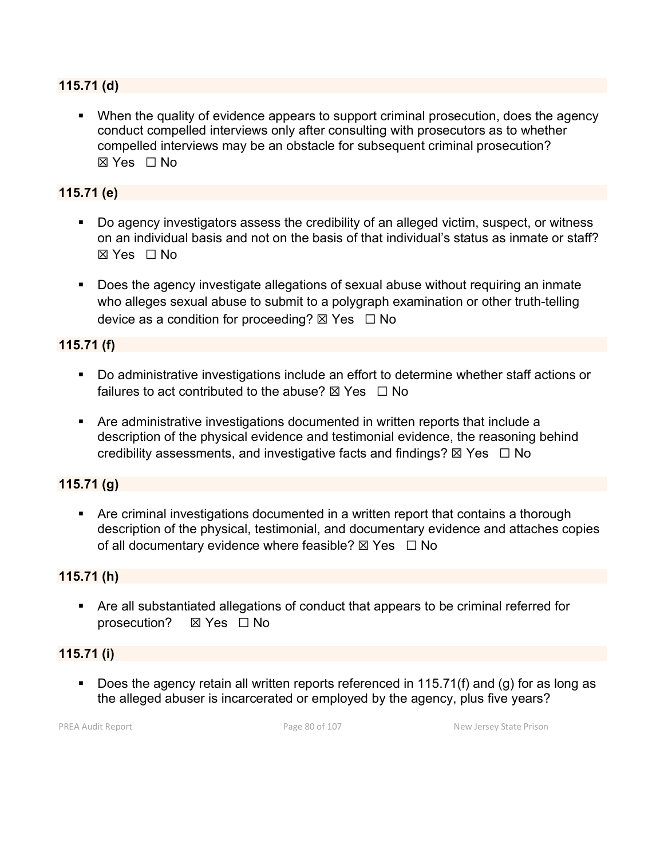#### **115.71 (d)**

• When the quality of evidence appears to support criminal prosecution, does the agency conduct compelled interviews only after consulting with prosecutors as to whether compelled interviews may be an obstacle for subsequent criminal prosecution? ☒ Yes ☐ No

### **115.71 (e)**

- Do agency investigators assess the credibility of an alleged victim, suspect, or witness on an individual basis and not on the basis of that individual's status as inmate or staff? ☒ Yes ☐ No
- Does the agency investigate allegations of sexual abuse without requiring an inmate who alleges sexual abuse to submit to a polygraph examination or other truth-telling device as a condition for proceeding?  $\boxtimes$  Yes  $\Box$  No

#### **115.71 (f)**

- Do administrative investigations include an effort to determine whether staff actions or failures to act contributed to the abuse?  $\boxtimes$  Yes  $\Box$  No
- Are administrative investigations documented in written reports that include a description of the physical evidence and testimonial evidence, the reasoning behind credibility assessments, and investigative facts and findings?  $\boxtimes$  Yes  $\Box$  No

### **115.71 (g)**

 Are criminal investigations documented in a written report that contains a thorough description of the physical, testimonial, and documentary evidence and attaches copies of all documentary evidence where feasible?  $\boxtimes$  Yes  $\Box$  No

#### **115.71 (h)**

 Are all substantiated allegations of conduct that appears to be criminal referred for prosecution? ☒ Yes ☐ No

# **115.71 (i)**

Does the agency retain all written reports referenced in 115.71(f) and (g) for as long as the alleged abuser is incarcerated or employed by the agency, plus five years?

PREA Audit Report **Page 80 of 107** Page 80 of 107 New Jersey State Prison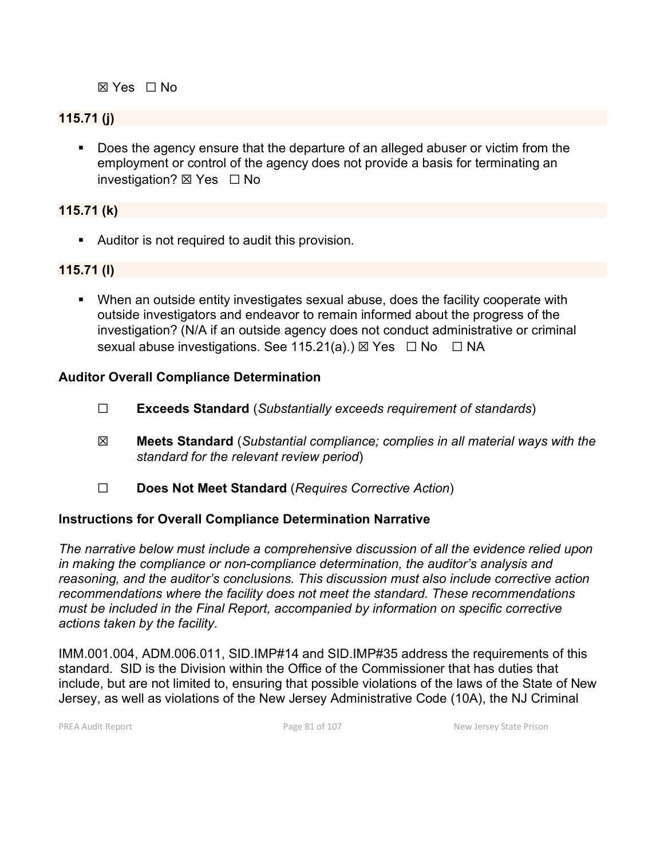☒ Yes ☐ No

# **115.71 (j)**

 Does the agency ensure that the departure of an alleged abuser or victim from the employment or control of the agency does not provide a basis for terminating an investigation? ☒ Yes ☐ No

#### **115.71 (k)**

Auditor is not required to audit this provision.

# **115.71 (l)**

 When an outside entity investigates sexual abuse, does the facility cooperate with outside investigators and endeavor to remain informed about the progress of the investigation? (N/A if an outside agency does not conduct administrative or criminal sexual abuse investigations. See 115.21(a).)  $\boxtimes$  Yes  $\Box$  No  $\Box$  NA

#### **Auditor Overall Compliance Determination**

- ☐ **Exceeds Standard** (*Substantially exceeds requirement of standards*)
- ☒ **Meets Standard** (*Substantial compliance; complies in all material ways with the standard for the relevant review period*)
- ☐ **Does Not Meet Standard** (*Requires Corrective Action*)

#### **Instructions for Overall Compliance Determination Narrative**

*The narrative below must include a comprehensive discussion of all the evidence relied upon in making the compliance or non-compliance determination, the auditor's analysis and reasoning, and the auditor's conclusions. This discussion must also include corrective action recommendations where the facility does not meet the standard. These recommendations must be included in the Final Report, accompanied by information on specific corrective actions taken by the facility.*

IMM.001.004, ADM.006.011, SID.IMP#14 and SID.IMP#35 address the requirements of this standard. SID is the Division within the Office of the Commissioner that has duties that include, but are not limited to, ensuring that possible violations of the laws of the State of New Jersey, as well as violations of the New Jersey Administrative Code (10A), the NJ Criminal

PREA Audit Report **Page 81** of 107 New Jersey State Prison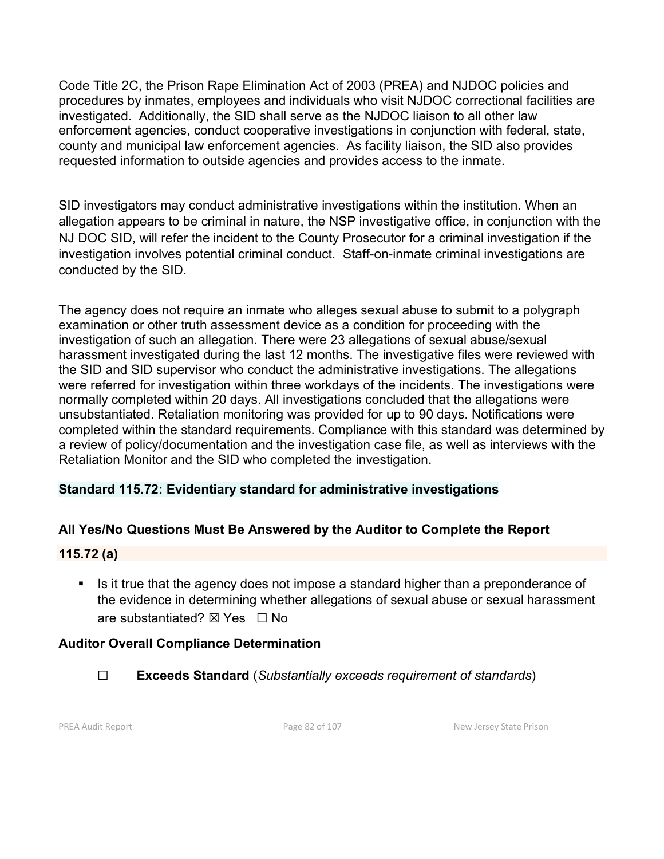Code Title 2C, the Prison Rape Elimination Act of 2003 (PREA) and NJDOC policies and procedures by inmates, employees and individuals who visit NJDOC correctional facilities are investigated. Additionally, the SID shall serve as the NJDOC liaison to all other law enforcement agencies, conduct cooperative investigations in conjunction with federal, state, county and municipal law enforcement agencies. As facility liaison, the SID also provides requested information to outside agencies and provides access to the inmate.

SID investigators may conduct administrative investigations within the institution. When an allegation appears to be criminal in nature, the NSP investigative office, in conjunction with the NJ DOC SID, will refer the incident to the County Prosecutor for a criminal investigation if the investigation involves potential criminal conduct. Staff-on-inmate criminal investigations are conducted by the SID.

The agency does not require an inmate who alleges sexual abuse to submit to a polygraph examination or other truth assessment device as a condition for proceeding with the investigation of such an allegation. There were 23 allegations of sexual abuse/sexual harassment investigated during the last 12 months. The investigative files were reviewed with the SID and SID supervisor who conduct the administrative investigations. The allegations were referred for investigation within three workdays of the incidents. The investigations were normally completed within 20 days. All investigations concluded that the allegations were unsubstantiated. Retaliation monitoring was provided for up to 90 days. Notifications were completed within the standard requirements. Compliance with this standard was determined by a review of policy/documentation and the investigation case file, as well as interviews with the Retaliation Monitor and the SID who completed the investigation.

# **Standard 115.72: Evidentiary standard for administrative investigations**

# **All Yes/No Questions Must Be Answered by the Auditor to Complete the Report**

#### **115.72 (a)**

**IF** Is it true that the agency does not impose a standard higher than a preponderance of the evidence in determining whether allegations of sexual abuse or sexual harassment are substantiated? ⊠ Yes □ No

#### **Auditor Overall Compliance Determination**

☐ **Exceeds Standard** (*Substantially exceeds requirement of standards*)

PREA Audit Report **Page 82** of 107 New Jersey State Prison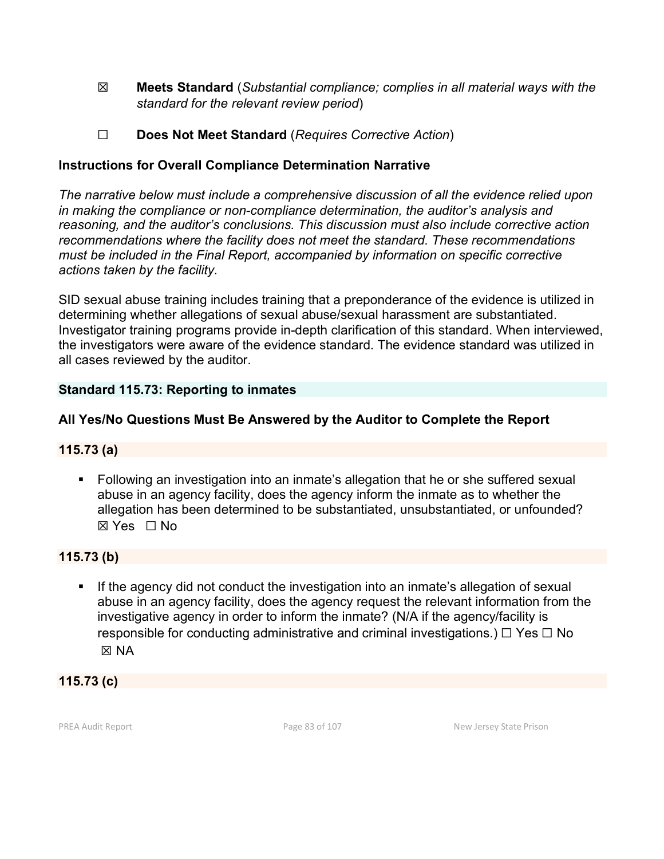- ☒ **Meets Standard** (*Substantial compliance; complies in all material ways with the standard for the relevant review period*)
- ☐ **Does Not Meet Standard** (*Requires Corrective Action*)

# **Instructions for Overall Compliance Determination Narrative**

*The narrative below must include a comprehensive discussion of all the evidence relied upon in making the compliance or non-compliance determination, the auditor's analysis and reasoning, and the auditor's conclusions. This discussion must also include corrective action recommendations where the facility does not meet the standard. These recommendations must be included in the Final Report, accompanied by information on specific corrective actions taken by the facility.*

SID sexual abuse training includes training that a preponderance of the evidence is utilized in determining whether allegations of sexual abuse/sexual harassment are substantiated. Investigator training programs provide in-depth clarification of this standard. When interviewed, the investigators were aware of the evidence standard. The evidence standard was utilized in all cases reviewed by the auditor.

# **Standard 115.73: Reporting to inmates**

# **All Yes/No Questions Must Be Answered by the Auditor to Complete the Report**

#### **115.73 (a)**

 Following an investigation into an inmate's allegation that he or she suffered sexual abuse in an agency facility, does the agency inform the inmate as to whether the allegation has been determined to be substantiated, unsubstantiated, or unfounded? ☒ Yes ☐ No

# **115.73 (b)**

If the agency did not conduct the investigation into an inmate's allegation of sexual abuse in an agency facility, does the agency request the relevant information from the investigative agency in order to inform the inmate? (N/A if the agency/facility is responsible for conducting administrative and criminal investigations.)  $\Box$  Yes  $\Box$  No ☒ NA

# **115.73 (c)**

PREA Audit Report **Page 83 of 107** Page 83 of 107 New Jersey State Prison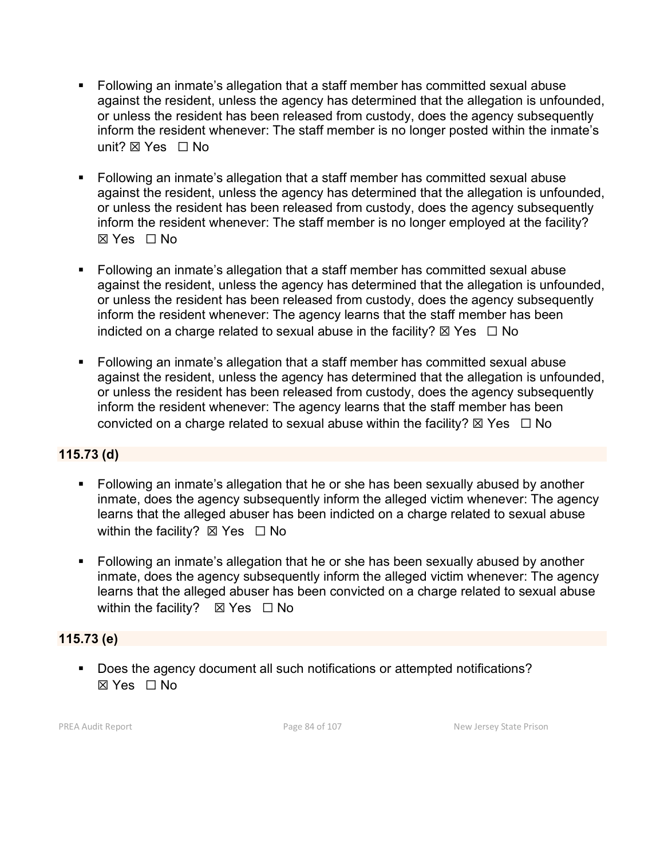- Following an inmate's allegation that a staff member has committed sexual abuse against the resident, unless the agency has determined that the allegation is unfounded, or unless the resident has been released from custody, does the agency subsequently inform the resident whenever: The staff member is no longer posted within the inmate's unit? ⊠ Yes □ No
- Following an inmate's allegation that a staff member has committed sexual abuse against the resident, unless the agency has determined that the allegation is unfounded, or unless the resident has been released from custody, does the agency subsequently inform the resident whenever: The staff member is no longer employed at the facility? ☒ Yes ☐ No
- Following an inmate's allegation that a staff member has committed sexual abuse against the resident, unless the agency has determined that the allegation is unfounded, or unless the resident has been released from custody, does the agency subsequently inform the resident whenever: The agency learns that the staff member has been indicted on a charge related to sexual abuse in the facility?  $\boxtimes$  Yes  $\Box$  No
- Following an inmate's allegation that a staff member has committed sexual abuse against the resident, unless the agency has determined that the allegation is unfounded, or unless the resident has been released from custody, does the agency subsequently inform the resident whenever: The agency learns that the staff member has been convicted on a charge related to sexual abuse within the facility?  $\boxtimes$  Yes  $\Box$  No

# **115.73 (d)**

- Following an inmate's allegation that he or she has been sexually abused by another inmate, does the agency subsequently inform the alleged victim whenever: The agency learns that the alleged abuser has been indicted on a charge related to sexual abuse within the facility?  $\boxtimes$  Yes  $\Box$  No
- Following an inmate's allegation that he or she has been sexually abused by another inmate, does the agency subsequently inform the alleged victim whenever: The agency learns that the alleged abuser has been convicted on a charge related to sexual abuse within the facility?  $\boxtimes$  Yes  $\Box$  No

#### **115.73 (e)**

Does the agency document all such notifications or attempted notifications?  $\boxtimes$  Yes  $\Box$  No

PREA Audit Report **Page 84 of 107** Page 84 of 107 New Jersey State Prison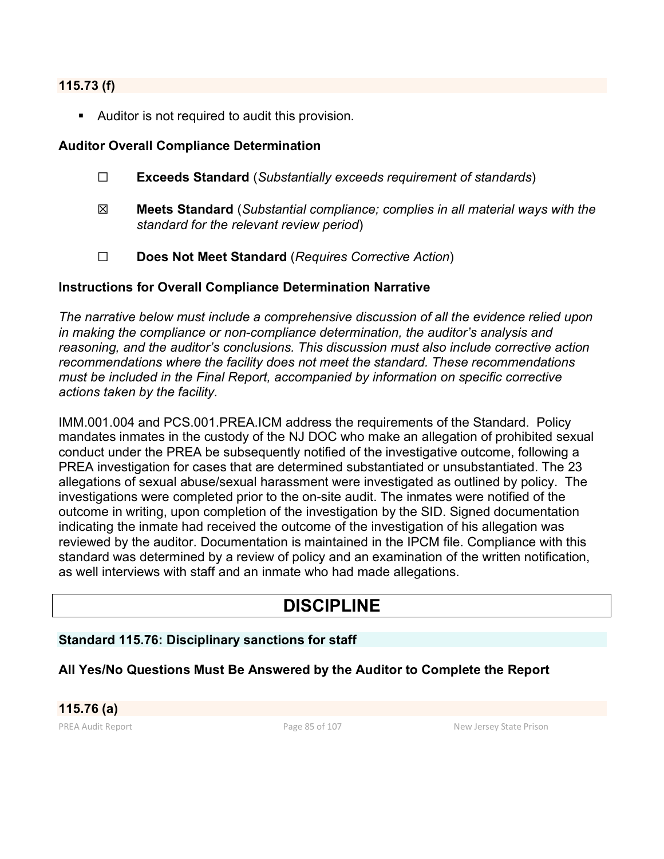#### **115.73 (f)**

Auditor is not required to audit this provision.

#### **Auditor Overall Compliance Determination**

- ☐ **Exceeds Standard** (*Substantially exceeds requirement of standards*)
- ☒ **Meets Standard** (*Substantial compliance; complies in all material ways with the standard for the relevant review period*)
- ☐ **Does Not Meet Standard** (*Requires Corrective Action*)

#### **Instructions for Overall Compliance Determination Narrative**

*The narrative below must include a comprehensive discussion of all the evidence relied upon in making the compliance or non-compliance determination, the auditor's analysis and reasoning, and the auditor's conclusions. This discussion must also include corrective action recommendations where the facility does not meet the standard. These recommendations must be included in the Final Report, accompanied by information on specific corrective actions taken by the facility.*

IMM.001.004 and PCS.001.PREA.ICM address the requirements of the Standard. Policy mandates inmates in the custody of the NJ DOC who make an allegation of prohibited sexual conduct under the PREA be subsequently notified of the investigative outcome, following a PREA investigation for cases that are determined substantiated or unsubstantiated. The 23 allegations of sexual abuse/sexual harassment were investigated as outlined by policy. The investigations were completed prior to the on-site audit. The inmates were notified of the outcome in writing, upon completion of the investigation by the SID. Signed documentation indicating the inmate had received the outcome of the investigation of his allegation was reviewed by the auditor. Documentation is maintained in the IPCM file. Compliance with this standard was determined by a review of policy and an examination of the written notification, as well interviews with staff and an inmate who had made allegations.

# **DISCIPLINE**

#### **Standard 115.76: Disciplinary sanctions for staff**

#### **All Yes/No Questions Must Be Answered by the Auditor to Complete the Report**

**115.76 (a)**

PREA Audit Report **Page 85 of 107** Page 85 of 107 New Jersey State Prison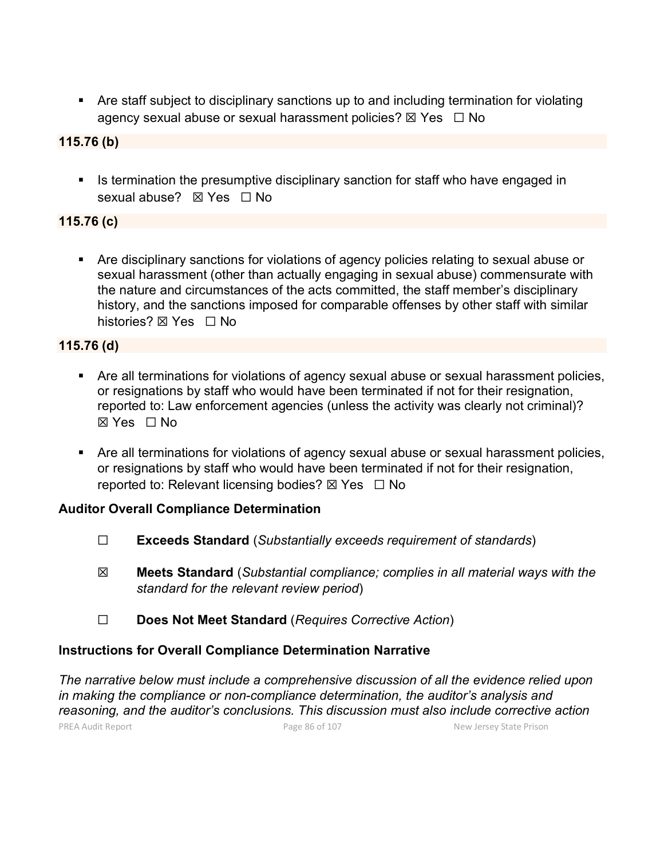Are staff subject to disciplinary sanctions up to and including termination for violating agency sexual abuse or sexual harassment policies?  $\boxtimes$  Yes  $\Box$  No

# **115.76 (b)**

If Is termination the presumptive disciplinary sanction for staff who have engaged in sexual abuse? ⊠ Yes □ No

# **115.76 (c)**

 Are disciplinary sanctions for violations of agency policies relating to sexual abuse or sexual harassment (other than actually engaging in sexual abuse) commensurate with the nature and circumstances of the acts committed, the staff member's disciplinary history, and the sanctions imposed for comparable offenses by other staff with similar histories? **⊠** Yes □ No

# **115.76 (d)**

- Are all terminations for violations of agency sexual abuse or sexual harassment policies, or resignations by staff who would have been terminated if not for their resignation, reported to: Law enforcement agencies (unless the activity was clearly not criminal)? ☒ Yes ☐ No
- Are all terminations for violations of agency sexual abuse or sexual harassment policies, or resignations by staff who would have been terminated if not for their resignation, reported to: Relevant licensing bodies?  $\boxtimes$  Yes  $\Box$  No

# **Auditor Overall Compliance Determination**

- ☐ **Exceeds Standard** (*Substantially exceeds requirement of standards*)
- ☒ **Meets Standard** (*Substantial compliance; complies in all material ways with the standard for the relevant review period*)
- ☐ **Does Not Meet Standard** (*Requires Corrective Action*)

# **Instructions for Overall Compliance Determination Narrative**

PREA Audit Report **Page 86 of 107** Page 86 of 107 New Jersey State Prison *The narrative below must include a comprehensive discussion of all the evidence relied upon in making the compliance or non-compliance determination, the auditor's analysis and reasoning, and the auditor's conclusions. This discussion must also include corrective action*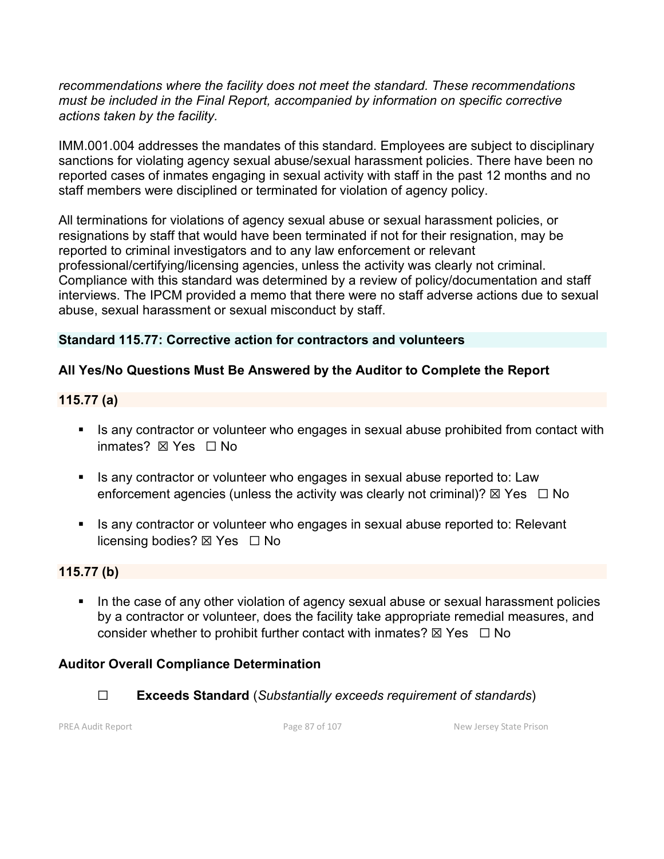*recommendations where the facility does not meet the standard. These recommendations must be included in the Final Report, accompanied by information on specific corrective actions taken by the facility.*

IMM.001.004 addresses the mandates of this standard. Employees are subject to disciplinary sanctions for violating agency sexual abuse/sexual harassment policies. There have been no reported cases of inmates engaging in sexual activity with staff in the past 12 months and no staff members were disciplined or terminated for violation of agency policy.

All terminations for violations of agency sexual abuse or sexual harassment policies, or resignations by staff that would have been terminated if not for their resignation, may be reported to criminal investigators and to any law enforcement or relevant professional/certifying/licensing agencies, unless the activity was clearly not criminal. Compliance with this standard was determined by a review of policy/documentation and staff interviews. The IPCM provided a memo that there were no staff adverse actions due to sexual abuse, sexual harassment or sexual misconduct by staff.

# **Standard 115.77: Corrective action for contractors and volunteers**

# **All Yes/No Questions Must Be Answered by the Auditor to Complete the Report**

# **115.77 (a)**

- Is any contractor or volunteer who engages in sexual abuse prohibited from contact with inmates? **⊠** Yes □ No
- Is any contractor or volunteer who engages in sexual abuse reported to: Law enforcement agencies (unless the activity was clearly not criminal)?  $\boxtimes$  Yes  $\Box$  No
- Is any contractor or volunteer who engages in sexual abuse reported to: Relevant licensing bodies?  $\boxtimes$  Yes  $\Box$  No

#### **115.77 (b)**

In the case of any other violation of agency sexual abuse or sexual harassment policies by a contractor or volunteer, does the facility take appropriate remedial measures, and consider whether to prohibit further contact with inmates?  $\boxtimes$  Yes  $\Box$  No

# **Auditor Overall Compliance Determination**

☐ **Exceeds Standard** (*Substantially exceeds requirement of standards*)

PREA Audit Report **Page 87** of 107 New Jersey State Prison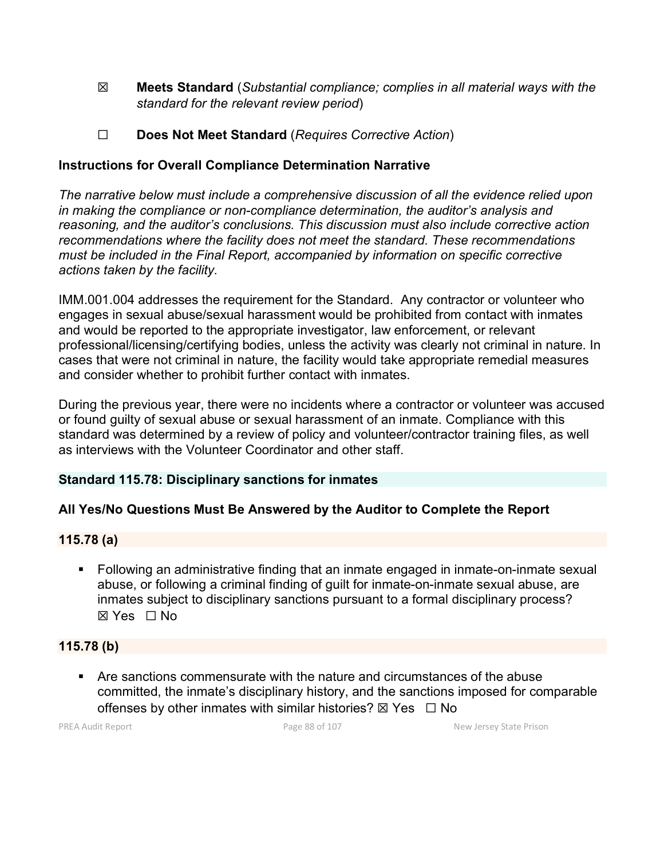- ☒ **Meets Standard** (*Substantial compliance; complies in all material ways with the standard for the relevant review period*)
- ☐ **Does Not Meet Standard** (*Requires Corrective Action*)

# **Instructions for Overall Compliance Determination Narrative**

*The narrative below must include a comprehensive discussion of all the evidence relied upon in making the compliance or non-compliance determination, the auditor's analysis and reasoning, and the auditor's conclusions. This discussion must also include corrective action recommendations where the facility does not meet the standard. These recommendations must be included in the Final Report, accompanied by information on specific corrective actions taken by the facility.*

IMM.001.004 addresses the requirement for the Standard. Any contractor or volunteer who engages in sexual abuse/sexual harassment would be prohibited from contact with inmates and would be reported to the appropriate investigator, law enforcement, or relevant professional/licensing/certifying bodies, unless the activity was clearly not criminal in nature. In cases that were not criminal in nature, the facility would take appropriate remedial measures and consider whether to prohibit further contact with inmates.

During the previous year, there were no incidents where a contractor or volunteer was accused or found guilty of sexual abuse or sexual harassment of an inmate. Compliance with this standard was determined by a review of policy and volunteer/contractor training files, as well as interviews with the Volunteer Coordinator and other staff.

#### **Standard 115.78: Disciplinary sanctions for inmates**

#### **All Yes/No Questions Must Be Answered by the Auditor to Complete the Report**

#### **115.78 (a)**

 Following an administrative finding that an inmate engaged in inmate-on-inmate sexual abuse, or following a criminal finding of guilt for inmate-on-inmate sexual abuse, are inmates subject to disciplinary sanctions pursuant to a formal disciplinary process? ☒ Yes ☐ No

#### **115.78 (b)**

 Are sanctions commensurate with the nature and circumstances of the abuse committed, the inmate's disciplinary history, and the sanctions imposed for comparable offenses by other inmates with similar histories?  $\boxtimes$  Yes  $\Box$  No

PREA Audit Report **Page 88 of 107** Page 88 of 107 New Jersey State Prison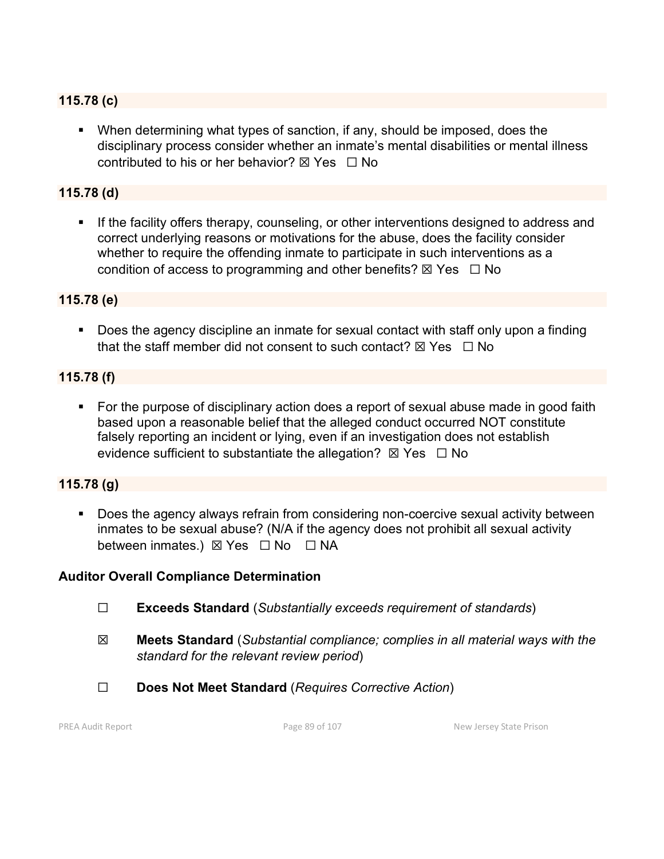# **115.78 (c)**

 When determining what types of sanction, if any, should be imposed, does the disciplinary process consider whether an inmate's mental disabilities or mental illness contributed to his or her behavior?  $\boxtimes$  Yes  $\Box$  No

# **115.78 (d)**

If the facility offers therapy, counseling, or other interventions designed to address and correct underlying reasons or motivations for the abuse, does the facility consider whether to require the offending inmate to participate in such interventions as a condition of access to programming and other benefits?  $\boxtimes$  Yes  $\Box$  No

#### **115.78 (e)**

 Does the agency discipline an inmate for sexual contact with staff only upon a finding that the staff member did not consent to such contact?  $\boxtimes$  Yes  $\Box$  No

#### **115.78 (f)**

• For the purpose of disciplinary action does a report of sexual abuse made in good faith based upon a reasonable belief that the alleged conduct occurred NOT constitute falsely reporting an incident or lying, even if an investigation does not establish evidence sufficient to substantiate the allegation?  $\boxtimes$  Yes  $\Box$  No

### **115.78 (g)**

 Does the agency always refrain from considering non-coercive sexual activity between inmates to be sexual abuse? (N/A if the agency does not prohibit all sexual activity between inmates.) ⊠ Yes □ No □ NA

#### **Auditor Overall Compliance Determination**

- ☐ **Exceeds Standard** (*Substantially exceeds requirement of standards*)
- ☒ **Meets Standard** (*Substantial compliance; complies in all material ways with the standard for the relevant review period*)
- ☐ **Does Not Meet Standard** (*Requires Corrective Action*)

PREA Audit Report **Page 89 of 107** Page 89 of 107 New Jersey State Prison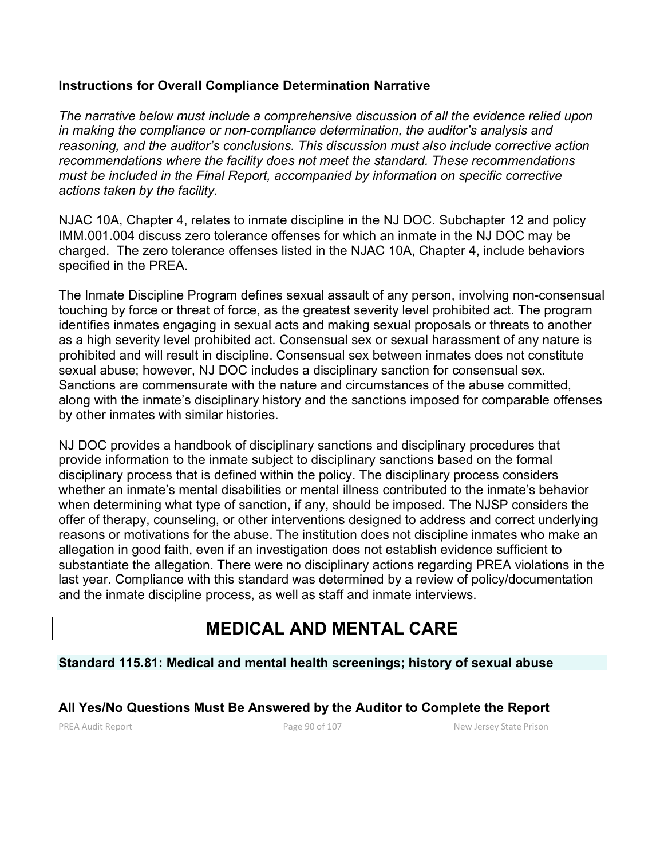# **Instructions for Overall Compliance Determination Narrative**

*The narrative below must include a comprehensive discussion of all the evidence relied upon in making the compliance or non-compliance determination, the auditor's analysis and reasoning, and the auditor's conclusions. This discussion must also include corrective action recommendations where the facility does not meet the standard. These recommendations must be included in the Final Report, accompanied by information on specific corrective actions taken by the facility.*

NJAC 10A, Chapter 4, relates to inmate discipline in the NJ DOC. Subchapter 12 and policy IMM.001.004 discuss zero tolerance offenses for which an inmate in the NJ DOC may be charged. The zero tolerance offenses listed in the NJAC 10A, Chapter 4, include behaviors specified in the PREA.

The Inmate Discipline Program defines sexual assault of any person, involving non-consensual touching by force or threat of force, as the greatest severity level prohibited act. The program identifies inmates engaging in sexual acts and making sexual proposals or threats to another as a high severity level prohibited act. Consensual sex or sexual harassment of any nature is prohibited and will result in discipline. Consensual sex between inmates does not constitute sexual abuse; however, NJ DOC includes a disciplinary sanction for consensual sex. Sanctions are commensurate with the nature and circumstances of the abuse committed, along with the inmate's disciplinary history and the sanctions imposed for comparable offenses by other inmates with similar histories.

NJ DOC provides a handbook of disciplinary sanctions and disciplinary procedures that provide information to the inmate subject to disciplinary sanctions based on the formal disciplinary process that is defined within the policy. The disciplinary process considers whether an inmate's mental disabilities or mental illness contributed to the inmate's behavior when determining what type of sanction, if any, should be imposed. The NJSP considers the offer of therapy, counseling, or other interventions designed to address and correct underlying reasons or motivations for the abuse. The institution does not discipline inmates who make an allegation in good faith, even if an investigation does not establish evidence sufficient to substantiate the allegation. There were no disciplinary actions regarding PREA violations in the last year. Compliance with this standard was determined by a review of policy/documentation and the inmate discipline process, as well as staff and inmate interviews.

# **MEDICAL AND MENTAL CARE**

# **Standard 115.81: Medical and mental health screenings; history of sexual abuse**

#### **All Yes/No Questions Must Be Answered by the Auditor to Complete the Report**

PREA Audit Report **Page 90 of 107** Page 90 of 107 New Jersey State Prison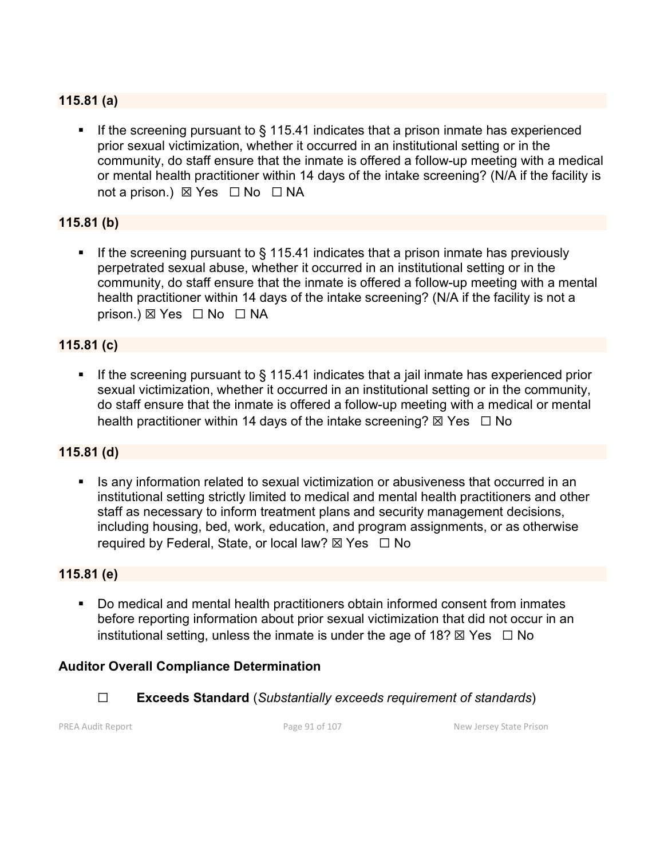# **115.81 (a)**

If the screening pursuant to  $\S$  115.41 indicates that a prison inmate has experienced prior sexual victimization, whether it occurred in an institutional setting or in the community, do staff ensure that the inmate is offered a follow-up meeting with a medical or mental health practitioner within 14 days of the intake screening? (N/A if the facility is not a prison.) ⊠ Yes □ No □ NA

# **115.81 (b)**

If the screening pursuant to  $\S$  115.41 indicates that a prison inmate has previously perpetrated sexual abuse, whether it occurred in an institutional setting or in the community, do staff ensure that the inmate is offered a follow-up meeting with a mental health practitioner within 14 days of the intake screening? (N/A if the facility is not a prison.) ⊠ Yes □ No □ NA

#### **115.81 (c)**

If the screening pursuant to  $\S$  115.41 indicates that a jail inmate has experienced prior sexual victimization, whether it occurred in an institutional setting or in the community, do staff ensure that the inmate is offered a follow-up meeting with a medical or mental health practitioner within 14 days of the intake screening?  $\boxtimes$  Yes  $\Box$  No

#### **115.81 (d)**

**IF** Is any information related to sexual victimization or abusiveness that occurred in an institutional setting strictly limited to medical and mental health practitioners and other staff as necessary to inform treatment plans and security management decisions, including housing, bed, work, education, and program assignments, or as otherwise required by Federal, State, or local law?  $\boxtimes$  Yes  $\Box$  No

#### **115.81 (e)**

 Do medical and mental health practitioners obtain informed consent from inmates before reporting information about prior sexual victimization that did not occur in an institutional setting, unless the inmate is under the age of 18?  $\boxtimes$  Yes  $\Box$  No

#### **Auditor Overall Compliance Determination**

☐ **Exceeds Standard** (*Substantially exceeds requirement of standards*)

PREA Audit Report **Page 91 of 107** Page 91 of 107 New Jersey State Prison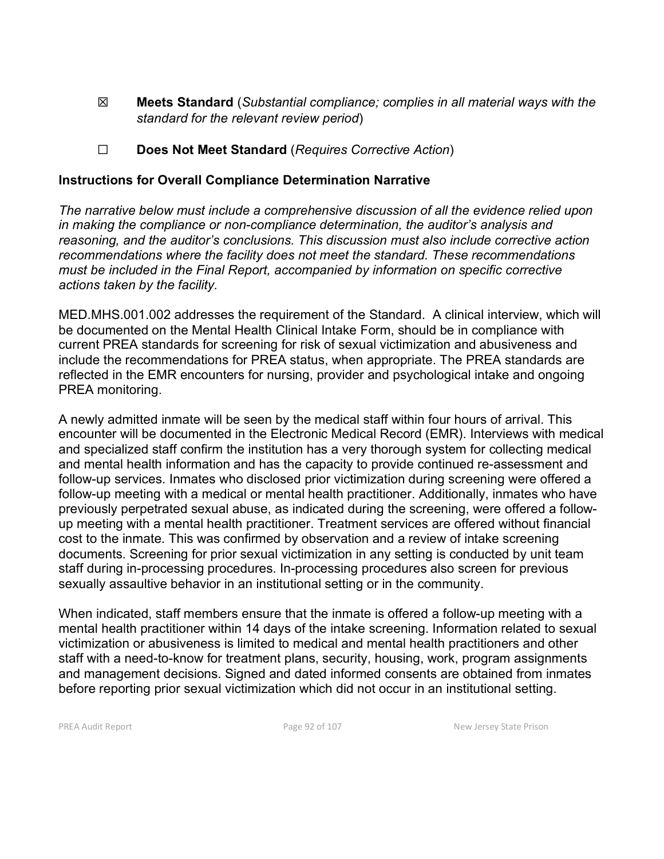- ☒ **Meets Standard** (*Substantial compliance; complies in all material ways with the standard for the relevant review period*)
- ☐ **Does Not Meet Standard** (*Requires Corrective Action*)

### **Instructions for Overall Compliance Determination Narrative**

*The narrative below must include a comprehensive discussion of all the evidence relied upon in making the compliance or non-compliance determination, the auditor's analysis and reasoning, and the auditor's conclusions. This discussion must also include corrective action recommendations where the facility does not meet the standard. These recommendations must be included in the Final Report, accompanied by information on specific corrective actions taken by the facility.*

MED.MHS.001.002 addresses the requirement of the Standard. A clinical interview, which will be documented on the Mental Health Clinical Intake Form, should be in compliance with current PREA standards for screening for risk of sexual victimization and abusiveness and include the recommendations for PREA status, when appropriate. The PREA standards are reflected in the EMR encounters for nursing, provider and psychological intake and ongoing PREA monitoring.

A newly admitted inmate will be seen by the medical staff within four hours of arrival. This encounter will be documented in the Electronic Medical Record (EMR). Interviews with medical and specialized staff confirm the institution has a very thorough system for collecting medical and mental health information and has the capacity to provide continued re-assessment and follow-up services. Inmates who disclosed prior victimization during screening were offered a follow-up meeting with a medical or mental health practitioner. Additionally, inmates who have previously perpetrated sexual abuse, as indicated during the screening, were offered a followup meeting with a mental health practitioner. Treatment services are offered without financial cost to the inmate. This was confirmed by observation and a review of intake screening documents. Screening for prior sexual victimization in any setting is conducted by unit team staff during in-processing procedures. In-processing procedures also screen for previous sexually assaultive behavior in an institutional setting or in the community.

When indicated, staff members ensure that the inmate is offered a follow-up meeting with a mental health practitioner within 14 days of the intake screening. Information related to sexual victimization or abusiveness is limited to medical and mental health practitioners and other staff with a need-to-know for treatment plans, security, housing, work, program assignments and management decisions. Signed and dated informed consents are obtained from inmates before reporting prior sexual victimization which did not occur in an institutional setting.

PREA Audit Report **Page 92 of 107** Page 92 of 107 New Jersey State Prison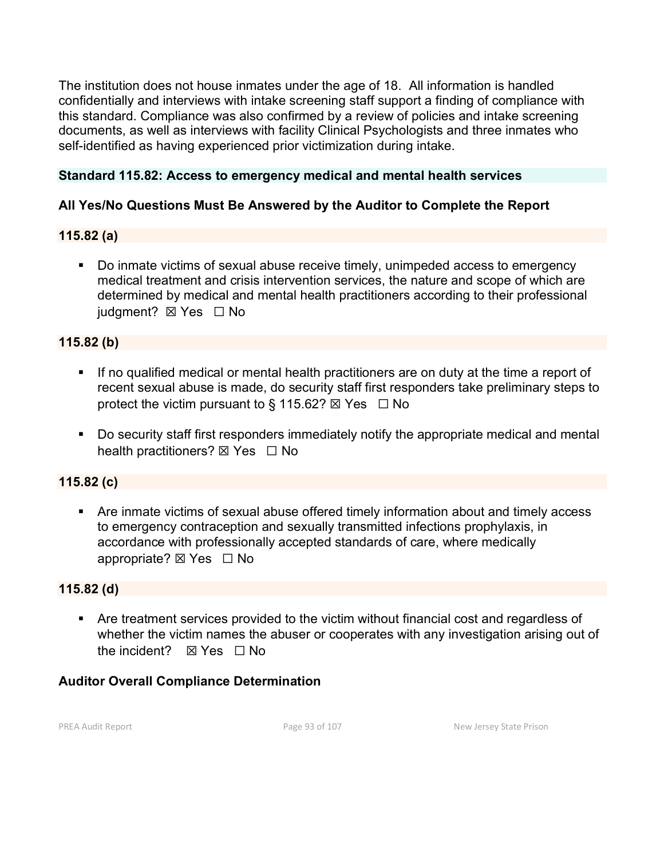The institution does not house inmates under the age of 18. All information is handled confidentially and interviews with intake screening staff support a finding of compliance with this standard. Compliance was also confirmed by a review of policies and intake screening documents, as well as interviews with facility Clinical Psychologists and three inmates who self-identified as having experienced prior victimization during intake.

### **Standard 115.82: Access to emergency medical and mental health services**

# **All Yes/No Questions Must Be Answered by the Auditor to Complete the Report**

#### **115.82 (a)**

 Do inmate victims of sexual abuse receive timely, unimpeded access to emergency medical treatment and crisis intervention services, the nature and scope of which are determined by medical and mental health practitioners according to their professional iudament? **⊠** Yes □ No

#### **115.82 (b)**

- If no qualified medical or mental health practitioners are on duty at the time a report of recent sexual abuse is made, do security staff first responders take preliminary steps to protect the victim pursuant to § 115.62?  $\boxtimes$  Yes  $\Box$  No
- Do security staff first responders immediately notify the appropriate medical and mental health practitioners? ⊠ Yes □ No

#### **115.82 (c)**

 Are inmate victims of sexual abuse offered timely information about and timely access to emergency contraception and sexually transmitted infections prophylaxis, in accordance with professionally accepted standards of care, where medically appropriate? ⊠ Yes □ No

#### **115.82 (d)**

 Are treatment services provided to the victim without financial cost and regardless of whether the victim names the abuser or cooperates with any investigation arising out of the incident?  $\boxtimes$  Yes  $\Box$  No

#### **Auditor Overall Compliance Determination**

PREA Audit Report **Page 93 of 107** Page 93 of 107 New Jersey State Prison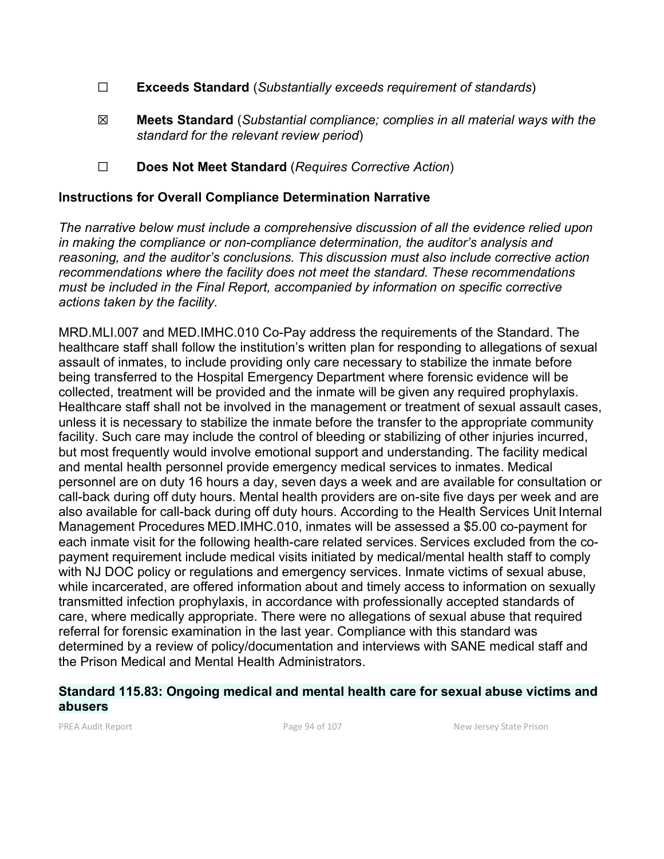- ☐ **Exceeds Standard** (*Substantially exceeds requirement of standards*)
- ☒ **Meets Standard** (*Substantial compliance; complies in all material ways with the standard for the relevant review period*)
- ☐ **Does Not Meet Standard** (*Requires Corrective Action*)

### **Instructions for Overall Compliance Determination Narrative**

*The narrative below must include a comprehensive discussion of all the evidence relied upon in making the compliance or non-compliance determination, the auditor's analysis and reasoning, and the auditor's conclusions. This discussion must also include corrective action recommendations where the facility does not meet the standard. These recommendations must be included in the Final Report, accompanied by information on specific corrective actions taken by the facility.*

MRD.MLI.007 and MED.IMHC.010 Co-Pay address the requirements of the Standard. The healthcare staff shall follow the institution's written plan for responding to allegations of sexual assault of inmates, to include providing only care necessary to stabilize the inmate before being transferred to the Hospital Emergency Department where forensic evidence will be collected, treatment will be provided and the inmate will be given any required prophylaxis. Healthcare staff shall not be involved in the management or treatment of sexual assault cases, unless it is necessary to stabilize the inmate before the transfer to the appropriate community facility. Such care may include the control of bleeding or stabilizing of other injuries incurred, but most frequently would involve emotional support and understanding. The facility medical and mental health personnel provide emergency medical services to inmates. Medical personnel are on duty 16 hours a day, seven days a week and are available for consultation or call-back during off duty hours. Mental health providers are on-site five days per week and are also available for call-back during off duty hours. According to the Health Services Unit Internal Management Procedures MED.IMHC.010, inmates will be assessed a \$5.00 co-payment for each inmate visit for the following health-care related services. Services excluded from the copayment requirement include medical visits initiated by medical/mental health staff to comply with NJ DOC policy or regulations and emergency services. Inmate victims of sexual abuse, while incarcerated, are offered information about and timely access to information on sexually transmitted infection prophylaxis, in accordance with professionally accepted standards of care, where medically appropriate. There were no allegations of sexual abuse that required referral for forensic examination in the last year. Compliance with this standard was determined by a review of policy/documentation and interviews with SANE medical staff and the Prison Medical and Mental Health Administrators.

#### **Standard 115.83: Ongoing medical and mental health care for sexual abuse victims and abusers**

PREA Audit Report **Page 94 of 107** Page 94 of 107 New Jersey State Prison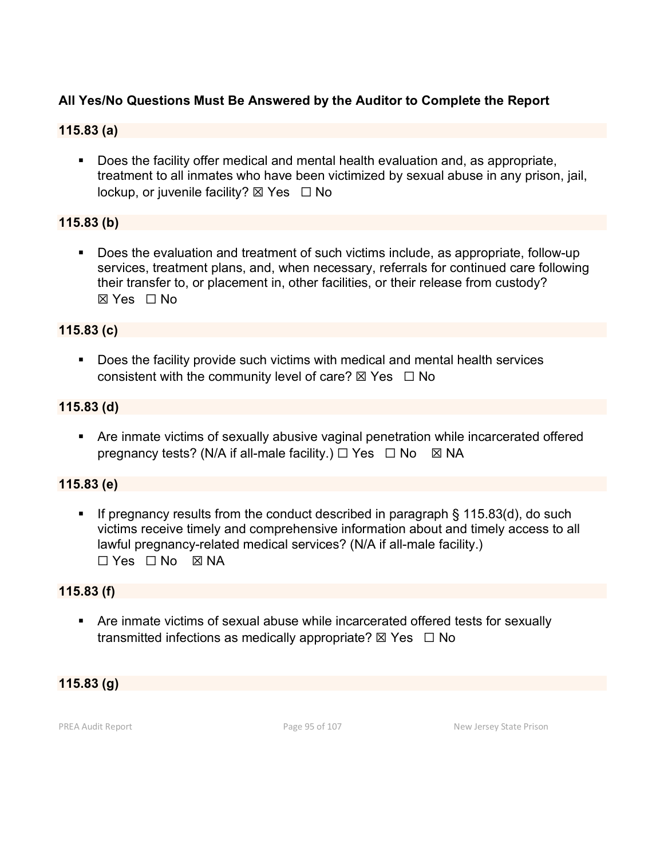# **All Yes/No Questions Must Be Answered by the Auditor to Complete the Report**

#### **115.83 (a)**

**Does the facility offer medical and mental health evaluation and, as appropriate,** treatment to all inmates who have been victimized by sexual abuse in any prison, jail, lockup, or juvenile facility? ⊠ Yes □ No

# **115.83 (b)**

 Does the evaluation and treatment of such victims include, as appropriate, follow-up services, treatment plans, and, when necessary, referrals for continued care following their transfer to, or placement in, other facilities, or their release from custody? ☒ Yes ☐ No

# **115.83 (c)**

 Does the facility provide such victims with medical and mental health services consistent with the community level of care?  $\boxtimes$  Yes  $\Box$  No

#### **115.83 (d)**

 Are inmate victims of sexually abusive vaginal penetration while incarcerated offered pregnancy tests? (N/A if all-male facility.)  $\Box$  Yes  $\Box$  No  $\boxtimes$  NA

#### **115.83 (e)**

If pregnancy results from the conduct described in paragraph  $\S$  115.83(d), do such victims receive timely and comprehensive information about and timely access to all lawful pregnancy-related medical services? (N/A if all-male facility.) ☐ Yes ☐ No ☒ NA

#### **115.83 (f)**

 Are inmate victims of sexual abuse while incarcerated offered tests for sexually transmitted infections as medically appropriate?  $\boxtimes$  Yes  $\Box$  No

#### **115.83 (g)**

PREA Audit Report **Page 95 of 107** Page 95 of 107 New Jersey State Prison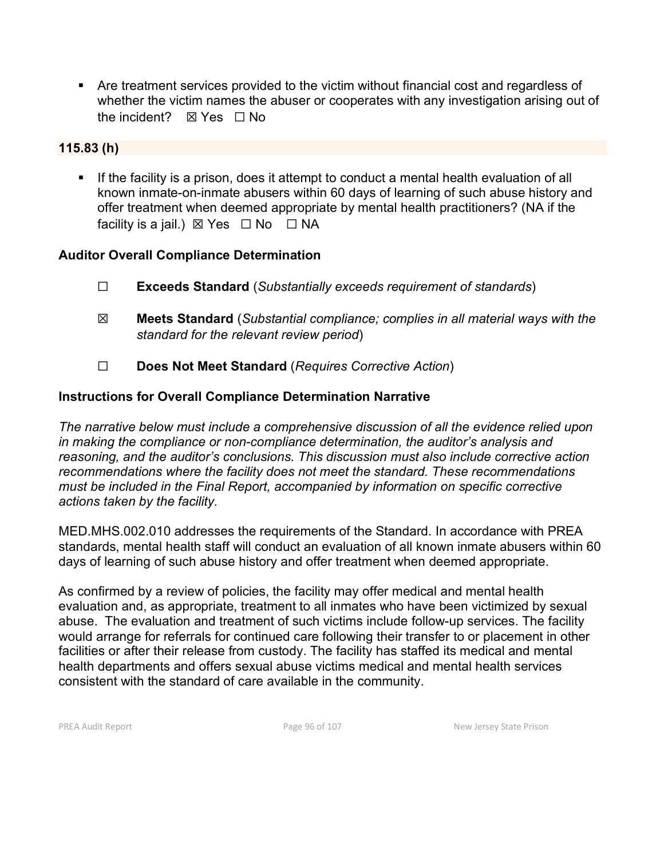Are treatment services provided to the victim without financial cost and regardless of whether the victim names the abuser or cooperates with any investigation arising out of the incident?  $\boxtimes$  Yes  $\Box$  No

#### **115.83 (h)**

 If the facility is a prison, does it attempt to conduct a mental health evaluation of all known inmate-on-inmate abusers within 60 days of learning of such abuse history and offer treatment when deemed appropriate by mental health practitioners? (NA if the facility is a jail.)  $\boxtimes$  Yes  $\Box$  No  $\Box$  NA

#### **Auditor Overall Compliance Determination**

- ☐ **Exceeds Standard** (*Substantially exceeds requirement of standards*)
- ☒ **Meets Standard** (*Substantial compliance; complies in all material ways with the standard for the relevant review period*)
- ☐ **Does Not Meet Standard** (*Requires Corrective Action*)

#### **Instructions for Overall Compliance Determination Narrative**

*The narrative below must include a comprehensive discussion of all the evidence relied upon in making the compliance or non-compliance determination, the auditor's analysis and reasoning, and the auditor's conclusions. This discussion must also include corrective action recommendations where the facility does not meet the standard. These recommendations must be included in the Final Report, accompanied by information on specific corrective actions taken by the facility.*

MED.MHS.002.010 addresses the requirements of the Standard. In accordance with PREA standards, mental health staff will conduct an evaluation of all known inmate abusers within 60 days of learning of such abuse history and offer treatment when deemed appropriate.

As confirmed by a review of policies, the facility may offer medical and mental health evaluation and, as appropriate, treatment to all inmates who have been victimized by sexual abuse. The evaluation and treatment of such victims include follow-up services. The facility would arrange for referrals for continued care following their transfer to or placement in other facilities or after their release from custody. The facility has staffed its medical and mental health departments and offers sexual abuse victims medical and mental health services consistent with the standard of care available in the community.

PREA Audit Report **Page 96 of 107** Page 96 of 107 New Jersey State Prison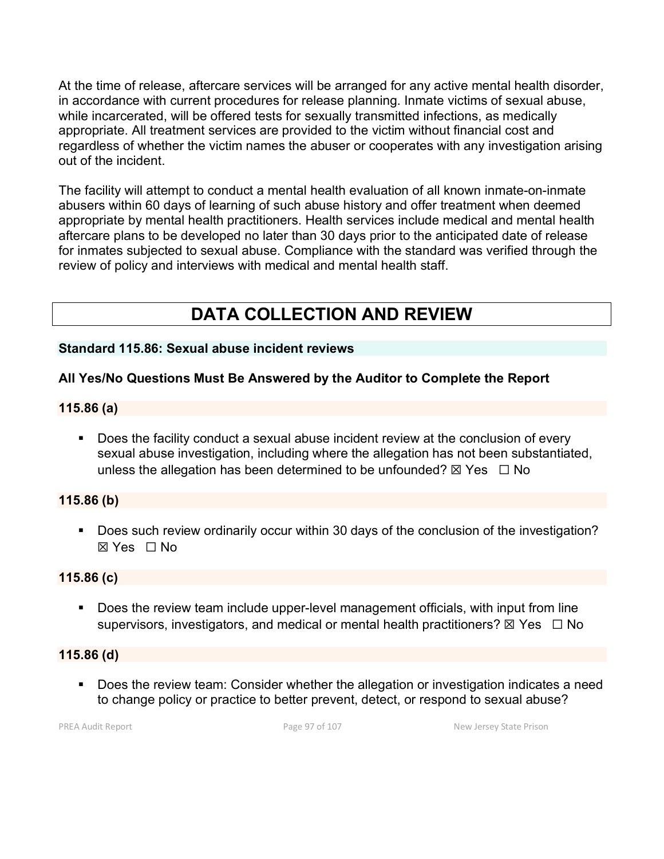At the time of release, aftercare services will be arranged for any active mental health disorder, in accordance with current procedures for release planning. Inmate victims of sexual abuse, while incarcerated, will be offered tests for sexually transmitted infections, as medically appropriate. All treatment services are provided to the victim without financial cost and regardless of whether the victim names the abuser or cooperates with any investigation arising out of the incident.

The facility will attempt to conduct a mental health evaluation of all known inmate-on-inmate abusers within 60 days of learning of such abuse history and offer treatment when deemed appropriate by mental health practitioners. Health services include medical and mental health aftercare plans to be developed no later than 30 days prior to the anticipated date of release for inmates subjected to sexual abuse. Compliance with the standard was verified through the review of policy and interviews with medical and mental health staff.

# **DATA COLLECTION AND REVIEW**

#### **Standard 115.86: Sexual abuse incident reviews**

# **All Yes/No Questions Must Be Answered by the Auditor to Complete the Report**

#### **115.86 (a)**

 Does the facility conduct a sexual abuse incident review at the conclusion of every sexual abuse investigation, including where the allegation has not been substantiated, unless the allegation has been determined to be unfounded?  $\boxtimes$  Yes  $\Box$  No

#### **115.86 (b)**

Does such review ordinarily occur within 30 days of the conclusion of the investigation? ☒ Yes ☐ No

#### **115.86 (c)**

**Does the review team include upper-level management officials, with input from line** supervisors, investigators, and medical or mental health practitioners?  $\boxtimes$  Yes  $\Box$  No

#### **115.86 (d)**

 Does the review team: Consider whether the allegation or investigation indicates a need to change policy or practice to better prevent, detect, or respond to sexual abuse?

PREA Audit Report **Page 97 of 107** Page 97 of 107 New Jersey State Prison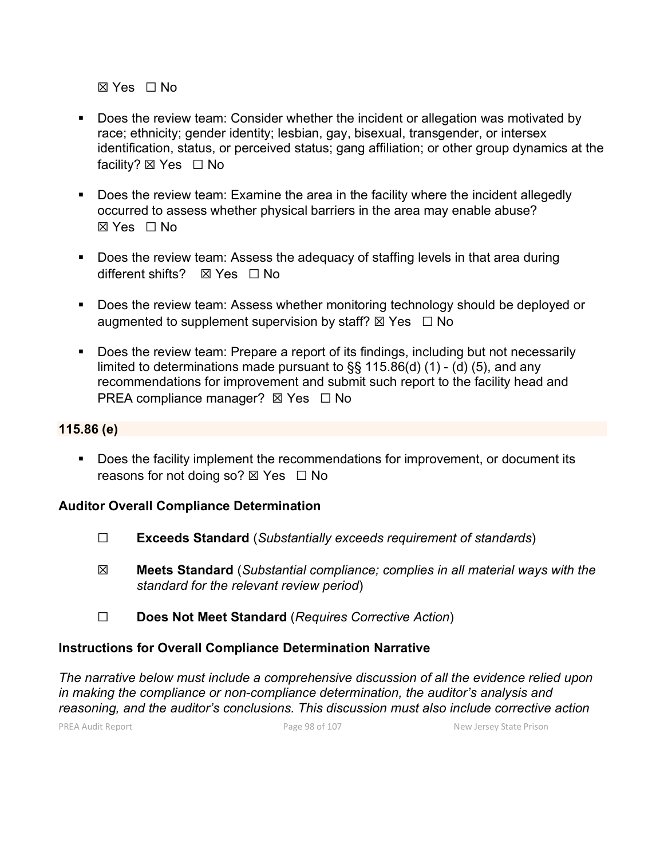☒ Yes ☐ No

- Does the review team: Consider whether the incident or allegation was motivated by race; ethnicity; gender identity; lesbian, gay, bisexual, transgender, or intersex identification, status, or perceived status; gang affiliation; or other group dynamics at the facility? ⊠ Yes □ No
- **Does the review team: Examine the area in the facility where the incident allegedly** occurred to assess whether physical barriers in the area may enable abuse? ☒ Yes ☐ No
- Does the review team: Assess the adequacy of staffing levels in that area during different shifts? ☒ Yes ☐ No
- Does the review team: Assess whether monitoring technology should be deployed or augmented to supplement supervision by staff?  $\boxtimes$  Yes  $\Box$  No
- **Does the review team: Prepare a report of its findings, including but not necessarily** limited to determinations made pursuant to §§ 115.86(d) (1) - (d) (5), and any recommendations for improvement and submit such report to the facility head and PREA compliance manager?  $\boxtimes$  Yes  $\Box$  No

#### **115.86 (e)**

**Does the facility implement the recommendations for improvement, or document its** reasons for not doing so?  $\boxtimes$  Yes  $\Box$  No

#### **Auditor Overall Compliance Determination**

- ☐ **Exceeds Standard** (*Substantially exceeds requirement of standards*)
- ☒ **Meets Standard** (*Substantial compliance; complies in all material ways with the standard for the relevant review period*)
- ☐ **Does Not Meet Standard** (*Requires Corrective Action*)

# **Instructions for Overall Compliance Determination Narrative**

*The narrative below must include a comprehensive discussion of all the evidence relied upon in making the compliance or non-compliance determination, the auditor's analysis and reasoning, and the auditor's conclusions. This discussion must also include corrective action* 

PREA Audit Report **Page 98 of 107** Page 98 of 107 New Jersey State Prison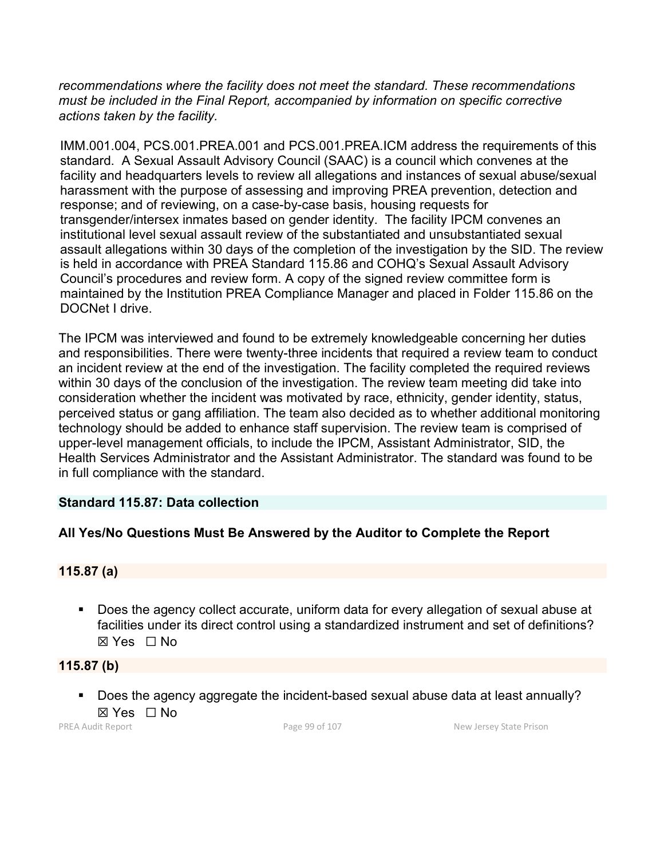*recommendations where the facility does not meet the standard. These recommendations must be included in the Final Report, accompanied by information on specific corrective actions taken by the facility.*

IMM.001.004, PCS.001.PREA.001 and PCS.001.PREA.ICM address the requirements of this standard. A Sexual Assault Advisory Council (SAAC) is a council which convenes at the facility and headquarters levels to review all allegations and instances of sexual abuse/sexual harassment with the purpose of assessing and improving PREA prevention, detection and response; and of reviewing, on a case-by-case basis, housing requests for transgender/intersex inmates based on gender identity. The facility IPCM convenes an institutional level sexual assault review of the substantiated and unsubstantiated sexual assault allegations within 30 days of the completion of the investigation by the SID. The review is held in accordance with PREA Standard 115.86 and COHQ's Sexual Assault Advisory Council's procedures and review form. A copy of the signed review committee form is maintained by the Institution PREA Compliance Manager and placed in Folder 115.86 on the DOCNet I drive.

The IPCM was interviewed and found to be extremely knowledgeable concerning her duties and responsibilities. There were twenty-three incidents that required a review team to conduct an incident review at the end of the investigation. The facility completed the required reviews within 30 days of the conclusion of the investigation. The review team meeting did take into consideration whether the incident was motivated by race, ethnicity, gender identity, status, perceived status or gang affiliation. The team also decided as to whether additional monitoring technology should be added to enhance staff supervision. The review team is comprised of upper-level management officials, to include the IPCM, Assistant Administrator, SID, the Health Services Administrator and the Assistant Administrator. The standard was found to be in full compliance with the standard.

#### **Standard 115.87: Data collection**

# **All Yes/No Questions Must Be Answered by the Auditor to Complete the Report**

#### **115.87 (a)**

 Does the agency collect accurate, uniform data for every allegation of sexual abuse at facilities under its direct control using a standardized instrument and set of definitions? ☒ Yes ☐ No

**115.87 (b)**

Does the agency aggregate the incident-based sexual abuse data at least annually?  $\boxtimes$  Yes  $\Box$  No

PREA Audit Report **Page 99 of 107** Page 99 of 107 New Jersey State Prison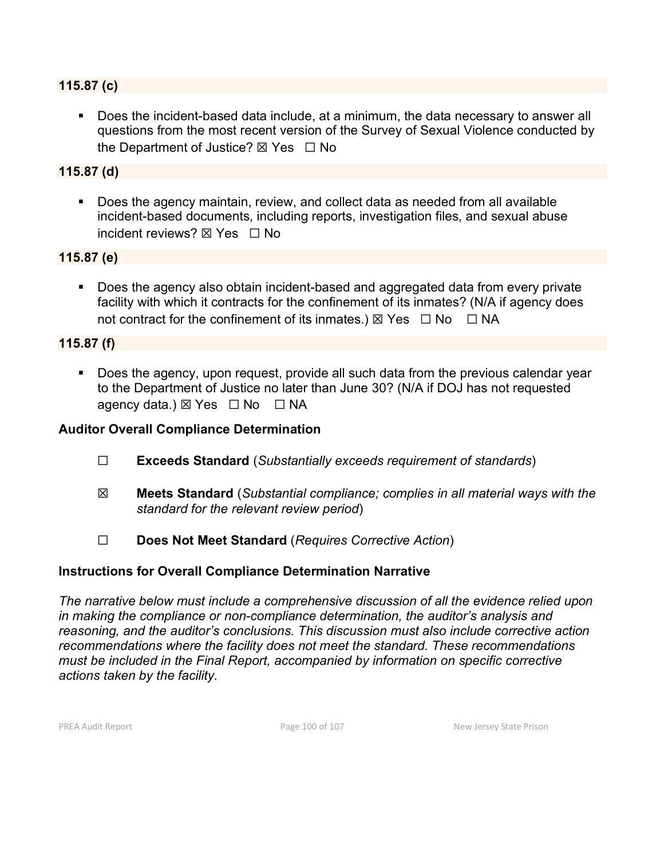#### **115.87 (c)**

 Does the incident-based data include, at a minimum, the data necessary to answer all questions from the most recent version of the Survey of Sexual Violence conducted by the Department of Justice?  $\boxtimes$  Yes  $\Box$  No

#### **115.87 (d)**

 Does the agency maintain, review, and collect data as needed from all available incident-based documents, including reports, investigation files, and sexual abuse incident reviews? **⊠ Yes** □ No

#### **115.87 (e)**

Does the agency also obtain incident-based and aggregated data from every private facility with which it contracts for the confinement of its inmates? (N/A if agency does not contract for the confinement of its inmates.)  $\boxtimes$  Yes  $\Box$  No  $\Box$  NA

#### **115.87 (f)**

Does the agency, upon request, provide all such data from the previous calendar year to the Department of Justice no later than June 30? (N/A if DOJ has not requested agency data.)  $\boxtimes$  Yes  $\Box$  No  $\Box$  NA

#### **Auditor Overall Compliance Determination**

- ☐ **Exceeds Standard** (*Substantially exceeds requirement of standards*)
- ☒ **Meets Standard** (*Substantial compliance; complies in all material ways with the standard for the relevant review period*)
- ☐ **Does Not Meet Standard** (*Requires Corrective Action*)

#### **Instructions for Overall Compliance Determination Narrative**

*The narrative below must include a comprehensive discussion of all the evidence relied upon in making the compliance or non-compliance determination, the auditor's analysis and reasoning, and the auditor's conclusions. This discussion must also include corrective action recommendations where the facility does not meet the standard. These recommendations must be included in the Final Report, accompanied by information on specific corrective actions taken by the facility.*

PREA Audit Report **Page 100 of 107** New Jersey State Prison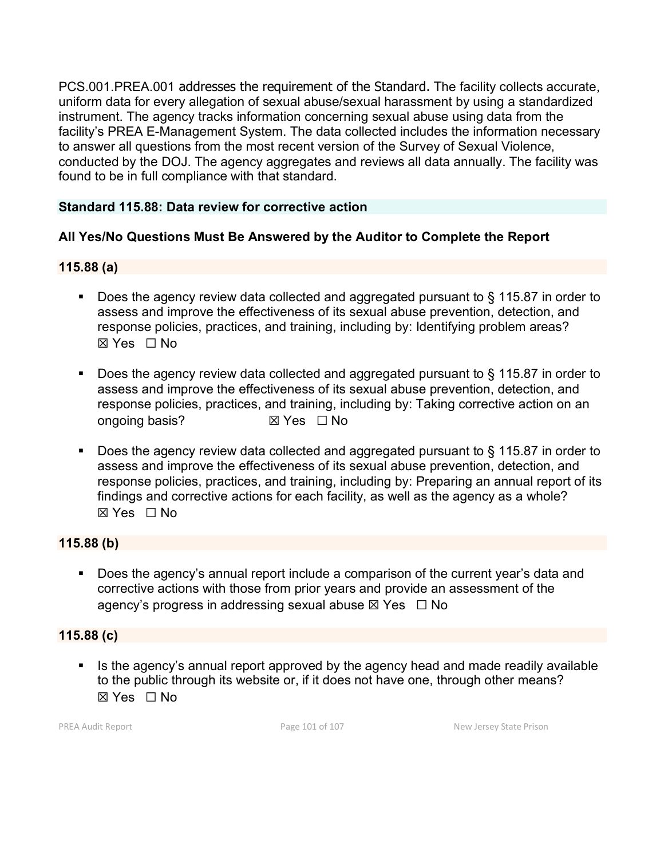PCS.001.PREA.001 addresses the requirement of the Standard. The facility collects accurate, uniform data for every allegation of sexual abuse/sexual harassment by using a standardized instrument. The agency tracks information concerning sexual abuse using data from the facility's PREA E-Management System. The data collected includes the information necessary to answer all questions from the most recent version of the Survey of Sexual Violence, conducted by the DOJ. The agency aggregates and reviews all data annually. The facility was found to be in full compliance with that standard.

#### **Standard 115.88: Data review for corrective action**

#### **All Yes/No Questions Must Be Answered by the Auditor to Complete the Report**

#### **115.88 (a)**

- Does the agency review data collected and aggregated pursuant to § 115.87 in order to assess and improve the effectiveness of its sexual abuse prevention, detection, and response policies, practices, and training, including by: Identifying problem areas? ☒ Yes ☐ No
- Does the agency review data collected and aggregated pursuant to § 115.87 in order to assess and improve the effectiveness of its sexual abuse prevention, detection, and response policies, practices, and training, including by: Taking corrective action on an ongoing basis? **⊠** Yes □ No
- Does the agency review data collected and aggregated pursuant to § 115.87 in order to assess and improve the effectiveness of its sexual abuse prevention, detection, and response policies, practices, and training, including by: Preparing an annual report of its findings and corrective actions for each facility, as well as the agency as a whole? ☒ Yes ☐ No

#### **115.88 (b)**

**Does the agency's annual report include a comparison of the current year's data and** corrective actions with those from prior years and provide an assessment of the agency's progress in addressing sexual abuse  $\boxtimes$  Yes  $\Box$  No

#### **115.88 (c)**

If Is the agency's annual report approved by the agency head and made readily available to the public through its website or, if it does not have one, through other means?  $\boxtimes$  Yes  $\Box$  No

PREA Audit Report **Page 101 of 107** Page 101 of 107 New Jersey State Prison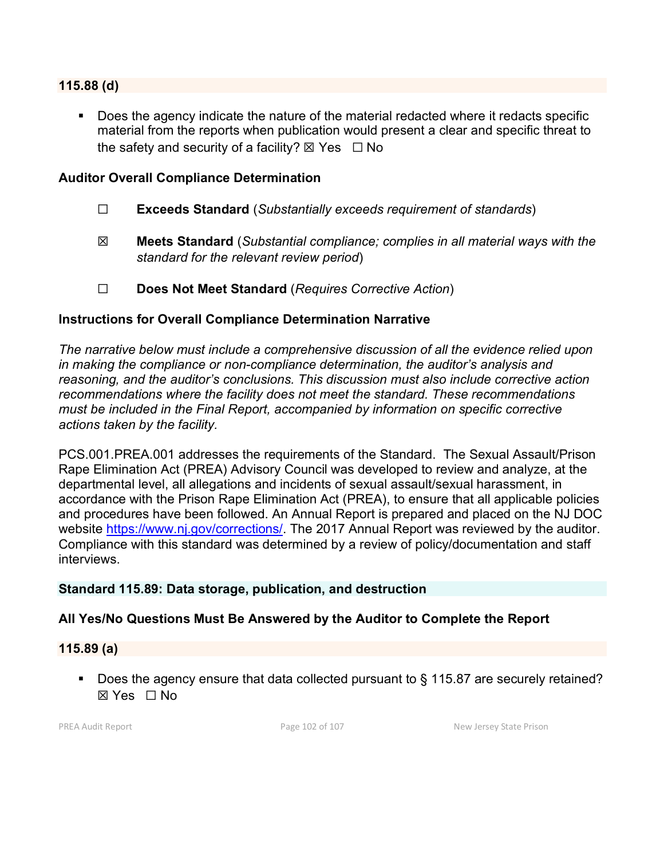#### **115.88 (d)**

Does the agency indicate the nature of the material redacted where it redacts specific material from the reports when publication would present a clear and specific threat to the safety and security of a facility?  $\boxtimes$  Yes  $\Box$  No

#### **Auditor Overall Compliance Determination**

- ☐ **Exceeds Standard** (*Substantially exceeds requirement of standards*)
- ☒ **Meets Standard** (*Substantial compliance; complies in all material ways with the standard for the relevant review period*)
- ☐ **Does Not Meet Standard** (*Requires Corrective Action*)

#### **Instructions for Overall Compliance Determination Narrative**

*The narrative below must include a comprehensive discussion of all the evidence relied upon in making the compliance or non-compliance determination, the auditor's analysis and reasoning, and the auditor's conclusions. This discussion must also include corrective action recommendations where the facility does not meet the standard. These recommendations must be included in the Final Report, accompanied by information on specific corrective actions taken by the facility.*

PCS.001.PREA.001 addresses the requirements of the Standard. The Sexual Assault/Prison Rape Elimination Act (PREA) Advisory Council was developed to review and analyze, at the departmental level, all allegations and incidents of sexual assault/sexual harassment, in accordance with the Prison Rape Elimination Act (PREA), to ensure that all applicable policies and procedures have been followed. An Annual Report is prepared and placed on the NJ DOC website [https://www.nj.gov/corrections/.](https://www.nj.gov/corrections/) The 2017 Annual Report was reviewed by the auditor. Compliance with this standard was determined by a review of policy/documentation and staff interviews.

#### **Standard 115.89: Data storage, publication, and destruction**

#### **All Yes/No Questions Must Be Answered by the Auditor to Complete the Report**

**115.89 (a)**

■ Does the agency ensure that data collected pursuant to § 115.87 are securely retained? ☒ Yes ☐ No

PREA Audit Report **Page 102 of 107** New Jersey State Prison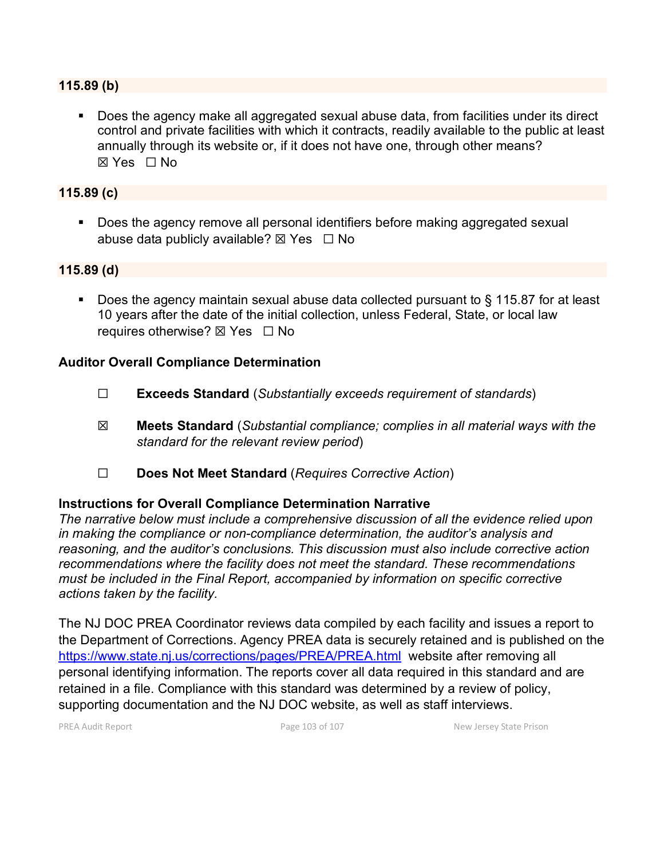#### **115.89 (b)**

Does the agency make all aggregated sexual abuse data, from facilities under its direct control and private facilities with which it contracts, readily available to the public at least annually through its website or, if it does not have one, through other means? ☒ Yes ☐ No

#### **115.89 (c)**

 Does the agency remove all personal identifiers before making aggregated sexual abuse data publicly available?  $\boxtimes$  Yes  $\Box$  No

#### **115.89 (d)**

■ Does the agency maintain sexual abuse data collected pursuant to § 115.87 for at least 10 years after the date of the initial collection, unless Federal, State, or local law requires otherwise? ⊠ Yes □ No

#### **Auditor Overall Compliance Determination**

- ☐ **Exceeds Standard** (*Substantially exceeds requirement of standards*)
- ☒ **Meets Standard** (*Substantial compliance; complies in all material ways with the standard for the relevant review period*)
- ☐ **Does Not Meet Standard** (*Requires Corrective Action*)

#### **Instructions for Overall Compliance Determination Narrative**

*The narrative below must include a comprehensive discussion of all the evidence relied upon in making the compliance or non-compliance determination, the auditor's analysis and reasoning, and the auditor's conclusions. This discussion must also include corrective action recommendations where the facility does not meet the standard. These recommendations must be included in the Final Report, accompanied by information on specific corrective actions taken by the facility.*

The NJ DOC PREA Coordinator reviews data compiled by each facility and issues a report to the Department of Corrections. Agency PREA data is securely retained and is published on the <https://www.state.nj.us/corrections/pages/PREA/PREA.html>website after removing all personal identifying information. The reports cover all data required in this standard and are retained in a file. Compliance with this standard was determined by a review of policy, supporting documentation and the NJ DOC website, as well as staff interviews.

PREA Audit Report **Page 103 of 107** Page 103 of 107 New Jersey State Prison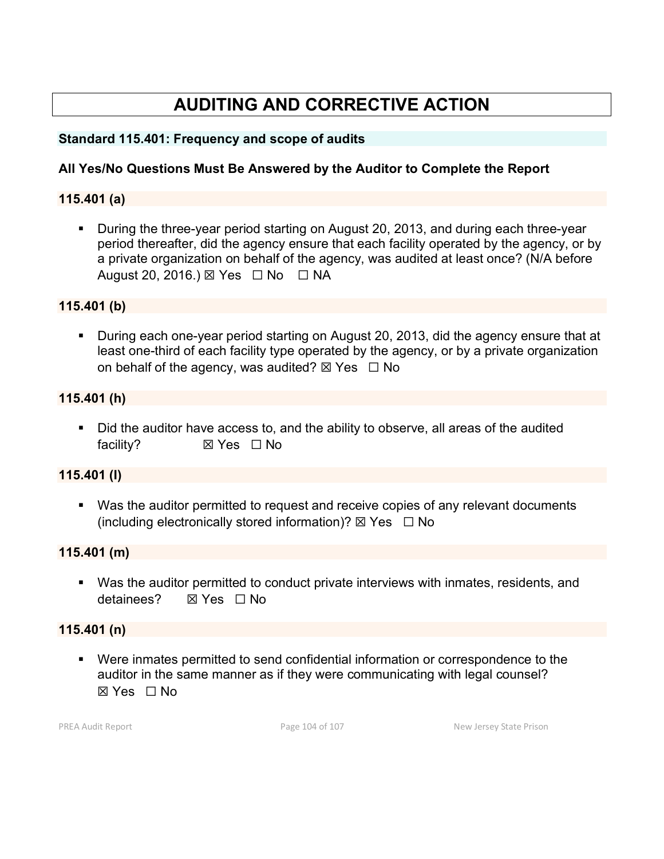# **AUDITING AND CORRECTIVE ACTION**

### **Standard 115.401: Frequency and scope of audits**

# **All Yes/No Questions Must Be Answered by the Auditor to Complete the Report**

#### **115.401 (a)**

 During the three-year period starting on August 20, 2013, and during each three-year period thereafter, did the agency ensure that each facility operated by the agency, or by a private organization on behalf of the agency, was audited at least once? (N/A before August 20, 2016.) ⊠ Yes □ No □ NA

#### **115.401 (b)**

**During each one-year period starting on August 20, 2013, did the agency ensure that at** least one-third of each facility type operated by the agency, or by a private organization on behalf of the agency, was audited?  $\boxtimes$  Yes  $\Box$  No

#### **115.401 (h)**

 Did the auditor have access to, and the ability to observe, all areas of the audited facility? **⊠ Yes** □ No

#### **115.401 (I)**

 Was the auditor permitted to request and receive copies of any relevant documents (including electronically stored information)?  $\boxtimes$  Yes  $\Box$  No

#### **115.401 (m)**

 Was the auditor permitted to conduct private interviews with inmates, residents, and detainees? **⊠ Yes □ No** 

#### **115.401 (n)**

 Were inmates permitted to send confidential information or correspondence to the auditor in the same manner as if they were communicating with legal counsel?  $\boxtimes$  Yes  $\Box$  No

PREA Audit Report **Page 104 of 107** Page 104 of 107 New Jersey State Prison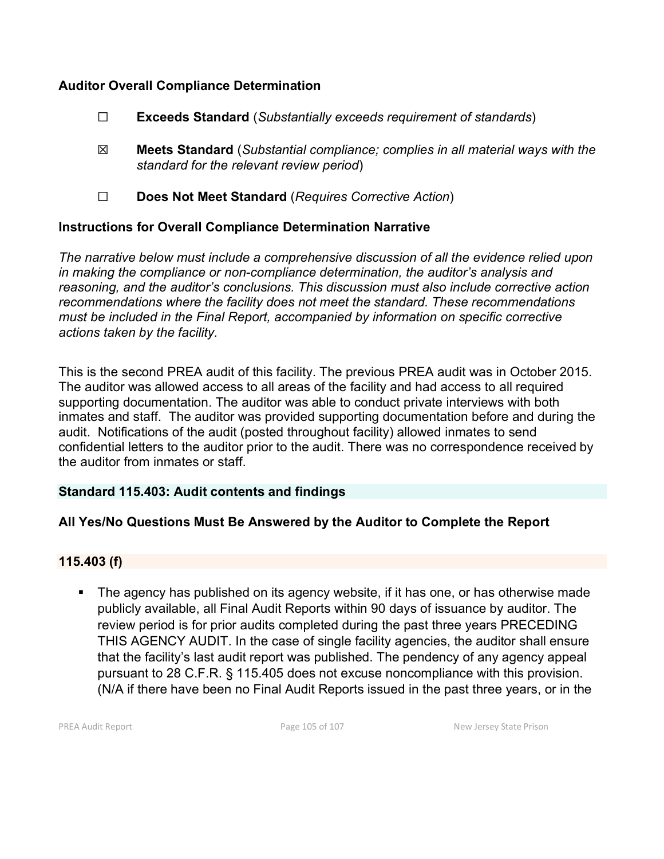### **Auditor Overall Compliance Determination**

- ☐ **Exceeds Standard** (*Substantially exceeds requirement of standards*)
- ☒ **Meets Standard** (*Substantial compliance; complies in all material ways with the standard for the relevant review period*)
- ☐ **Does Not Meet Standard** (*Requires Corrective Action*)

# **Instructions for Overall Compliance Determination Narrative**

*The narrative below must include a comprehensive discussion of all the evidence relied upon in making the compliance or non-compliance determination, the auditor's analysis and reasoning, and the auditor's conclusions. This discussion must also include corrective action recommendations where the facility does not meet the standard. These recommendations must be included in the Final Report, accompanied by information on specific corrective actions taken by the facility.*

This is the second PREA audit of this facility. The previous PREA audit was in October 2015. The auditor was allowed access to all areas of the facility and had access to all required supporting documentation. The auditor was able to conduct private interviews with both inmates and staff. The auditor was provided supporting documentation before and during the audit. Notifications of the audit (posted throughout facility) allowed inmates to send confidential letters to the auditor prior to the audit. There was no correspondence received by the auditor from inmates or staff.

#### **Standard 115.403: Audit contents and findings**

# **All Yes/No Questions Must Be Answered by the Auditor to Complete the Report**

#### **115.403 (f)**

 The agency has published on its agency website, if it has one, or has otherwise made publicly available, all Final Audit Reports within 90 days of issuance by auditor. The review period is for prior audits completed during the past three years PRECEDING THIS AGENCY AUDIT. In the case of single facility agencies, the auditor shall ensure that the facility's last audit report was published. The pendency of any agency appeal pursuant to 28 C.F.R. § 115.405 does not excuse noncompliance with this provision. (N/A if there have been no Final Audit Reports issued in the past three years, or in the

PREA Audit Report **Page 105 of 107** New Jersey State Prison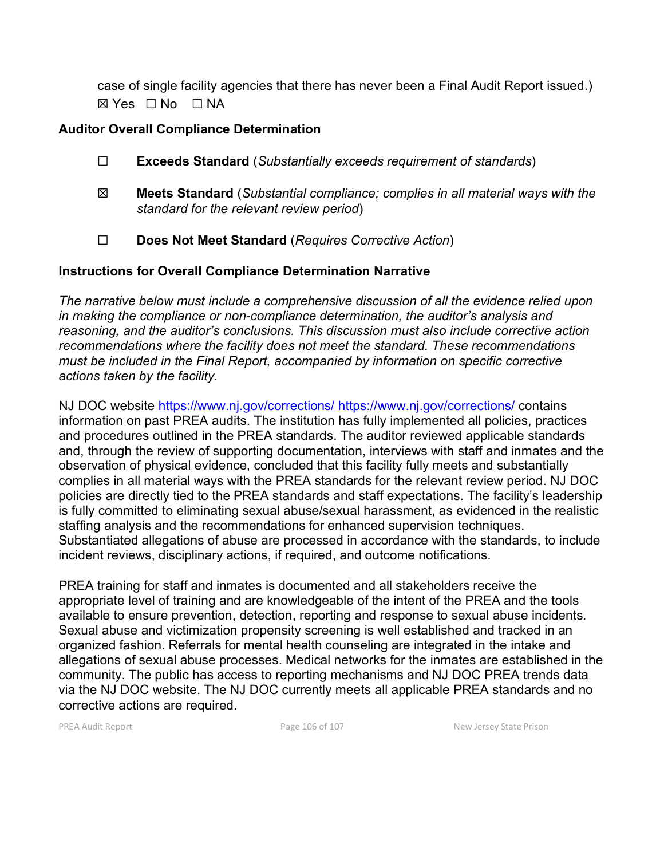case of single facility agencies that there has never been a Final Audit Report issued.)  $\boxtimes$  Yes  $\Box$  No  $\Box$  NA

# **Auditor Overall Compliance Determination**

- ☐ **Exceeds Standard** (*Substantially exceeds requirement of standards*)
- ☒ **Meets Standard** (*Substantial compliance; complies in all material ways with the standard for the relevant review period*)
- ☐ **Does Not Meet Standard** (*Requires Corrective Action*)

# **Instructions for Overall Compliance Determination Narrative**

*The narrative below must include a comprehensive discussion of all the evidence relied upon in making the compliance or non-compliance determination, the auditor's analysis and reasoning, and the auditor's conclusions. This discussion must also include corrective action recommendations where the facility does not meet the standard. These recommendations must be included in the Final Report, accompanied by information on specific corrective actions taken by the facility.*

NJ DOC website<https://www.nj.gov/corrections/> <https://www.nj.gov/corrections/> contains information on past PREA audits. The institution has fully implemented all policies, practices and procedures outlined in the PREA standards. The auditor reviewed applicable standards and, through the review of supporting documentation, interviews with staff and inmates and the observation of physical evidence, concluded that this facility fully meets and substantially complies in all material ways with the PREA standards for the relevant review period. NJ DOC policies are directly tied to the PREA standards and staff expectations. The facility's leadership is fully committed to eliminating sexual abuse/sexual harassment, as evidenced in the realistic staffing analysis and the recommendations for enhanced supervision techniques. Substantiated allegations of abuse are processed in accordance with the standards, to include incident reviews, disciplinary actions, if required, and outcome notifications.

PREA training for staff and inmates is documented and all stakeholders receive the appropriate level of training and are knowledgeable of the intent of the PREA and the tools available to ensure prevention, detection, reporting and response to sexual abuse incidents. Sexual abuse and victimization propensity screening is well established and tracked in an organized fashion. Referrals for mental health counseling are integrated in the intake and allegations of sexual abuse processes. Medical networks for the inmates are established in the community. The public has access to reporting mechanisms and NJ DOC PREA trends data via the NJ DOC website. The NJ DOC currently meets all applicable PREA standards and no corrective actions are required.

PREA Audit Report **PREA Audit Report Page 106 of 107** New Jersey State Prison